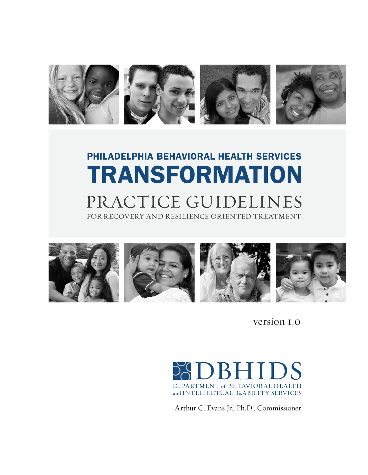

# PHILADELPHIA BEHAVIORAL HEALTH SERVICES **TRANSFORMATION** PRACTICE GUIDELINES FOR RECOVERY AND RESILIENCE ORIENTED TREATMENT



version 1.0



Arthur C. Evans Jr., Ph.D., Commissioner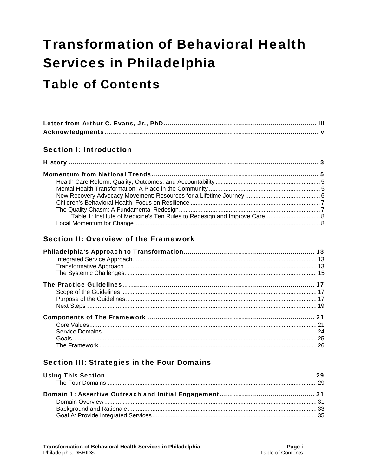# **Transformation of Behavioral Health Services in Philadelphia**

## **Table of Contents**

#### **Section I: Introduction**

| Table 1: Institute of Medicine's Ten Rules to Redesign and Improve Care 8 |  |
|---------------------------------------------------------------------------|--|
|                                                                           |  |

#### Section II: Overview of the Framework

#### Section III: Strategies in the Four Domains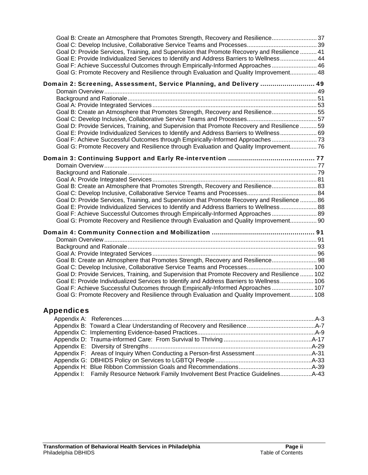| Goal B: Create an Atmosphere that Promotes Strength, Recovery and Resilience37<br>Goal D: Provide Services, Training, and Supervision that Promote Recovery and Resilience  41<br>Goal E: Provide Individualized Services to Identify and Address Barriers to Wellness 44<br>Goal F: Achieve Successful Outcomes through Empirically-Informed Approaches  46<br>Goal G: Promote Recovery and Resilience through Evaluation and Quality Improvement 48                                                                            |  |
|----------------------------------------------------------------------------------------------------------------------------------------------------------------------------------------------------------------------------------------------------------------------------------------------------------------------------------------------------------------------------------------------------------------------------------------------------------------------------------------------------------------------------------|--|
| Domain 2: Screening, Assessment, Service Planning, and Delivery  49<br>Goal B: Create an Atmosphere that Promotes Strength, Recovery and Resilience 55<br>Goal D: Provide Services, Training, and Supervision that Promote Recovery and Resilience  59<br>69. Goal E: Provide Individualized Services to Identify and Address Barriers to Wellness 69<br>Goal F: Achieve Successful Outcomes through Empirically-Informed Approaches 73<br>Goal G: Promote Recovery and Resilience through Evaluation and Quality Improvement 76 |  |
| Goal B: Create an Atmosphere that Promotes Strength, Recovery and Resilience 83<br>Goal D: Provide Services, Training, and Supervision that Promote Recovery and Resilience  86<br>60 Goal E: Provide Individualized Services to Identify and Address Barriers to Wellness 88<br>Goal F: Achieve Successful Outcomes through Empirically-Informed Approaches  89<br>Goal G: Promote Recovery and Resilience through Evaluation and Quality Improvement 90                                                                        |  |
| Goal B: Create an Atmosphere that Promotes Strength, Recovery and Resilience 98<br>Goal D: Provide Services, Training, and Supervision that Promote Recovery and Resilience  102<br>Goal E: Provide Individualized Services to Identify and Address Barriers to Wellness 106<br>Goal F: Achieve Successful Outcomes through Empirically-Informed Approaches 107<br>Goal G: Promote Recovery and Resilience through Evaluation and Quality Improvement 108                                                                        |  |

#### Appendices

| Appendix I: Family Resource Network Family Involvement Best Practice Guidelines |  |
|---------------------------------------------------------------------------------|--|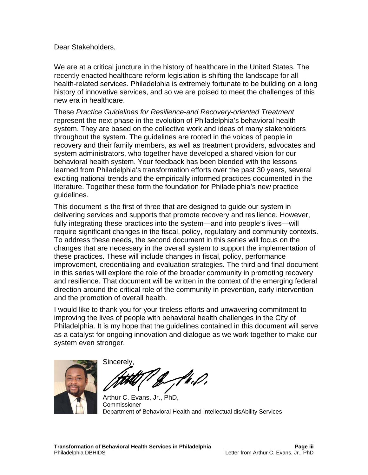Dear Stakeholders,

We are at a critical juncture in the history of healthcare in the United States. The recently enacted healthcare reform legislation is shifting the landscape for all health-related services. Philadelphia is extremely fortunate to be building on a long history of innovative services, and so we are poised to meet the challenges of this new era in healthcare.

These *Practice Guidelines for Resilience-and Recovery-oriented Treatment* represent the next phase in the evolution of Philadelphia's behavioral health system. They are based on the collective work and ideas of many stakeholders throughout the system. The guidelines are rooted in the voices of people in recovery and their family members, as well as treatment providers, advocates and system administrators, who together have developed a shared vision for our behavioral health system. Your feedback has been blended with the lessons learned from Philadelphia's transformation efforts over the past 30 years, several exciting national trends and the empirically informed practices documented in the literature. Together these form the foundation for Philadelphia's new practice guidelines.

This document is the first of three that are designed to guide our system in delivering services and supports that promote recovery and resilience. However, fully integrating these practices into the system—and into people's lives—will require significant changes in the fiscal, policy, regulatory and community contexts. To address these needs, the second document in this series will focus on the changes that are necessary in the overall system to support the implementation of these practices. These will include changes in fiscal, policy, performance improvement, credentialing and evaluation strategies. The third and final document in this series will explore the role of the broader community in promoting recovery and resilience. That document will be written in the context of the emerging federal direction around the critical role of the community in prevention, early intervention and the promotion of overall health.

I would like to thank you for your tireless efforts and unwavering commitment to improving the lives of people with behavioral health challenges in the City of Philadelphia. It is my hope that the guidelines contained in this document will serve as a catalyst for ongoing innovation and dialogue as we work together to make our system even stronger.



Sincerel Hr.D.

Arthur C. Evans, Jr., PhD, Commissioner Department of Behavioral Health and Intellectual disAbility Services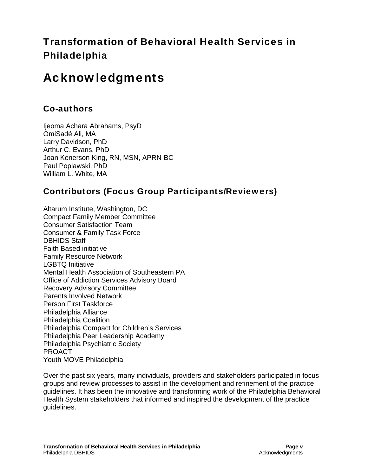### Transformation of Behavioral Health Services in Philadelphia

## Acknowledgments

#### Co-authors

Ijeoma Achara Abrahams, PsyD OmiSadé Ali, MA Larry Davidson, PhD Arthur C. Evans, PhD Joan Kenerson King, RN, MSN, APRN-BC Paul Poplawski, PhD William L. White, MA

#### Contributors (Focus Group Participants/Reviewers)

Altarum Institute, Washington, DC Compact Family Member Committee Consumer Satisfaction Team Consumer & Family Task Force DBHIDS Staff Faith Based initiative Family Resource Network LGBTQ Initiative Mental Health Association of Southeastern PA Office of Addiction Services Advisory Board Recovery Advisory Committee Parents Involved Network Person First Taskforce Philadelphia Alliance Philadelphia Coalition Philadelphia Compact for Children's Services Philadelphia Peer Leadership Academy Philadelphia Psychiatric Society PROACT Youth MOVE Philadelphia

Over the past six years, many individuals, providers and stakeholders participated in focus groups and review processes to assist in the development and refinement of the practice guidelines. It has been the innovative and transforming work of the Philadelphia Behavioral Health System stakeholders that informed and inspired the development of the practice guidelines.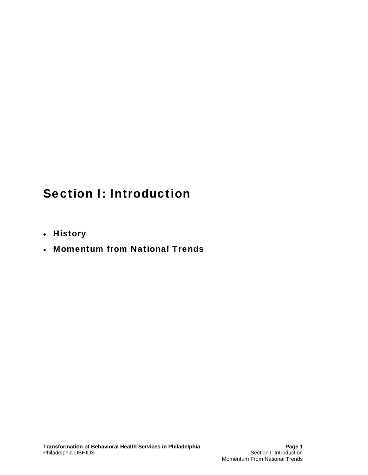## Section I: Introduction

- History
- Momentum from National Trends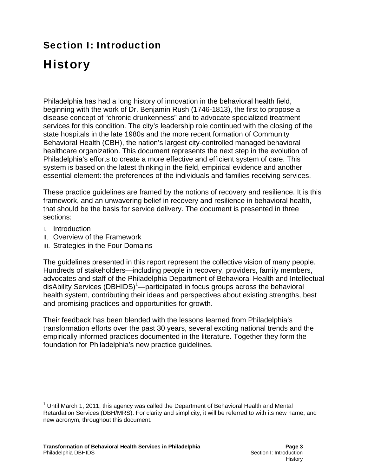## Section I: Introduction

# **History**

Philadelphia has had a long history of innovation in the behavioral health field, beginning with the work of Dr. Benjamin Rush (1746-1813), the first to propose a disease concept of "chronic drunkenness" and to advocate specialized treatment services for this condition. The city's leadership role continued with the closing of the state hospitals in the late 1980s and the more recent formation of Community Behavioral Health (CBH), the nation's largest city-controlled managed behavioral healthcare organization. This document represents the next step in the evolution of Philadelphia's efforts to create a more effective and efficient system of care. This system is based on the latest thinking in the field, empirical evidence and another essential element: the preferences of the individuals and families receiving services.

These practice guidelines are framed by the notions of recovery and resilience. It is this framework, and an unwavering belief in recovery and resilience in behavioral health, that should be the basis for service delivery. The document is presented in three sections:

- I. Introduction
- II. Overview of the Framework
- III. Strategies in the Four Domains

The guidelines presented in this report represent the collective vision of many people. Hundreds of stakeholders—including people in recovery, providers, family members, advocates and staff of the Philadelphia Department of Behavioral Health and Intellectual disAbility Services (DBHIDS)<sup>1</sup>—participated in focus groups across the behavioral health system, contributing their ideas and perspectives about existing strengths, best and promising practices and opportunities for growth.

Their feedback has been blended with the lessons learned from Philadelphia's transformation efforts over the past 30 years, several exciting national trends and the empirically informed practices documented in the literature. Together they form the foundation for Philadelphia's new practice guidelines.

 $\overline{a}$  $1$  Until March 1, 2011, this agency was called the Department of Behavioral Health and Mental Retardation Services (DBH/MRS). For clarity and simplicity, it will be referred to with its new name, and new acronym, throughout this document.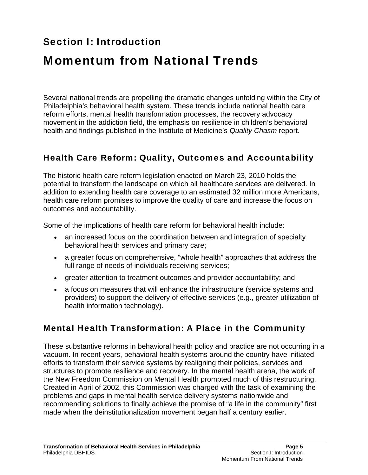### Section I: Introduction

## Momentum from National Trends

Several national trends are propelling the dramatic changes unfolding within the City of Philadelphia's behavioral health system. These trends include national health care reform efforts, mental health transformation processes, the recovery advocacy movement in the addiction field, the emphasis on resilience in children's behavioral health and findings published in the Institute of Medicine's *Quality Chasm* report.

#### Health Care Reform: Quality, Outcomes and Accountability

The historic health care reform legislation enacted on March 23, 2010 holds the potential to transform the landscape on which all healthcare services are delivered. In addition to extending health care coverage to an estimated 32 million more Americans, health care reform promises to improve the quality of care and increase the focus on outcomes and accountability.

Some of the implications of health care reform for behavioral health include:

- an increased focus on the coordination between and integration of specialty behavioral health services and primary care;
- a greater focus on comprehensive, "whole health" approaches that address the full range of needs of individuals receiving services;
- greater attention to treatment outcomes and provider accountability; and
- a focus on measures that will enhance the infrastructure (service systems and providers) to support the delivery of effective services (e.g., greater utilization of health information technology).

#### Mental Health Transformation: A Place in the Community

These substantive reforms in behavioral health policy and practice are not occurring in a vacuum. In recent years, behavioral health systems around the country have initiated efforts to transform their service systems by realigning their policies, services and structures to promote resilience and recovery. In the mental health arena, the work of the New Freedom Commission on Mental Health prompted much of this restructuring. Created in April of 2002, this Commission was charged with the task of examining the problems and gaps in mental health service delivery systems nationwide and recommending solutions to finally achieve the promise of "a life in the community" first made when the deinstitutionalization movement began half a century earlier.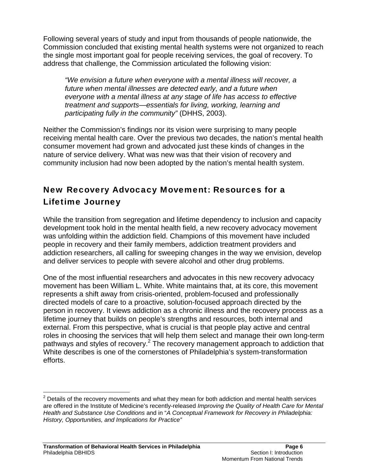Following several years of study and input from thousands of people nationwide, the Commission concluded that existing mental health systems were not organized to reach the single most important goal for people receiving services, the goal of recovery. To address that challenge, the Commission articulated the following vision:

*"We envision a future when everyone with a mental illness will recover, a future when mental illnesses are detected early, and a future when everyone with a mental illness at any stage of life has access to effective treatment and supports—essentials for living, working, learning and participating fully in the community"* (DHHS, 2003).

Neither the Commission's findings nor its vision were surprising to many people receiving mental health care. Over the previous two decades, the nation's mental health consumer movement had grown and advocated just these kinds of changes in the nature of service delivery. What was new was that their vision of recovery and community inclusion had now been adopted by the nation's mental health system.

### New Recovery Advocacy Movement: Resources for a Lifetime Journey

While the transition from segregation and lifetime dependency to inclusion and capacity development took hold in the mental health field, a new recovery advocacy movement was unfolding within the addiction field. Champions of this movement have included people in recovery and their family members, addiction treatment providers and addiction researchers, all calling for sweeping changes in the way we envision, develop and deliver services to people with severe alcohol and other drug problems.

One of the most influential researchers and advocates in this new recovery advocacy movement has been William L. White. White maintains that, at its core, this movement represents a shift away from crisis-oriented, problem-focused and professionally directed models of care to a proactive, solution-focused approach directed by the person in recovery. It views addiction as a chronic illness and the recovery process as a lifetime journey that builds on people's strengths and resources, both internal and external. From this perspective, what is crucial is that people play active and central roles in choosing the services that will help them select and manage their own long-term pathways and styles of recovery.<sup>2</sup> The recovery management approach to addiction that White describes is one of the cornerstones of Philadelphia's system-transformation efforts.

 $\overline{a}$  $2$  Details of the recovery movements and what they mean for both addiction and mental health services are offered in the Institute of Medicine's recently-released *Improving the Quality of Health Care for Mental Health and Substance Use Conditions* and in "*A Conceptual Framework for Recovery in Philadelphia: History, Opportunities, and Implications for Practice"*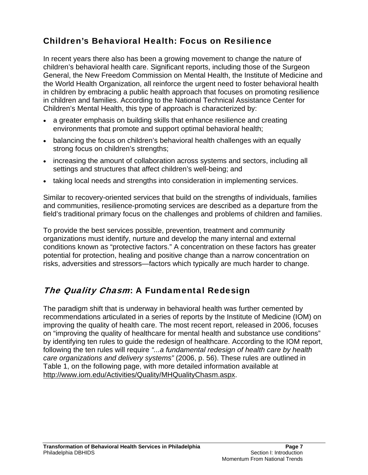### Children's Behavioral Health: Focus on Resilience

In recent years there also has been a growing movement to change the nature of children's behavioral health care. Significant reports, including those of the Surgeon General, the New Freedom Commission on Mental Health, the Institute of Medicine and the World Health Organization, all reinforce the urgent need to foster behavioral health in children by embracing a public health approach that focuses on promoting resilience in children and families. According to the National Technical Assistance Center for Children's Mental Health, this type of approach is characterized by:

- a greater emphasis on building skills that enhance resilience and creating environments that promote and support optimal behavioral health;
- balancing the focus on children's behavioral health challenges with an equally strong focus on children's strengths;
- increasing the amount of collaboration across systems and sectors, including all settings and structures that affect children's well-being; and
- taking local needs and strengths into consideration in implementing services.

Similar to recovery-oriented services that build on the strengths of individuals, families and communities, resilience-promoting services are described as a departure from the field's traditional primary focus on the challenges and problems of children and families.

To provide the best services possible, prevention, treatment and community organizations must identify, nurture and develop the many internal and external conditions known as "protective factors." A concentration on these factors has greater potential for protection, healing and positive change than a narrow concentration on risks, adversities and stressors—factors which typically are much harder to change.

#### The Quality Chasm: A Fundamental Redesign

The paradigm shift that is underway in behavioral health was further cemented by recommendations articulated in a series of reports by the Institute of Medicine (IOM) on improving the quality of health care. The most recent report, released in 2006, focuses on "improving the quality of healthcare for mental health and substance use conditions" by identifying ten rules to guide the redesign of healthcare. According to the IOM report, following the ten rules will require *"...a fundamental redesign of health care by health care organizations and delivery systems"* (2006, p. 56). These rules are outlined in Table 1, on the following page, with more detailed information available at http://www.iom.edu/Activities/Quality/MHQualityChasm.aspx.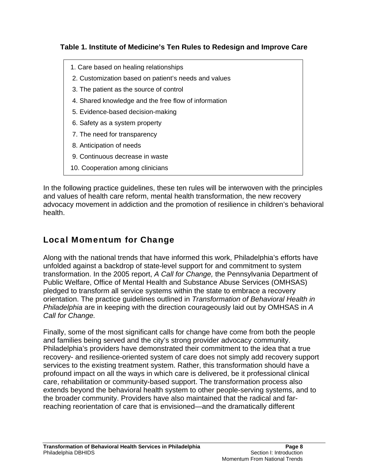#### **Table 1. Institute of Medicine's Ten Rules to Redesign and Improve Care**

- 1. Care based on healing relationships
- 2. Customization based on patient's needs and values
- 3. The patient as the source of control
- 4. Shared knowledge and the free flow of information
- 5. Evidence-based decision-making
- 6. Safety as a system property
- 7. The need for transparency
- 8. Anticipation of needs
- 9. Continuous decrease in waste
- 10. Cooperation among clinicians

In the following practice guidelines, these ten rules will be interwoven with the principles and values of health care reform, mental health transformation, the new recovery advocacy movement in addiction and the promotion of resilience in children's behavioral health.

### Local Momentum for Change

Along with the national trends that have informed this work, Philadelphia's efforts have unfolded against a backdrop of state-level support for and commitment to system transformation. In the 2005 report, *A Call for Change,* the Pennsylvania Department of Public Welfare, Office of Mental Health and Substance Abuse Services (OMHSAS) pledged to transform all service systems within the state to embrace a recovery orientation. The practice guidelines outlined in *Transformation of Behavioral Health in Philadelphia* are in keeping with the direction courageously laid out by OMHSAS in *A Call for Change.* 

Finally, some of the most significant calls for change have come from both the people and families being served and the city's strong provider advocacy community. Philadelphia's providers have demonstrated their commitment to the idea that a true recovery- and resilience-oriented system of care does not simply add recovery support services to the existing treatment system. Rather, this transformation should have a profound impact on all the ways in which care is delivered, be it professional clinical care, rehabilitation or community-based support. The transformation process also extends beyond the behavioral health system to other people-serving systems, and to the broader community. Providers have also maintained that the radical and farreaching reorientation of care that is envisioned—and the dramatically different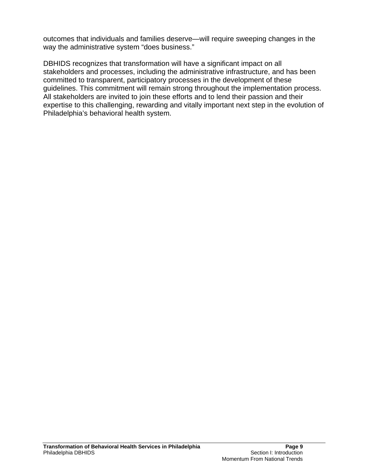outcomes that individuals and families deserve—will require sweeping changes in the way the administrative system "does business."

DBHIDS recognizes that transformation will have a significant impact on all stakeholders and processes, including the administrative infrastructure, and has been committed to transparent, participatory processes in the development of these guidelines. This commitment will remain strong throughout the implementation process. All stakeholders are invited to join these efforts and to lend their passion and their expertise to this challenging, rewarding and vitally important next step in the evolution of Philadelphia's behavioral health system.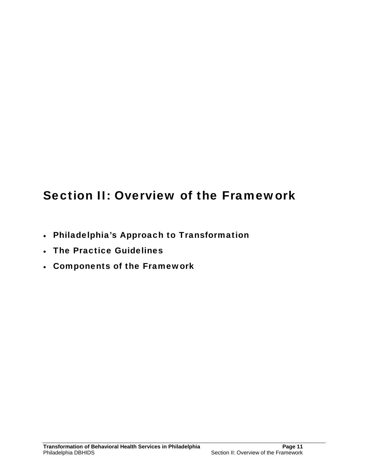## Section II: Overview of the Framework

- Philadelphia's Approach to Transformation
- . The Practice Guidelines
- Components of the Framework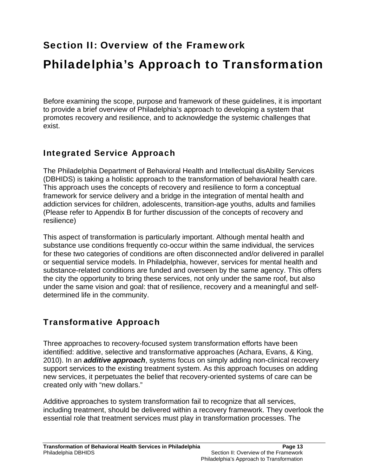### Section II: Overview of the Framework

## Philadelphia's Approach to Transformation

Before examining the scope, purpose and framework of these guidelines, it is important to provide a brief overview of Philadelphia's approach to developing a system that promotes recovery and resilience, and to acknowledge the systemic challenges that exist.

#### Integrated Service Approach

The Philadelphia Department of Behavioral Health and Intellectual disAbility Services (DBHIDS) is taking a holistic approach to the transformation of behavioral health care. This approach uses the concepts of recovery and resilience to form a conceptual framework for service delivery and a bridge in the integration of mental health and addiction services for children, adolescents, transition-age youths, adults and families (Please refer to Appendix B for further discussion of the concepts of recovery and resilience)

This aspect of transformation is particularly important. Although mental health and substance use conditions frequently co-occur within the same individual, the services for these two categories of conditions are often disconnected and/or delivered in parallel or sequential service models. In Philadelphia, however, services for mental health and substance-related conditions are funded and overseen by the same agency. This offers the city the opportunity to bring these services, not only under the same roof, but also under the same vision and goal: that of resilience, recovery and a meaningful and selfdetermined life in the community.

#### Transformative Approach

Three approaches to recovery-focused system transformation efforts have been identified: additive, selective and transformative approaches (Achara, Evans, & King, 2010). In an *additive approach*, systems focus on simply adding non-clinical recovery support services to the existing treatment system. As this approach focuses on adding new services, it perpetuates the belief that recovery-oriented systems of care can be created only with "new dollars."

Additive approaches to system transformation fail to recognize that all services, including treatment, should be delivered within a recovery framework. They overlook the essential role that treatment services must play in transformation processes. The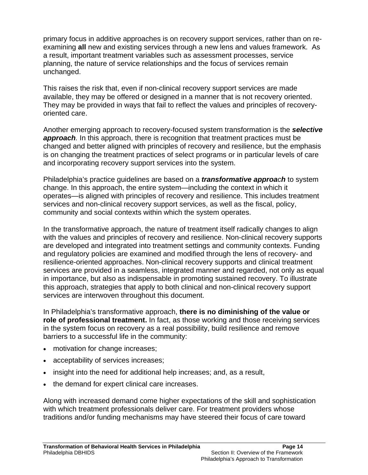primary focus in additive approaches is on recovery support services, rather than on reexamining **all** new and existing services through a new lens and values framework. As a result, important treatment variables such as assessment processes, service planning, the nature of service relationships and the focus of services remain unchanged.

This raises the risk that, even if non-clinical recovery support services are made available, they may be offered or designed in a manner that is not recovery oriented. They may be provided in ways that fail to reflect the values and principles of recoveryoriented care.

Another emerging approach to recovery-focused system transformation is the *selective*  **approach**. In this approach, there is recognition that treatment practices must be changed and better aligned with principles of recovery and resilience, but the emphasis is on changing the treatment practices of select programs or in particular levels of care and incorporating recovery support services into the system.

Philadelphia's practice guidelines are based on a *transformative approach* to system change. In this approach, the entire system—including the context in which it operates—is aligned with principles of recovery and resilience. This includes treatment services and non-clinical recovery support services, as well as the fiscal, policy, community and social contexts within which the system operates.

In the transformative approach, the nature of treatment itself radically changes to align with the values and principles of recovery and resilience. Non-clinical recovery supports are developed and integrated into treatment settings and community contexts. Funding and regulatory policies are examined and modified through the lens of recovery- and resilience-oriented approaches. Non-clinical recovery supports and clinical treatment services are provided in a seamless, integrated manner and regarded, not only as equal in importance, but also as indispensable in promoting sustained recovery. To illustrate this approach, strategies that apply to both clinical and non-clinical recovery support services are interwoven throughout this document.

In Philadelphia's transformative approach, **there is no diminishing of the value or role of professional treatment.** In fact, as those working and those receiving services in the system focus on recovery as a real possibility, build resilience and remove barriers to a successful life in the community:

- motivation for change increases;
- acceptability of services increases;
- insight into the need for additional help increases; and, as a result,
- the demand for expert clinical care increases.

Along with increased demand come higher expectations of the skill and sophistication with which treatment professionals deliver care. For treatment providers whose traditions and/or funding mechanisms may have steered their focus of care toward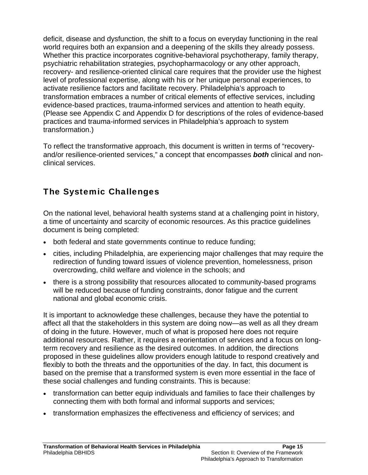deficit, disease and dysfunction, the shift to a focus on everyday functioning in the real world requires both an expansion and a deepening of the skills they already possess. Whether this practice incorporates cognitive-behavioral psychotherapy, family therapy, psychiatric rehabilitation strategies, psychopharmacology or any other approach, recovery- and resilience-oriented clinical care requires that the provider use the highest level of professional expertise, along with his or her unique personal experiences, to activate resilience factors and facilitate recovery. Philadelphia's approach to transformation embraces a number of critical elements of effective services, including evidence-based practices, trauma-informed services and attention to heath equity. (Please see Appendix C and Appendix D for descriptions of the roles of evidence-based practices and trauma-informed services in Philadelphia's approach to system transformation.)

To reflect the transformative approach, this document is written in terms of "recoveryand/or resilience-oriented services," a concept that encompasses *both* clinical and nonclinical services.

### The Systemic Challenges

On the national level, behavioral health systems stand at a challenging point in history, a time of uncertainty and scarcity of economic resources. As this practice guidelines document is being completed:

- both federal and state governments continue to reduce funding;
- cities, including Philadelphia, are experiencing major challenges that may require the redirection of funding toward issues of violence prevention, homelessness, prison overcrowding, child welfare and violence in the schools; and
- there is a strong possibility that resources allocated to community-based programs will be reduced because of funding constraints, donor fatigue and the current national and global economic crisis.

It is important to acknowledge these challenges, because they have the potential to affect all that the stakeholders in this system are doing now—as well as all they dream of doing in the future. However, much of what is proposed here does not require additional resources. Rather, it requires a reorientation of services and a focus on longterm recovery and resilience as the desired outcomes. In addition, the directions proposed in these guidelines allow providers enough latitude to respond creatively and flexibly to both the threats and the opportunities of the day. In fact, this document is based on the premise that a transformed system is even more essential in the face of these social challenges and funding constraints. This is because:

- transformation can better equip individuals and families to face their challenges by connecting them with both formal and informal supports and services;
- transformation emphasizes the effectiveness and efficiency of services; and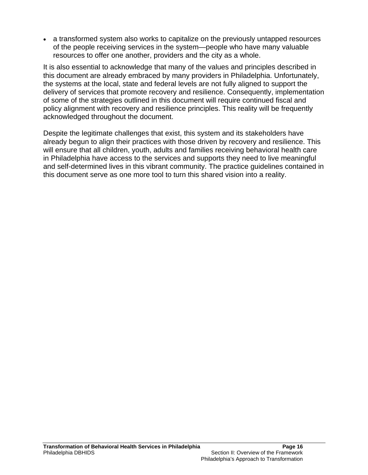a transformed system also works to capitalize on the previously untapped resources of the people receiving services in the system—people who have many valuable resources to offer one another, providers and the city as a whole.

It is also essential to acknowledge that many of the values and principles described in this document are already embraced by many providers in Philadelphia. Unfortunately, the systems at the local, state and federal levels are not fully aligned to support the delivery of services that promote recovery and resilience. Consequently, implementation of some of the strategies outlined in this document will require continued fiscal and policy alignment with recovery and resilience principles. This reality will be frequently acknowledged throughout the document.

Despite the legitimate challenges that exist, this system and its stakeholders have already begun to align their practices with those driven by recovery and resilience. This will ensure that all children, youth, adults and families receiving behavioral health care in Philadelphia have access to the services and supports they need to live meaningful and self-determined lives in this vibrant community. The practice guidelines contained in this document serve as one more tool to turn this shared vision into a reality.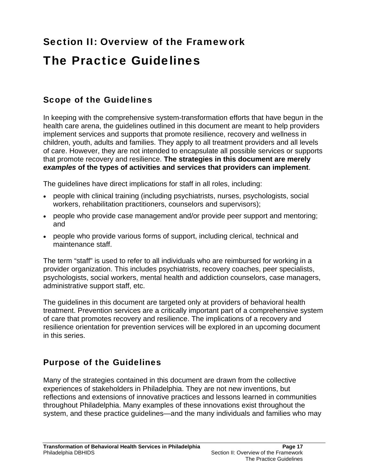# Section II: Overview of the Framework The Practice Guidelines

#### Scope of the Guidelines

In keeping with the comprehensive system-transformation efforts that have begun in the health care arena, the guidelines outlined in this document are meant to help providers implement services and supports that promote resilience, recovery and wellness in children, youth, adults and families. They apply to all treatment providers and all levels of care. However, they are not intended to encapsulate all possible services or supports that promote recovery and resilience. **The strategies in this document are merely**  *examples* **of the types of activities and services that providers can implement**.

The guidelines have direct implications for staff in all roles, including:

- people with clinical training (including psychiatrists, nurses, psychologists, social workers, rehabilitation practitioners, counselors and supervisors);
- people who provide case management and/or provide peer support and mentoring; and
- people who provide various forms of support, including clerical, technical and maintenance staff.

The term "staff" is used to refer to all individuals who are reimbursed for working in a provider organization. This includes psychiatrists, recovery coaches, peer specialists, psychologists, social workers, mental health and addiction counselors, case managers, administrative support staff, etc.

The guidelines in this document are targeted only at providers of behavioral health treatment. Prevention services are a critically important part of a comprehensive system of care that promotes recovery and resilience. The implications of a recovery and resilience orientation for prevention services will be explored in an upcoming document in this series.

#### Purpose of the Guidelines

Many of the strategies contained in this document are drawn from the collective experiences of stakeholders in Philadelphia. They are not new inventions, but reflections and extensions of innovative practices and lessons learned in communities throughout Philadelphia. Many examples of these innovations exist throughout the system, and these practice guidelines—and the many individuals and families who may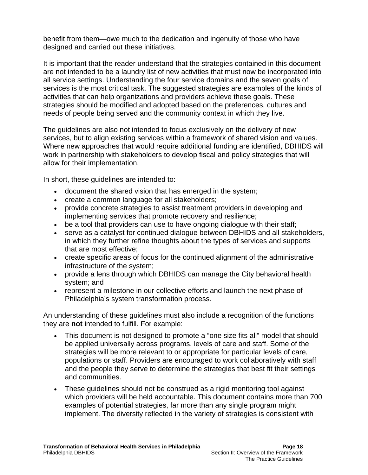benefit from them—owe much to the dedication and ingenuity of those who have designed and carried out these initiatives.

It is important that the reader understand that the strategies contained in this document are not intended to be a laundry list of new activities that must now be incorporated into all service settings. Understanding the four service domains and the seven goals of services is the most critical task. The suggested strategies are examples of the kinds of activities that can help organizations and providers achieve these goals. These strategies should be modified and adopted based on the preferences, cultures and needs of people being served and the community context in which they live.

The guidelines are also not intended to focus exclusively on the delivery of new services, but to align existing services within a framework of shared vision and values. Where new approaches that would require additional funding are identified, DBHIDS will work in partnership with stakeholders to develop fiscal and policy strategies that will allow for their implementation.

In short, these guidelines are intended to:

- document the shared vision that has emerged in the system;
- create a common language for all stakeholders;
- provide concrete strategies to assist treatment providers in developing and implementing services that promote recovery and resilience;
- be a tool that providers can use to have ongoing dialogue with their staff;
- serve as a catalyst for continued dialogue between DBHIDS and all stakeholders, in which they further refine thoughts about the types of services and supports that are most effective;
- create specific areas of focus for the continued alignment of the administrative infrastructure of the system;
- provide a lens through which DBHIDS can manage the City behavioral health system; and
- represent a milestone in our collective efforts and launch the next phase of Philadelphia's system transformation process.

An understanding of these guidelines must also include a recognition of the functions they are **not** intended to fulfill. For example:

- This document is not designed to promote a "one size fits all" model that should be applied universally across programs, levels of care and staff. Some of the strategies will be more relevant to or appropriate for particular levels of care, populations or staff. Providers are encouraged to work collaboratively with staff and the people they serve to determine the strategies that best fit their settings and communities.
- These guidelines should not be construed as a rigid monitoring tool against which providers will be held accountable. This document contains more than 700 examples of potential strategies, far more than any single program might implement. The diversity reflected in the variety of strategies is consistent with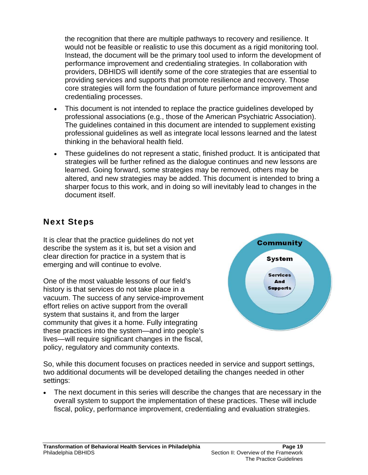the recognition that there are multiple pathways to recovery and resilience. It would not be feasible or realistic to use this document as a rigid monitoring tool. Instead, the document will be the primary tool used to inform the development of performance improvement and credentialing strategies. In collaboration with providers, DBHIDS will identify some of the core strategies that are essential to providing services and supports that promote resilience and recovery. Those core strategies will form the foundation of future performance improvement and credentialing processes.

- This document is not intended to replace the practice guidelines developed by professional associations (e.g., those of the American Psychiatric Association). The guidelines contained in this document are intended to supplement existing professional guidelines as well as integrate local lessons learned and the latest thinking in the behavioral health field.
- These guidelines do not represent a static, finished product. It is anticipated that strategies will be further refined as the dialogue continues and new lessons are learned. Going forward, some strategies may be removed, others may be altered, and new strategies may be added. This document is intended to bring a sharper focus to this work, and in doing so will inevitably lead to changes in the document itself.

#### Next Steps

It is clear that the practice guidelines do not yet describe the system as it is, but set a vision and clear direction for practice in a system that is emerging and will continue to evolve.

One of the most valuable lessons of our field's history is that services do not take place in a vacuum. The success of any service-improvement effort relies on active support from the overall system that sustains it, and from the larger community that gives it a home. Fully integrating these practices into the system—and into people's lives—will require significant changes in the fiscal, policy, regulatory and community contexts.



So, while this document focuses on practices needed in service and support settings, two additional documents will be developed detailing the changes needed in other settings:

 The next document in this series will describe the changes that are necessary in the overall system to support the implementation of these practices. These will include fiscal, policy, performance improvement, credentialing and evaluation strategies.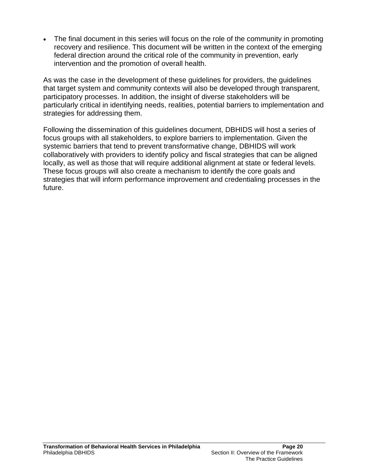The final document in this series will focus on the role of the community in promoting recovery and resilience. This document will be written in the context of the emerging federal direction around the critical role of the community in prevention, early intervention and the promotion of overall health.

As was the case in the development of these guidelines for providers, the guidelines that target system and community contexts will also be developed through transparent, participatory processes. In addition, the insight of diverse stakeholders will be particularly critical in identifying needs, realities, potential barriers to implementation and strategies for addressing them.

Following the dissemination of this guidelines document, DBHIDS will host a series of focus groups with all stakeholders, to explore barriers to implementation. Given the systemic barriers that tend to prevent transformative change, DBHIDS will work collaboratively with providers to identify policy and fiscal strategies that can be aligned locally, as well as those that will require additional alignment at state or federal levels. These focus groups will also create a mechanism to identify the core goals and strategies that will inform performance improvement and credentialing processes in the future.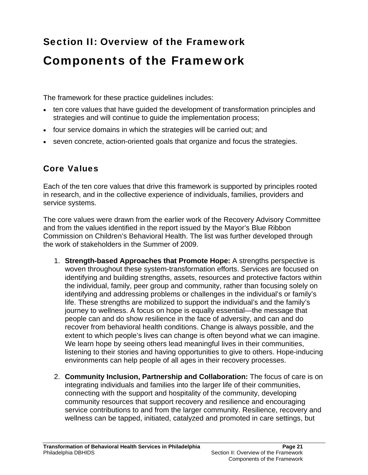# Section II: Overview of the Framework Components of the Framework

The framework for these practice guidelines includes:

- ten core values that have quided the development of transformation principles and strategies and will continue to guide the implementation process;
- four service domains in which the strategies will be carried out; and
- seven concrete, action-oriented goals that organize and focus the strategies.

### Core Values

Each of the ten core values that drive this framework is supported by principles rooted in research, and in the collective experience of individuals, families, providers and service systems.

The core values were drawn from the earlier work of the Recovery Advisory Committee and from the values identified in the report issued by the Mayor's Blue Ribbon Commission on Children's Behavioral Health. The list was further developed through the work of stakeholders in the Summer of 2009.

- 1. **Strength-based Approaches that Promote Hope:** A strengths perspective is woven throughout these system-transformation efforts. Services are focused on identifying and building strengths, assets, resources and protective factors within the individual, family, peer group and community, rather than focusing solely on identifying and addressing problems or challenges in the individual's or family's life. These strengths are mobilized to support the individual's and the family's journey to wellness. A focus on hope is equally essential—the message that people can and do show resilience in the face of adversity, and can and do recover from behavioral health conditions. Change is always possible, and the extent to which people's lives can change is often beyond what we can imagine. We learn hope by seeing others lead meaningful lives in their communities, listening to their stories and having opportunities to give to others. Hope-inducing environments can help people of all ages in their recovery processes.
- 2. **Community Inclusion, Partnership and Collaboration:** The focus of care is on integrating individuals and families into the larger life of their communities, connecting with the support and hospitality of the community, developing community resources that support recovery and resilience and encouraging service contributions to and from the larger community. Resilience, recovery and wellness can be tapped, initiated, catalyzed and promoted in care settings, but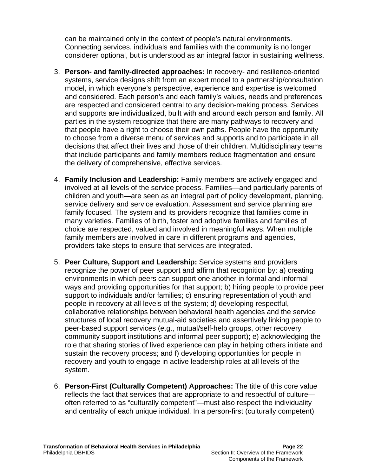can be maintained only in the context of people's natural environments. Connecting services, individuals and families with the community is no longer considerer optional, but is understood as an integral factor in sustaining wellness.

- 3. **Person- and family-directed approaches:** In recovery- and resilience-oriented systems, service designs shift from an expert model to a partnership/consultation model, in which everyone's perspective, experience and expertise is welcomed and considered. Each person's and each family's values, needs and preferences are respected and considered central to any decision-making process. Services and supports are individualized, built with and around each person and family. All parties in the system recognize that there are many pathways to recovery and that people have a right to choose their own paths. People have the opportunity to choose from a diverse menu of services and supports and to participate in all decisions that affect their lives and those of their children. Multidisciplinary teams that include participants and family members reduce fragmentation and ensure the delivery of comprehensive, effective services.
- 4. **Family Inclusion and Leadership:** Family members are actively engaged and involved at all levels of the service process. Families—and particularly parents of children and youth—are seen as an integral part of policy development, planning, service delivery and service evaluation. Assessment and service planning are family focused. The system and its providers recognize that families come in many varieties. Families of birth, foster and adoptive families and families of choice are respected, valued and involved in meaningful ways. When multiple family members are involved in care in different programs and agencies, providers take steps to ensure that services are integrated.
- 5. **Peer Culture, Support and Leadership:** Service systems and providers recognize the power of peer support and affirm that recognition by: a) creating environments in which peers can support one another in formal and informal ways and providing opportunities for that support; b) hiring people to provide peer support to individuals and/or families; c) ensuring representation of youth and people in recovery at all levels of the system; d) developing respectful, collaborative relationships between behavioral health agencies and the service structures of local recovery mutual-aid societies and assertively linking people to peer-based support services (e.g., mutual/self-help groups, other recovery community support institutions and informal peer support); e) acknowledging the role that sharing stories of lived experience can play in helping others initiate and sustain the recovery process; and f) developing opportunities for people in recovery and youth to engage in active leadership roles at all levels of the system.
- 6. **Person-First (Culturally Competent) Approaches:** The title of this core value reflects the fact that services that are appropriate to and respectful of culture often referred to as "culturally competent"—must also respect the individuality and centrality of each unique individual. In a person-first (culturally competent)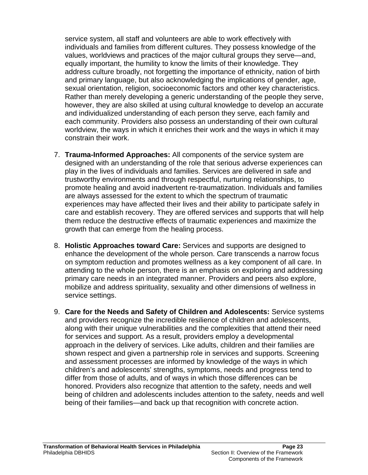service system, all staff and volunteers are able to work effectively with individuals and families from different cultures. They possess knowledge of the values, worldviews and practices of the major cultural groups they serve—and, equally important, the humility to know the limits of their knowledge. They address culture broadly, not forgetting the importance of ethnicity, nation of birth and primary language, but also acknowledging the implications of gender, age, sexual orientation, religion, socioeconomic factors and other key characteristics. Rather than merely developing a generic understanding of the people they serve, however, they are also skilled at using cultural knowledge to develop an accurate and individualized understanding of each person they serve, each family and each community. Providers also possess an understanding of their own cultural worldview, the ways in which it enriches their work and the ways in which it may constrain their work.

- 7. **Trauma-Informed Approaches:** All components of the service system are designed with an understanding of the role that serious adverse experiences can play in the lives of individuals and families. Services are delivered in safe and trustworthy environments and through respectful, nurturing relationships, to promote healing and avoid inadvertent re-traumatization. Individuals and families are always assessed for the extent to which the spectrum of traumatic experiences may have affected their lives and their ability to participate safely in care and establish recovery. They are offered services and supports that will help them reduce the destructive effects of traumatic experiences and maximize the growth that can emerge from the healing process.
- 8. **Holistic Approaches toward Care:** Services and supports are designed to enhance the development of the whole person. Care transcends a narrow focus on symptom reduction and promotes wellness as a key component of all care. In attending to the whole person, there is an emphasis on exploring and addressing primary care needs in an integrated manner. Providers and peers also explore, mobilize and address spirituality, sexuality and other dimensions of wellness in service settings.
- 9. **Care for the Needs and Safety of Children and Adolescents:** Service systems and providers recognize the incredible resilience of children and adolescents, along with their unique vulnerabilities and the complexities that attend their need for services and support. As a result, providers employ a developmental approach in the delivery of services. Like adults, children and their families are shown respect and given a partnership role in services and supports. Screening and assessment processes are informed by knowledge of the ways in which children's and adolescents' strengths, symptoms, needs and progress tend to differ from those of adults, and of ways in which those differences can be honored. Providers also recognize that attention to the safety, needs and well being of children and adolescents includes attention to the safety, needs and well being of their families—and back up that recognition with concrete action.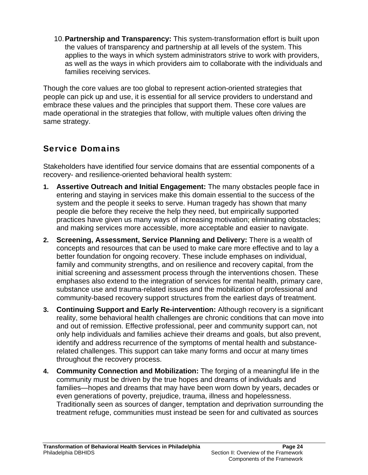10. **Partnership and Transparency:** This system-transformation effort is built upon the values of transparency and partnership at all levels of the system. This applies to the ways in which system administrators strive to work with providers, as well as the ways in which providers aim to collaborate with the individuals and families receiving services.

Though the core values are too global to represent action-oriented strategies that people can pick up and use, it is essential for all service providers to understand and embrace these values and the principles that support them. These core values are made operational in the strategies that follow, with multiple values often driving the same strategy.

### Service Domains

Stakeholders have identified four service domains that are essential components of a recovery- and resilience-oriented behavioral health system:

- **1. Assertive Outreach and Initial Engagement:** The many obstacles people face in entering and staying in services make this domain essential to the success of the system and the people it seeks to serve. Human tragedy has shown that many people die before they receive the help they need, but empirically supported practices have given us many ways of increasing motivation; eliminating obstacles; and making services more accessible, more acceptable and easier to navigate.
- **2. Screening, Assessment, Service Planning and Delivery:** There is a wealth of concepts and resources that can be used to make care more effective and to lay a better foundation for ongoing recovery. These include emphases on individual, family and community strengths, and on resilience and recovery capital, from the initial screening and assessment process through the interventions chosen. These emphases also extend to the integration of services for mental health, primary care, substance use and trauma-related issues and the mobilization of professional and community-based recovery support structures from the earliest days of treatment.
- **3. Continuing Support and Early Re-intervention:** Although recovery is a significant reality, some behavioral health challenges are chronic conditions that can move into and out of remission. Effective professional, peer and community support can, not only help individuals and families achieve their dreams and goals, but also prevent, identify and address recurrence of the symptoms of mental health and substancerelated challenges. This support can take many forms and occur at many times throughout the recovery process.
- **4. Community Connection and Mobilization:** The forging of a meaningful life in the community must be driven by the true hopes and dreams of individuals and families—hopes and dreams that may have been worn down by years, decades or even generations of poverty, prejudice, trauma, illness and hopelessness. Traditionally seen as sources of danger, temptation and deprivation surrounding the treatment refuge, communities must instead be seen for and cultivated as sources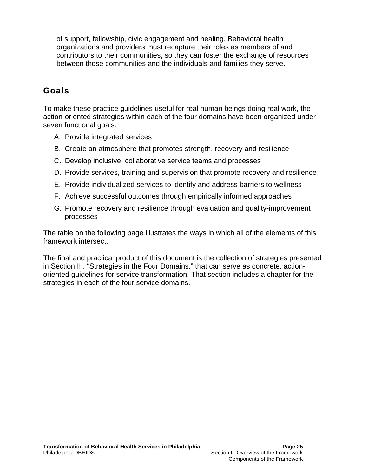of support, fellowship, civic engagement and healing. Behavioral health organizations and providers must recapture their roles as members of and contributors to their communities, so they can foster the exchange of resources between those communities and the individuals and families they serve.

### Goals

To make these practice guidelines useful for real human beings doing real work, the action-oriented strategies within each of the four domains have been organized under seven functional goals.

- A. Provide integrated services
- B. Create an atmosphere that promotes strength, recovery and resilience
- C. Develop inclusive, collaborative service teams and processes
- D. Provide services, training and supervision that promote recovery and resilience
- E. Provide individualized services to identify and address barriers to wellness
- F. Achieve successful outcomes through empirically informed approaches
- G. Promote recovery and resilience through evaluation and quality-improvement processes

The table on the following page illustrates the ways in which all of the elements of this framework intersect.

The final and practical product of this document is the collection of strategies presented in Section III, "Strategies in the Four Domains," that can serve as concrete, actionoriented guidelines for service transformation. That section includes a chapter for the strategies in each of the four service domains.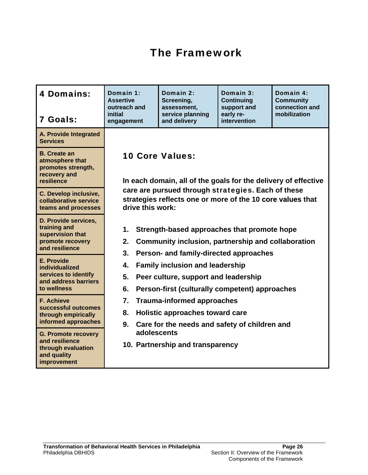## The Framework

| <b>4 Domains:</b><br>7 Goals:                                                                    | Domain 1:<br><b>Assertive</b><br>outreach and<br>initial<br>engagement                                                                                                                                                                                                                                                                                                                                                                                                                                            | Domain 2:<br>Screening,<br>assessment,<br>service planning<br>and delivery | Domain 3:<br><b>Continuing</b><br>support and<br>early re-<br>intervention | Domain 4:<br><b>Community</b><br>connection and<br>mobilization |  |  |
|--------------------------------------------------------------------------------------------------|-------------------------------------------------------------------------------------------------------------------------------------------------------------------------------------------------------------------------------------------------------------------------------------------------------------------------------------------------------------------------------------------------------------------------------------------------------------------------------------------------------------------|----------------------------------------------------------------------------|----------------------------------------------------------------------------|-----------------------------------------------------------------|--|--|
| A. Provide Integrated<br><b>Services</b>                                                         |                                                                                                                                                                                                                                                                                                                                                                                                                                                                                                                   |                                                                            |                                                                            |                                                                 |  |  |
| <b>B.</b> Create an<br>atmosphere that<br>promotes strength,<br>recovery and<br>resilience       | <b>10 Core Values:</b><br>In each domain, all of the goals for the delivery of effective                                                                                                                                                                                                                                                                                                                                                                                                                          |                                                                            |                                                                            |                                                                 |  |  |
| <b>C. Develop inclusive,</b><br>collaborative service<br>teams and processes                     | care are pursued through strategies. Each of these<br>strategies reflects one or more of the 10 core values that<br>drive this work:                                                                                                                                                                                                                                                                                                                                                                              |                                                                            |                                                                            |                                                                 |  |  |
| D. Provide services,<br>training and<br>supervision that<br>promote recovery<br>and resilience   | 1.<br>Strength-based approaches that promote hope<br>Community inclusion, partnership and collaboration<br>2.<br>3.<br>Person- and family-directed approaches<br><b>Family inclusion and leadership</b><br>4.<br>5.<br>Peer culture, support and leadership<br>6.<br>Person-first (culturally competent) approaches<br>7.<br><b>Trauma-informed approaches</b><br>8.<br>Holistic approaches toward care<br>9.<br>Care for the needs and safety of children and<br>adolescents<br>10. Partnership and transparency |                                                                            |                                                                            |                                                                 |  |  |
| E. Provide<br>individualized<br>services to identify<br>and address barriers<br>to wellness      |                                                                                                                                                                                                                                                                                                                                                                                                                                                                                                                   |                                                                            |                                                                            |                                                                 |  |  |
| <b>F. Achieve</b><br>successful outcomes<br>through empirically<br>informed approaches           |                                                                                                                                                                                                                                                                                                                                                                                                                                                                                                                   |                                                                            |                                                                            |                                                                 |  |  |
| <b>G. Promote recovery</b><br>and resilience<br>through evaluation<br>and quality<br>improvement |                                                                                                                                                                                                                                                                                                                                                                                                                                                                                                                   |                                                                            |                                                                            |                                                                 |  |  |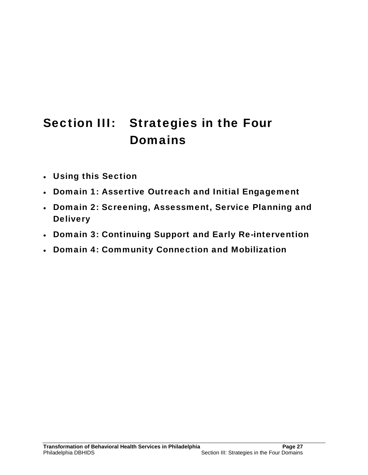# Section III: Strategies in the Four Domains

- Using this Section
- Domain 1: Assertive Outreach and Initial Engagement
- Domain 2: Screening, Assessment, Service Planning and **Delivery**
- Domain 3: Continuing Support and Early Re-intervention
- Domain 4: Community Connection and Mobilization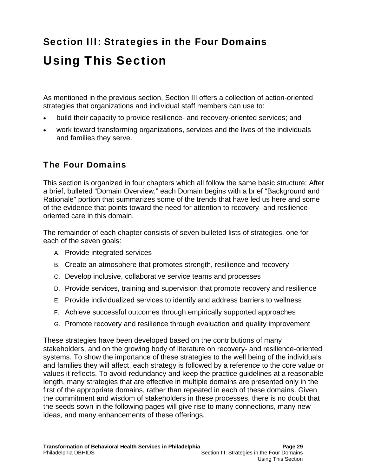# Section III: Strategies in the Four Domains Using This Section

As mentioned in the previous section, Section III offers a collection of action-oriented strategies that organizations and individual staff members can use to:

- build their capacity to provide resilience- and recovery-oriented services; and
- work toward transforming organizations, services and the lives of the individuals and families they serve.

#### The Four Domains

This section is organized in four chapters which all follow the same basic structure: After a brief, bulleted "Domain Overview," each Domain begins with a brief "Background and Rationale" portion that summarizes some of the trends that have led us here and some of the evidence that points toward the need for attention to recovery- and resilienceoriented care in this domain.

The remainder of each chapter consists of seven bulleted lists of strategies, one for each of the seven goals:

- A. Provide integrated services
- B. Create an atmosphere that promotes strength, resilience and recovery
- C. Develop inclusive, collaborative service teams and processes
- D. Provide services, training and supervision that promote recovery and resilience
- E. Provide individualized services to identify and address barriers to wellness
- F. Achieve successful outcomes through empirically supported approaches
- G. Promote recovery and resilience through evaluation and quality improvement

These strategies have been developed based on the contributions of many stakeholders, and on the growing body of literature on recovery- and resilience-oriented systems. To show the importance of these strategies to the well being of the individuals and families they will affect, each strategy is followed by a reference to the core value or values it reflects. To avoid redundancy and keep the practice guidelines at a reasonable length, many strategies that are effective in multiple domains are presented only in the first of the appropriate domains, rather than repeated in each of these domains. Given the commitment and wisdom of stakeholders in these processes, there is no doubt that the seeds sown in the following pages will give rise to many connections, many new ideas, and many enhancements of these offerings.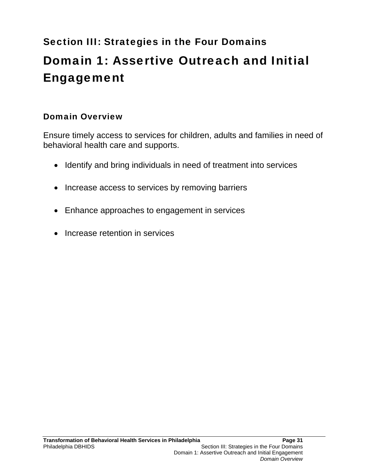# Section III: Strategies in the Four Domains Domain 1: Assertive Outreach and Initial Engagement

# Domain Overview

Ensure timely access to services for children, adults and families in need of behavioral health care and supports.

- Identify and bring individuals in need of treatment into services
- Increase access to services by removing barriers
- Enhance approaches to engagement in services
- Increase retention in services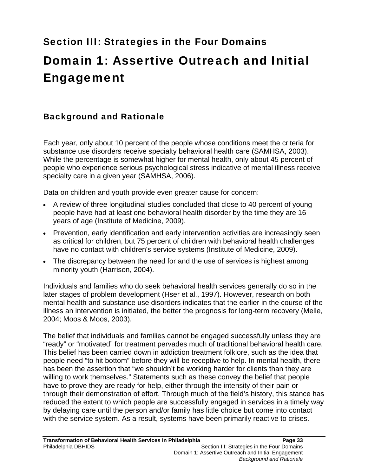# Section III: Strategies in the Four Domains Domain 1: Assertive Outreach and Initial Engagement

# Background and Rationale

Each year, only about 10 percent of the people whose conditions meet the criteria for substance use disorders receive specialty behavioral health care (SAMHSA, 2003). While the percentage is somewhat higher for mental health, only about 45 percent of people who experience serious psychological stress indicative of mental illness receive specialty care in a given year (SAMHSA, 2006).

Data on children and youth provide even greater cause for concern:

- A review of three longitudinal studies concluded that close to 40 percent of young people have had at least one behavioral health disorder by the time they are 16 years of age (Institute of Medicine, 2009).
- Prevention, early identification and early intervention activities are increasingly seen as critical for children, but 75 percent of children with behavioral health challenges have no contact with children's service systems (Institute of Medicine, 2009).
- The discrepancy between the need for and the use of services is highest among minority youth (Harrison, 2004).

Individuals and families who do seek behavioral health services generally do so in the later stages of problem development (Hser et al., 1997). However, research on both mental health and substance use disorders indicates that the earlier in the course of the illness an intervention is initiated, the better the prognosis for long-term recovery (Melle, 2004; Moos & Moos, 2003).

The belief that individuals and families cannot be engaged successfully unless they are "ready" or "motivated" for treatment pervades much of traditional behavioral health care. This belief has been carried down in addiction treatment folklore, such as the idea that people need "to hit bottom" before they will be receptive to help. In mental health, there has been the assertion that "we shouldn't be working harder for clients than they are willing to work themselves." Statements such as these convey the belief that people have to prove they are ready for help, either through the intensity of their pain or through their demonstration of effort. Through much of the field's history, this stance has reduced the extent to which people are successfully engaged in services in a timely way by delaying care until the person and/or family has little choice but come into contact with the service system. As a result, systems have been primarily reactive to crises.

*Background and Rationale*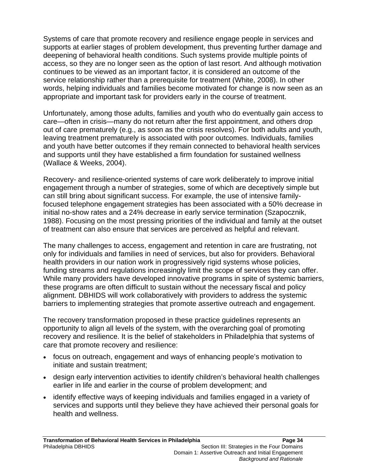Systems of care that promote recovery and resilience engage people in services and supports at earlier stages of problem development, thus preventing further damage and deepening of behavioral health conditions. Such systems provide multiple points of access, so they are no longer seen as the option of last resort. And although motivation continues to be viewed as an important factor, it is considered an outcome of the service relationship rather than a prerequisite for treatment (White, 2008). In other words, helping individuals and families become motivated for change is now seen as an appropriate and important task for providers early in the course of treatment.

Unfortunately, among those adults, families and youth who do eventually gain access to care—often in crisis—many do not return after the first appointment, and others drop out of care prematurely (e.g., as soon as the crisis resolves). For both adults and youth, leaving treatment prematurely is associated with poor outcomes. Individuals, families and youth have better outcomes if they remain connected to behavioral health services and supports until they have established a firm foundation for sustained wellness (Wallace & Weeks, 2004).

Recovery- and resilience-oriented systems of care work deliberately to improve initial engagement through a number of strategies, some of which are deceptively simple but can still bring about significant success. For example, the use of intensive familyfocused telephone engagement strategies has been associated with a 50% decrease in initial no-show rates and a 24% decrease in early service termination (Szapocznik, 1988). Focusing on the most pressing priorities of the individual and family at the outset of treatment can also ensure that services are perceived as helpful and relevant.

The many challenges to access, engagement and retention in care are frustrating, not only for individuals and families in need of services, but also for providers. Behavioral health providers in our nation work in progressively rigid systems whose policies, funding streams and regulations increasingly limit the scope of services they can offer. While many providers have developed innovative programs in spite of systemic barriers, these programs are often difficult to sustain without the necessary fiscal and policy alignment. DBHIDS will work collaboratively with providers to address the systemic barriers to implementing strategies that promote assertive outreach and engagement.

The recovery transformation proposed in these practice guidelines represents an opportunity to align all levels of the system, with the overarching goal of promoting recovery and resilience. It is the belief of stakeholders in Philadelphia that systems of care that promote recovery and resilience:

- focus on outreach, engagement and ways of enhancing people's motivation to initiate and sustain treatment;
- design early intervention activities to identify children's behavioral health challenges earlier in life and earlier in the course of problem development; and
- identify effective ways of keeping individuals and families engaged in a variety of services and supports until they believe they have achieved their personal goals for health and wellness.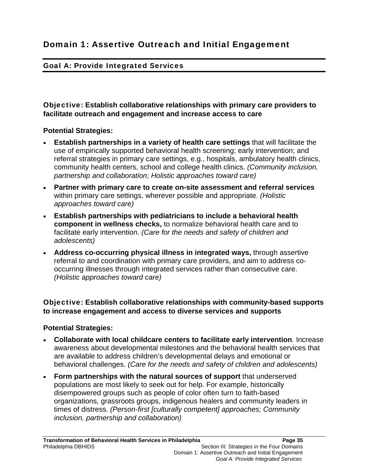# Goal A: Provide Integrated Services

Objective: **Establish collaborative relationships with primary care providers to facilitate outreach and engagement and increase access to care** 

#### **Potential Strategies:**

- **Establish partnerships in a variety of health care settings** that will facilitate the use of empirically supported behavioral health screening; early intervention; and referral strategies in primary care settings, e.g., hospitals, ambulatory health clinics, community health centers, school and college health clinics. *(Community inclusion, partnership and collaboration; Holistic approaches toward care)*
- **Partner with primary care to create on-site assessment and referral services**  within primary care settings, wherever possible and appropriate. *(Holistic approaches toward care)*
- **Establish partnerships with pediatricians to include a behavioral health component in wellness checks,** to normalize behavioral health care and to facilitate early intervention. *(Care for the needs and safety of children and adolescents)*
- **Address co-occurring physical illness in integrated ways,** through assertive referral to and coordination with primary care providers, and aim to address cooccurring illnesses through integrated services rather than consecutive care. *(Holistic approaches toward care)*

# Objective: **Establish collaborative relationships with community-based supports to increase engagement and access to diverse services and supports**

#### **Potential Strategies:**

- **Collaborate with local childcare centers to facilitate early intervention**. Increase awareness about developmental milestones and the behavioral health services that are available to address children's developmental delays and emotional or behavioral challenges. *(Care for the needs and safety of children and adolescents)*
- **Form partnerships with the natural sources of support** that underserved populations are most likely to seek out for help. For example, historically disempowered groups such as people of color often turn to faith-based organizations, grassroots groups, indigenous healers and community leaders in times of distress. *(Person-first [culturally competent] approaches; Community inclusion, partnership and collaboration)*

 *Goal A: Provide Integrated Services*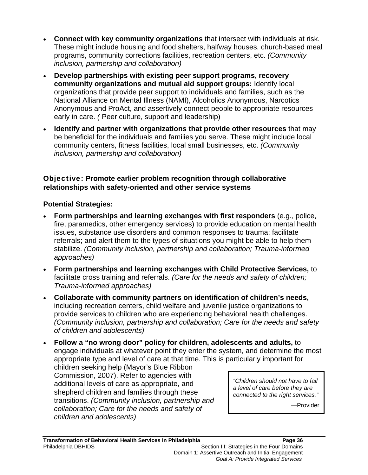- **Connect with key community organizations** that intersect with individuals at risk. These might include housing and food shelters, halfway houses, church-based meal programs, community corrections facilities, recreation centers, etc. *(Community inclusion, partnership and collaboration)*
- **Develop partnerships with existing peer support programs, recovery community organizations and mutual aid support groups:** Identify local organizations that provide peer support to individuals and families, such as the National Alliance on Mental Illness (NAMI), Alcoholics Anonymous, Narcotics Anonymous and ProAct, and assertively connect people to appropriate resources early in care. *(* Peer culture, support and leadership)
- **Identify and partner with organizations that provide other resources** that may be beneficial for the individuals and families you serve. These might include local community centers, fitness facilities, local small businesses, etc. *(Community inclusion, partnership and collaboration)*

# Objective: **Promote earlier problem recognition through collaborative relationships with safety-oriented and other service systems**

# **Potential Strategies:**

- **Form partnerships and learning exchanges with first responders** (e.g., police, fire, paramedics, other emergency services) to provide education on mental health issues, substance use disorders and common responses to trauma; facilitate referrals; and alert them to the types of situations you might be able to help them stabilize. *(Community inclusion, partnership and collaboration; Trauma-informed approaches)*
- **Form partnerships and learning exchanges with Child Protective Services,** to facilitate cross training and referrals. *(Care for the needs and safety of children; Trauma-informed approaches)*
- **Collaborate with community partners on identification of children's needs,** including recreation centers, child welfare and juvenile justice organizations to provide services to children who are experiencing behavioral health challenges. *(Community inclusion, partnership and collaboration; Care for the needs and safety of children and adolescents)*
- **Follow a "no wrong door" policy for children, adolescents and adults,** to engage individuals at whatever point they enter the system, and determine the most appropriate type and level of care at that time. This is particularly important for

children seeking help (Mayor's Blue Ribbon Commission, 2007). Refer to agencies with additional levels of care as appropriate, and shepherd children and families through these transitions. *(Community inclusion, partnership and collaboration; Care for the needs and safety of children and adolescents)* 

*"Children should not have to fail a level of care before they are connected to the right services."*

—Provider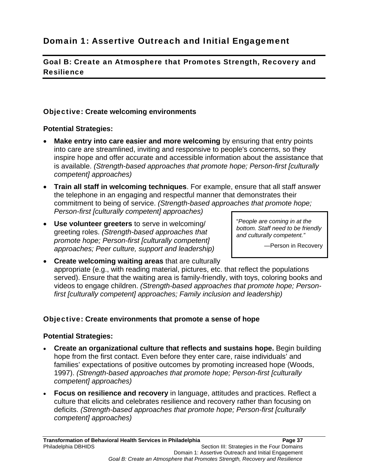# Goal B: Create an Atmosphere that Promotes Strength, Recovery and Resilience

# Objective: **Create welcoming environments**

# **Potential Strategies:**

- **Make entry into care easier and more welcoming** by ensuring that entry points into care are streamlined, inviting and responsive to people's concerns, so they inspire hope and offer accurate and accessible information about the assistance that is available. *(Strength-based approaches that promote hope; Person-first [culturally competent] approaches)*
- **Train all staff in welcoming techniques**. For example, ensure that all staff answer the telephone in an engaging and respectful manner that demonstrates their commitment to being of service. *(Strength-based approaches that promote hope; Person-first [culturally competent] approaches)*
- **Use volunteer greeters** to serve in welcoming/ greeting roles. *(Strength-based approaches that promote hope; Person-first [culturally competent] approaches; Peer culture, support and leadership)*

"*People are coming in at the bottom. Staff need to be friendly and culturally competent."*

—Person in Recovery

 **Create welcoming waiting areas** that are culturally appropriate (e.g., with reading material, pictures, etc. that reflect the populations served). Ensure that the waiting area is family-friendly, with toys, coloring books and videos to engage children. *(Strength-based approaches that promote hope; Personfirst [culturally competent] approaches; Family inclusion and leadership)*

# Objective: **Create environments that promote a sense of hope**

- **Create an organizational culture that reflects and sustains hope.** Begin building hope from the first contact. Even before they enter care, raise individuals' and families' expectations of positive outcomes by promoting increased hope (Woods, 1997). *(Strength-based approaches that promote hope; Person-first [culturally competent] approaches)*
- **Focus on resilience and recovery** in language, attitudes and practices. Reflect a culture that elicits and celebrates resilience and recovery rather than focusing on deficits. *(Strength-based approaches that promote hope; Person-first [culturally competent] approaches)*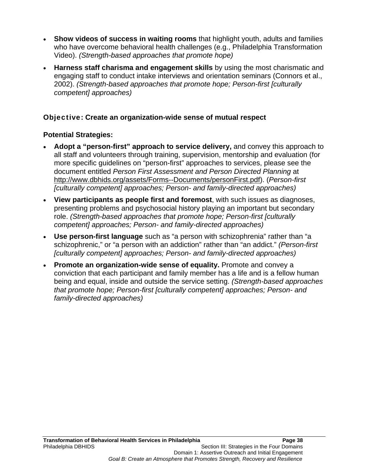- **Show videos of success in waiting rooms** that highlight youth, adults and families who have overcome behavioral health challenges (e.g., Philadelphia Transformation Video). *(Strength-based approaches that promote hope)*
- **Harness staff charisma and engagement skills** by using the most charismatic and engaging staff to conduct intake interviews and orientation seminars (Connors et al., 2002). *(Strength-based approaches that promote hope; Person-first [culturally competent] approaches)*

# Objective**: Create an organization-wide sense of mutual respect**

- **Adopt a "person-first" approach to service delivery,** and convey this approach to all staff and volunteers through training, supervision, mentorship and evaluation (for more specific guidelines on "person-first" approaches to services, please see the document entitled *Person First Assessment and Person Directed Planning* at http://www.dbhids.org/assets/Forms--Documents/personFirst.pdf). (*Person-first [culturally competent] approaches; Person- and family-directed approaches)*
- **View participants as people first and foremost**, with such issues as diagnoses, presenting problems and psychosocial history playing an important but secondary role. *(Strength-based approaches that promote hope; Person-first [culturally competent] approaches; Person- and family-directed approaches)*
- **Use person-first language** such as "a person with schizophrenia" rather than "a schizophrenic," or "a person with an addiction" rather than "an addict." *(Person-first [culturally competent] approaches; Person- and family-directed approaches)*
- **Promote an organization-wide sense of equality.** Promote and convey a conviction that each participant and family member has a life and is a fellow human being and equal, inside and outside the service setting. *(Strength-based approaches that promote hope; Person-first [culturally competent] approaches; Person- and family-directed approaches)*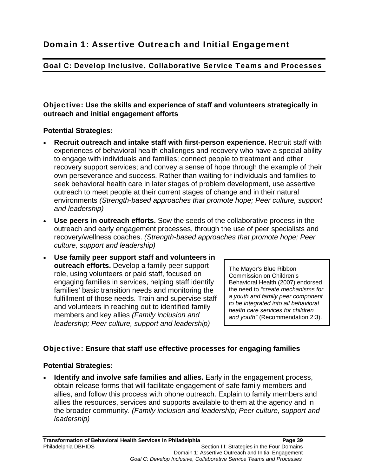# Goal C: Develop Inclusive, Collaborative Service Teams and Processes

# Objective: **Use the skills and experience of staff and volunteers strategically in outreach and initial engagement efforts**

# **Potential Strategies:**

- **Recruit outreach and intake staff with first-person experience.** Recruit staff with experiences of behavioral health challenges and recovery who have a special ability to engage with individuals and families; connect people to treatment and other recovery support services; and convey a sense of hope through the example of their own perseverance and success. Rather than waiting for individuals and families to seek behavioral health care in later stages of problem development, use assertive outreach to meet people at their current stages of change and in their natural environments *(Strength-based approaches that promote hope; Peer culture, support and leadership)*
- **Use peers in outreach efforts.** Sow the seeds of the collaborative process in the outreach and early engagement processes, through the use of peer specialists and recovery/wellness coaches. *(Strength-based approaches that promote hope; Peer culture, support and leadership)*
- **Use family peer support staff and volunteers in outreach efforts.** Develop a family peer support role, using volunteers or paid staff, focused on engaging families in services, helping staff identify families' basic transition needs and monitoring the fulfillment of those needs. Train and supervise staff and volunteers in reaching out to identified family members and key allies *(Family inclusion and leadership; Peer culture, support and leadership)*

The Mayor's Blue Ribbon Commission on Children's Behavioral Health (2007) endorsed the need to *"create mechanisms for a youth and family peer component to be integrated into all behavioral health care services for children and youth"* (Recommendation 2:3).

# Objective: **Ensure that staff use effective processes for engaging families**

# **Potential Strategies:**

 **Identify and involve safe families and allies.** Early in the engagement process, obtain release forms that will facilitate engagement of safe family members and allies, and follow this process with phone outreach. Explain to family members and allies the resources, services and supports available to them at the agency and in the broader community. *(Family inclusion and leadership; Peer culture, support and leadership)*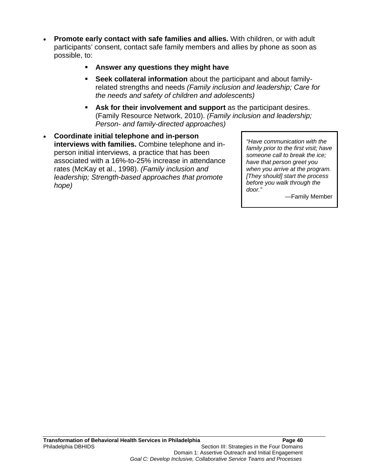- **Promote early contact with safe families and allies.** With children, or with adult participants' consent, contact safe family members and allies by phone as soon as possible, to:
	- **Answer any questions they might have**
	- **Seek collateral information** about the participant and about familyrelated strengths and needs *(Family inclusion and leadership; Care for the needs and safety of children and adolescents)*
	- **Ask for their involvement and support** as the participant desires. (Family Resource Network, 2010). *(Family inclusion and leadership; Person- and family-directed approaches)*
- **Coordinate initial telephone and in-person interviews with families.** Combine telephone and inperson initial interviews, a practice that has been associated with a 16%-to-25% increase in attendance rates (McKay et al., 1998). *(Family inclusion and leadership; Strength-based approaches that promote hope)*

*"Have communication with the family prior to the first visit; have someone call to break the ice; have that person greet you when you arrive at the program. [They should] start the process before you walk through the door."*

—Family Member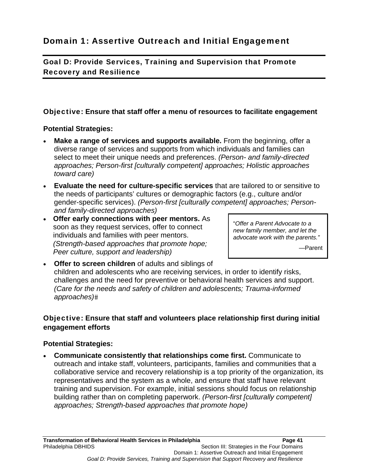Goal D: Provide Services, Training and Supervision that Promote Recovery and Resilience

# Objective: **Ensure that staff offer a menu of resources to facilitate engagement**

# **Potential Strategies:**

- **Make a range of services and supports available.** From the beginning, offer a diverse range of services and supports from which individuals and families can select to meet their unique needs and preferences. *(Person- and family-directed approaches; Person-first [culturally competent] approaches; Holistic approaches toward care)*
- **Evaluate the need for culture-specific services** that are tailored to or sensitive to the needs of participants' cultures or demographic factors (e.g., culture and/or gender-specific services). *(Person-first [culturally competent] approaches; Personand family-directed approaches)*
- **Offer early connections with peer mentors.** As soon as they request services, offer to connect individuals and families with peer mentors. *(Strength-based approaches that promote hope; Peer culture, support and leadership)*

"*Offer a Parent Advocate to a new family member, and let the advocate work with the parents."*

—Parent

 **Offer to screen children** of adults and siblings of children and adolescents who are receiving services, in order to identify risks, challenges and the need for preventive or behavioral health services and support. *(Care for the needs and safety of children and adolescents; Trauma-informed approaches)*

# Objective: **Ensure that staff and volunteers place relationship first during initial engagement efforts**

# **Potential Strategies:**

 **Communicate consistently that relationships come first.** Communicate to outreach and intake staff, volunteers, participants, families and communities that a collaborative service and recovery relationship is a top priority of the organization, its representatives and the system as a whole, and ensure that staff have relevant training and supervision. For example, initial sessions should focus on relationship building rather than on completing paperwork. *(Person-first [culturally competent] approaches; Strength-based approaches that promote hope)*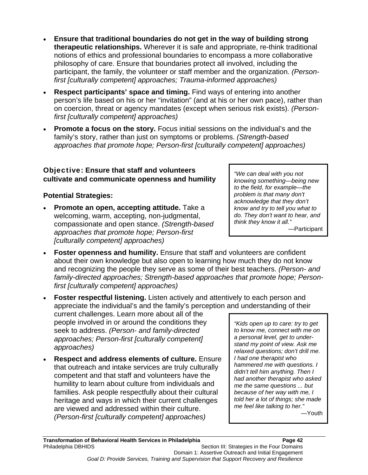- **Ensure that traditional boundaries do not get in the way of building strong therapeutic relationships.** Wherever it is safe and appropriate, re-think traditional notions of ethics and professional boundaries to encompass a more collaborative philosophy of care. Ensure that boundaries protect all involved, including the participant, the family, the volunteer or staff member and the organization. *(Personfirst [culturally competent] approaches; Trauma-informed approaches)*
- **Respect participants' space and timing.** Find ways of entering into another person's life based on his or her "invitation" (and at his or her own pace), rather than on coercion, threat or agency mandates (except when serious risk exists). *(Personfirst [culturally competent] approaches)*
- **Promote a focus on the story.** Focus initial sessions on the individual's and the family's story, rather than just on symptoms or problems. *(Strength-based approaches that promote hope; Person-first [culturally competent] approaches)*

# Objective: **Ensure that staff and volunteers cultivate and communicate openness and humility**

# **Potential Strategies:**

- **Promote an open, accepting attitude.** Take a welcoming, warm, accepting, non-judgmental, compassionate and open stance. *(Strength-based approaches that promote hope; Person-first [culturally competent] approaches)*
- **Foster openness and humility.** Ensure that staff and volunteers are confident about their own knowledge but also open to learning how much they do not know and recognizing the people they serve as some of their best teachers. *(Person- and family-directed approaches; Strength-based approaches that promote hope; Personfirst [culturally competent] approaches)*
- **Foster respectful listening.** Listen actively and attentively to each person and appreciate the individual's and the family's perception and understanding of their

current challenges. Learn more about all of the people involved in or around the conditions they seek to address. *(Person- and family-directed approaches; Person-first [culturally competent] approaches)*

 **Respect and address elements of culture.** Ensure that outreach and intake services are truly culturally competent and that staff and volunteers have the humility to learn about culture from individuals and families. Ask people respectfully about their cultural heritage and ways in which their current challenges are viewed and addressed within their culture. *(Person-first [culturally competent] approaches)*

*"Kids open up to care: try to get to know me, connect with me on a personal level, get to understand my point of view. Ask me relaxed questions; don't drill me. I had one therapist who hammered me with questions. I didn't tell him anything. Then I had another therapist who asked me the same questions ... but because of her way with me, I told her a lot of things; she made me feel like talking to her."* 

*"We can deal with you not knowing something—being new to the field, for example—the problem is that many don't acknowledge that they don't know and try to tell you what to do. They don't want to hear, and think they know it all."* 

—Participant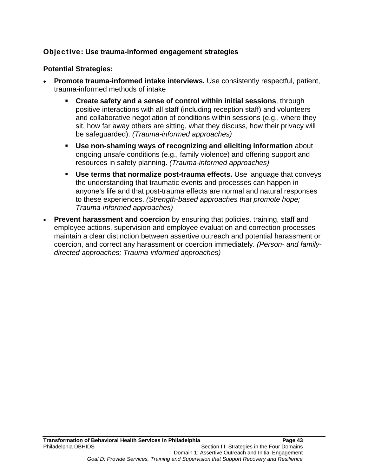# Objective: **Use trauma-informed engagement strategies**

- **Promote trauma-informed intake interviews.** Use consistently respectful, patient, trauma-informed methods of intake
	- **Create safety and a sense of control within initial sessions**, through positive interactions with all staff (including reception staff) and volunteers and collaborative negotiation of conditions within sessions (e.g., where they sit, how far away others are sitting, what they discuss, how their privacy will be safeguarded). *(Trauma-informed approaches)*
	- **Use non-shaming ways of recognizing and eliciting information** about ongoing unsafe conditions (e.g., family violence) and offering support and resources in safety planning. *(Trauma-informed approaches)*
	- **Use terms that normalize post-trauma effects.** Use language that conveys the understanding that traumatic events and processes can happen in anyone's life and that post-trauma effects are normal and natural responses to these experiences. *(Strength-based approaches that promote hope; Trauma-informed approaches)*
- **Prevent harassment and coercion** by ensuring that policies, training, staff and employee actions, supervision and employee evaluation and correction processes maintain a clear distinction between assertive outreach and potential harassment or coercion, and correct any harassment or coercion immediately. *(Person- and familydirected approaches; Trauma-informed approaches)*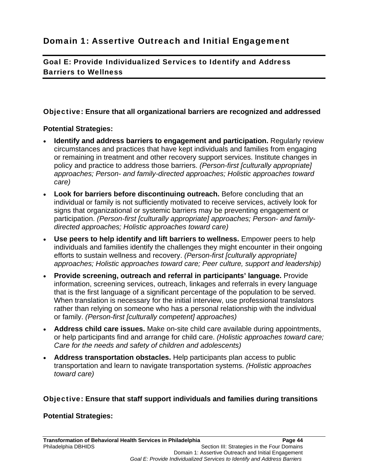Goal E: Provide Individualized Services to Identify and Address Barriers to Wellness

# Objective: **Ensure that all organizational barriers are recognized and addressed**

# **Potential Strategies:**

- **Identify and address barriers to engagement and participation.** Regularly review circumstances and practices that have kept individuals and families from engaging or remaining in treatment and other recovery support services. Institute changes in policy and practice to address those barriers. *(Person-first [culturally appropriate] approaches; Person- and family-directed approaches; Holistic approaches toward care)*
- **Look for barriers before discontinuing outreach.** Before concluding that an individual or family is not sufficiently motivated to receive services, actively look for signs that organizational or systemic barriers may be preventing engagement or participation. *(Person-first [culturally appropriate] approaches; Person- and familydirected approaches; Holistic approaches toward care)*
- **Use peers to help identify and lift barriers to wellness.** Empower peers to help individuals and families identify the challenges they might encounter in their ongoing efforts to sustain wellness and recovery. *(Person-first [culturally appropriate] approaches; Holistic approaches toward care; Peer culture, support and leadership)*
- **Provide screening, outreach and referral in participants' language.** Provide information, screening services, outreach, linkages and referrals in every language that is the first language of a significant percentage of the population to be served. When translation is necessary for the initial interview, use professional translators rather than relying on someone who has a personal relationship with the individual or family. *(Person-first [culturally competent] approaches)*
- **Address child care issues.** Make on-site child care available during appointments, or help participants find and arrange for child care. *(Holistic approaches toward care; Care for the needs and safety of children and adolescents)*
- **Address transportation obstacles.** Help participants plan access to public transportation and learn to navigate transportation systems. *(Holistic approaches toward care)*

# Objective: **Ensure that staff support individuals and families during transitions**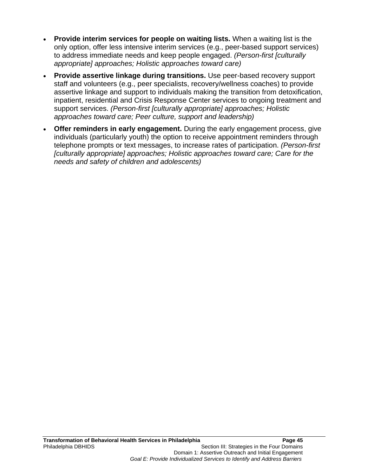- **Provide interim services for people on waiting lists.** When a waiting list is the only option, offer less intensive interim services (e.g., peer-based support services) to address immediate needs and keep people engaged. *(Person-first [culturally appropriate] approaches; Holistic approaches toward care)*
- **Provide assertive linkage during transitions.** Use peer-based recovery support staff and volunteers (e.g., peer specialists, recovery/wellness coaches) to provide assertive linkage and support to individuals making the transition from detoxification, inpatient, residential and Crisis Response Center services to ongoing treatment and support services. *(Person-first [culturally appropriate] approaches; Holistic approaches toward care; Peer culture, support and leadership)*
- **Offer reminders in early engagement.** During the early engagement process, give individuals (particularly youth) the option to receive appointment reminders through telephone prompts or text messages, to increase rates of participation. *(Person-first [culturally appropriate] approaches; Holistic approaches toward care; Care for the needs and safety of children and adolescents)*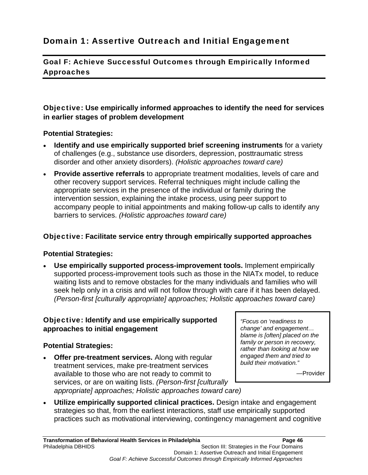# Domain 1: Assertive Outreach and Initial Engagement

Goal F: Achieve Successful Outcomes through Empirically Informed Approaches

# Objective: **Use empirically informed approaches to identify the need for services in earlier stages of problem development**

#### **Potential Strategies:**

- **Identify and use empirically supported brief screening instruments** for a variety of challenges (e.g., substance use disorders, depression, posttraumatic stress disorder and other anxiety disorders). *(Holistic approaches toward care)*
- **Provide assertive referrals** to appropriate treatment modalities, levels of care and other recovery support services. Referral techniques might include calling the appropriate services in the presence of the individual or family during the intervention session, explaining the intake process, using peer support to accompany people to initial appointments and making follow-up calls to identify any barriers to services. *(Holistic approaches toward care)*

#### Objective: **Facilitate service entry through empirically supported approaches**

#### **Potential Strategies:**

 **Use empirically supported process-improvement tools.** Implement empirically supported process-improvement tools such as those in the NIATx model, to reduce waiting lists and to remove obstacles for the many individuals and families who will seek help only in a crisis and will not follow through with care if it has been delayed. *(Person-first [culturally appropriate] approaches; Holistic approaches toward care)*

# Objective: **Identify and use empirically supported approaches to initial engagement**

#### **Potential Strategies:**

 **Offer pre-treatment services.** Along with regular treatment services, make pre-treatment services available to those who are not ready to commit to services, or are on waiting lists. *(Person-first [culturally appropriate] approaches; Holistic approaches toward care)*

*"Focus on 'readiness to change' and engagement… blame is [often] placed on the family or person in recovery, rather than looking at how we engaged them and tried to build their motivation."*

—Provider

 **Utilize empirically supported clinical practices.** Design intake and engagement strategies so that, from the earliest interactions, staff use empirically supported practices such as motivational interviewing, contingency management and cognitive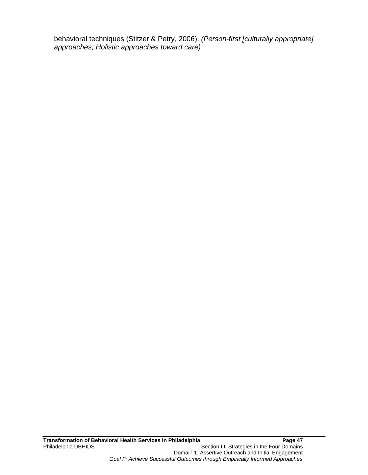behavioral techniques (Stitzer & Petry, 2006). *(Person-first [culturally appropriate] approaches; Holistic approaches toward care)*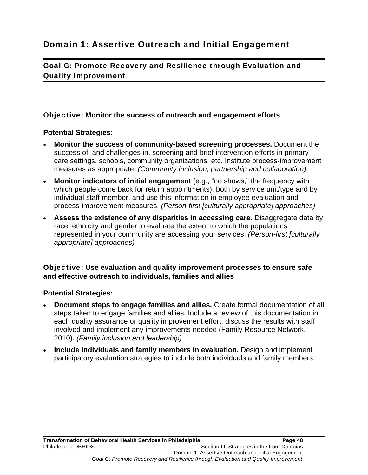# Domain 1: Assertive Outreach and Initial Engagement

Goal G: Promote Recovery and Resilience through Evaluation and Quality Improvement

#### Objective: **Monitor the success of outreach and engagement efforts**

#### **Potential Strategies:**

- **Monitor the success of community-based screening processes.** Document the success of, and challenges in, screening and brief intervention efforts in primary care settings, schools, community organizations, etc. Institute process-improvement measures as appropriate. *(Community inclusion, partnership and collaboration)*
- **Monitor indicators of initial engagement** (e.g., "no shows," the frequency with which people come back for return appointments), both by service unit/type and by individual staff member, and use this information in employee evaluation and process-improvement measures. *(Person-first [culturally appropriate] approaches)*
- **Assess the existence of any disparities in accessing care.** Disaggregate data by race, ethnicity and gender to evaluate the extent to which the populations represented in your community are accessing your services. *(Person-first [culturally appropriate] approaches)*

#### Objective: **Use evaluation and quality improvement processes to ensure safe and effective outreach to individuals, families and allies**

- **Document steps to engage families and allies.** Create formal documentation of all steps taken to engage families and allies. Include a review of this documentation in each quality assurance or quality improvement effort, discuss the results with staff involved and implement any improvements needed (Family Resource Network, 2010). *(Family inclusion and leadership)*
- **Include individuals and family members in evaluation.** Design and implement participatory evaluation strategies to include both individuals and family members.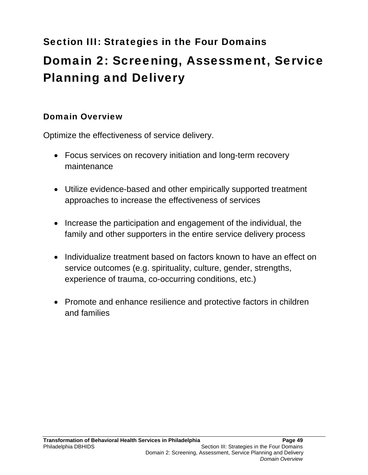# Section III: Strategies in the Four Domains Domain 2: Screening, Assessment, Service Planning and Delivery

# Domain Overview

Optimize the effectiveness of service delivery.

- Focus services on recovery initiation and long-term recovery maintenance
- Utilize evidence-based and other empirically supported treatment approaches to increase the effectiveness of services
- Increase the participation and engagement of the individual, the family and other supporters in the entire service delivery process
- Individualize treatment based on factors known to have an effect on service outcomes (e.g. spirituality, culture, gender, strengths, experience of trauma, co-occurring conditions, etc.)
- Promote and enhance resilience and protective factors in children and families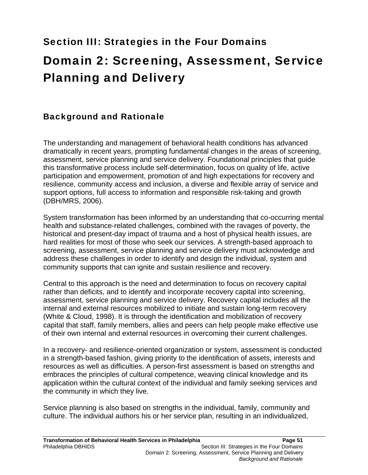# Section III: Strategies in the Four Domains Domain 2: Screening, Assessment, Service Planning and Delivery

# Background and Rationale

The understanding and management of behavioral health conditions has advanced dramatically in recent years, prompting fundamental changes in the areas of screening, assessment, service planning and service delivery. Foundational principles that guide this transformative process include self-determination, focus on quality of life, active participation and empowerment, promotion of and high expectations for recovery and resilience, community access and inclusion, a diverse and flexible array of service and support options, full access to information and responsible risk-taking and growth (DBH/MRS, 2006).

System transformation has been informed by an understanding that co-occurring mental health and substance-related challenges, combined with the ravages of poverty, the historical and present-day impact of trauma and a host of physical health issues, are hard realities for most of those who seek our services. A strength-based approach to screening, assessment, service planning and service delivery must acknowledge and address these challenges in order to identify and design the individual, system and community supports that can ignite and sustain resilience and recovery.

Central to this approach is the need and determination to focus on recovery capital rather than deficits, and to identify and incorporate recovery capital into screening, assessment, service planning and service delivery. Recovery capital includes all the internal and external resources mobilized to initiate and sustain long-term recovery (White & Cloud, 1998). It is through the identification and mobilization of recovery capital that staff, family members, allies and peers can help people make effective use of their own internal and external resources in overcoming their current challenges.

In a recovery- and resilience-oriented organization or system, assessment is conducted in a strength-based fashion, giving priority to the identification of assets, interests and resources as well as difficulties. A person-first assessment is based on strengths and embraces the principles of cultural competence, weaving clinical knowledge and its application within the cultural context of the individual and family seeking services and the community in which they live.

Service planning is also based on strengths in the individual, family, community and culture. The individual authors his or her service plan, resulting in an individualized,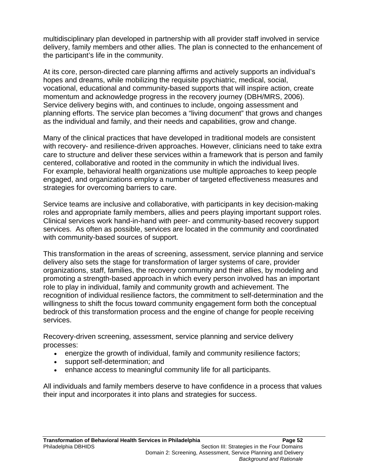multidisciplinary plan developed in partnership with all provider staff involved in service delivery, family members and other allies. The plan is connected to the enhancement of the participant's life in the community.

At its core, person-directed care planning affirms and actively supports an individual's hopes and dreams, while mobilizing the requisite psychiatric, medical, social, vocational, educational and community-based supports that will inspire action, create momentum and acknowledge progress in the recovery journey (DBH/MRS, 2006). Service delivery begins with, and continues to include, ongoing assessment and planning efforts. The service plan becomes a "living document" that grows and changes as the individual and family, and their needs and capabilities, grow and change.

Many of the clinical practices that have developed in traditional models are consistent with recovery- and resilience-driven approaches. However, clinicians need to take extra care to structure and deliver these services within a framework that is person and family centered, collaborative and rooted in the community in which the individual lives. For example, behavioral health organizations use multiple approaches to keep people engaged, and organizations employ a number of targeted effectiveness measures and strategies for overcoming barriers to care.

Service teams are inclusive and collaborative, with participants in key decision-making roles and appropriate family members, allies and peers playing important support roles. Clinical services work hand-in-hand with peer- and community-based recovery support services. As often as possible, services are located in the community and coordinated with community-based sources of support.

This transformation in the areas of screening, assessment, service planning and service delivery also sets the stage for transformation of larger systems of care, provider organizations, staff, families, the recovery community and their allies, by modeling and promoting a strength-based approach in which every person involved has an important role to play in individual, family and community growth and achievement. The recognition of individual resilience factors, the commitment to self-determination and the willingness to shift the focus toward community engagement form both the conceptual bedrock of this transformation process and the engine of change for people receiving services.

Recovery-driven screening, assessment, service planning and service delivery processes:

- energize the growth of individual, family and community resilience factors;
- support self-determination; and
- enhance access to meaningful community life for all participants.

All individuals and family members deserve to have confidence in a process that values their input and incorporates it into plans and strategies for success.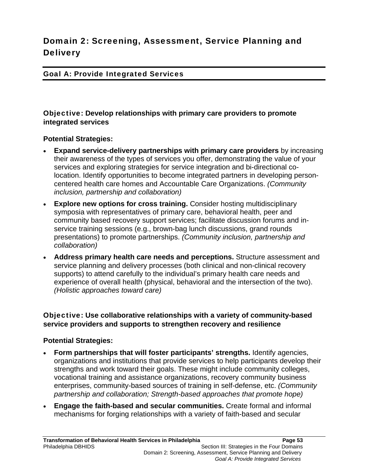# Domain 2: Screening, Assessment, Service Planning and **Delivery**

#### Goal A: Provide Integrated Services

Objective: **Develop relationships with primary care providers to promote integrated services** 

**Potential Strategies:** 

- **Expand service-delivery partnerships with primary care providers** by increasing their awareness of the types of services you offer, demonstrating the value of your services and exploring strategies for service integration and bi-directional colocation. Identify opportunities to become integrated partners in developing personcentered health care homes and Accountable Care Organizations. *(Community inclusion, partnership and collaboration)*
- **Explore new options for cross training.** Consider hosting multidisciplinary symposia with representatives of primary care, behavioral health, peer and community based recovery support services; facilitate discussion forums and inservice training sessions (e.g., brown-bag lunch discussions, grand rounds presentations) to promote partnerships. *(Community inclusion, partnership and collaboration)*
- **Address primary health care needs and perceptions.** Structure assessment and service planning and delivery processes (both clinical and non-clinical recovery supports) to attend carefully to the individual's primary health care needs and experience of overall health (physical, behavioral and the intersection of the two). *(Holistic approaches toward care)*

# Objective: **Use collaborative relationships with a variety of community-based service providers and supports to strengthen recovery and resilience**

- **Form partnerships that will foster participants' strengths.** Identify agencies, organizations and institutions that provide services to help participants develop their strengths and work toward their goals. These might include community colleges, vocational training and assistance organizations, recovery community business enterprises, community-based sources of training in self-defense, etc. *(Community partnership and collaboration; Strength-based approaches that promote hope)*
- **Engage the faith-based and secular communities.** Create formal and informal mechanisms for forging relationships with a variety of faith-based and secular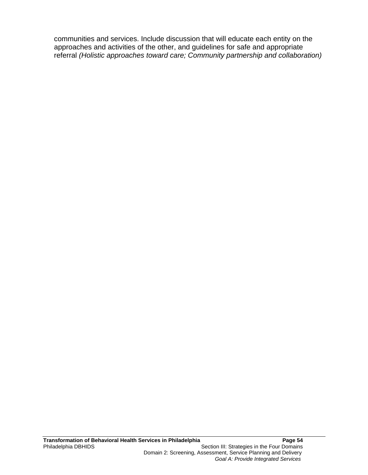communities and services. Include discussion that will educate each entity on the approaches and activities of the other, and guidelines for safe and appropriate referral *(Holistic approaches toward care; Community partnership and collaboration)*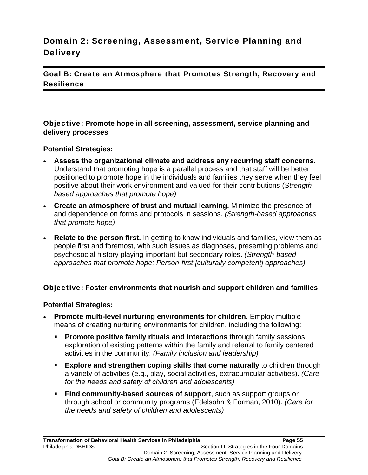# Domain 2: Screening, Assessment, Service Planning and **Delivery**

Goal B: Create an Atmosphere that Promotes Strength, Recovery and **Resilience** 

Objective: **Promote hope in all screening, assessment, service planning and delivery processes** 

#### **Potential Strategies:**

- **Assess the organizational climate and address any recurring staff concerns**. Understand that promoting hope is a parallel process and that staff will be better positioned to promote hope in the individuals and families they serve when they feel positive about their work environment and valued for their contributions (*Strengthbased approaches that promote hope)*
- **Create an atmosphere of trust and mutual learning.** Minimize the presence of and dependence on forms and protocols in sessions. *(Strength-based approaches that promote hope)*
- **Relate to the person first.** In getting to know individuals and families, view them as people first and foremost, with such issues as diagnoses, presenting problems and psychosocial history playing important but secondary roles. *(Strength-based approaches that promote hope; Person-first [culturally competent] approaches)*

# Objective: **Foster environments that nourish and support children and families**

- **Promote multi-level nurturing environments for children.** Employ multiple means of creating nurturing environments for children, including the following:
	- **Promote positive family rituals and interactions** through family sessions, exploration of existing patterns within the family and referral to family centered activities in the community. *(Family inclusion and leadership)*
	- **Explore and strengthen coping skills that come naturally** to children through a variety of activities (e.g., play, social activities, extracurricular activities). *(Care for the needs and safety of children and adolescents)*
	- **Find community-based sources of support**, such as support groups or through school or community programs (Edelsohn & Forman, 2010). *(Care for the needs and safety of children and adolescents)*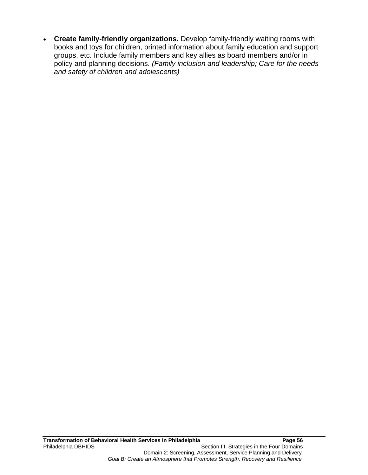**Create family-friendly organizations.** Develop family-friendly waiting rooms with books and toys for children, printed information about family education and support groups, etc. Include family members and key allies as board members and/or in policy and planning decisions. *(Family inclusion and leadership; Care for the needs and safety of children and adolescents)*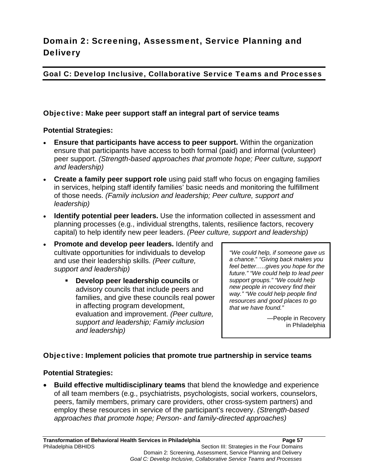# Domain 2: Screening, Assessment, Service Planning and **Delivery**

# Goal C: Develop Inclusive, Collaborative Service Teams and Processes

# Objective: **Make peer support staff an integral part of service teams**

# **Potential Strategies:**

- **Ensure that participants have access to peer support.** Within the organization ensure that participants have access to both formal (paid) and informal (volunteer) peer support. *(Strength-based approaches that promote hope; Peer culture, support and leadership)*
- **Create a family peer support role** using paid staff who focus on engaging families in services, helping staff identify families' basic needs and monitoring the fulfillment of those needs. *(Family inclusion and leadership; Peer culture, support and leadership)*
- **Identify potential peer leaders.** Use the information collected in assessment and planning processes (e.g., individual strengths, talents, resilience factors, recovery capital) to help identify new peer leaders. *(Peer culture, support and leadership)*
- **Promote and develop peer leaders.** Identify and cultivate opportunities for individuals to develop and use their leadership skills. *(Peer culture, support and leadership)*
	- **Develop peer leadership councils** or advisory councils that include peers and families, and give these councils real power in affecting program development, evaluation and improvement. *(Peer culture, support and leadership; Family inclusion and leadership)*

*"We could help, if someone gave us a chance.*" *"Giving back makes you feel better…..gives you hope for the future." "We could help to lead peer support groups." "We could help new people in recovery find their way." "We could help people find resources and good places to go that we have found."*

> —People in Recovery in Philadelphia

# Objective: **Implement policies that promote true partnership in service teams**

# **Potential Strategies:**

 **Build effective multidisciplinary teams** that blend the knowledge and experience of all team members (e.g., psychiatrists, psychologists, social workers, counselors, peers, family members, primary care providers, other cross-system partners) and employ these resources in service of the participant's recovery. *(Strength-based approaches that promote hope; Person- and family-directed approaches)*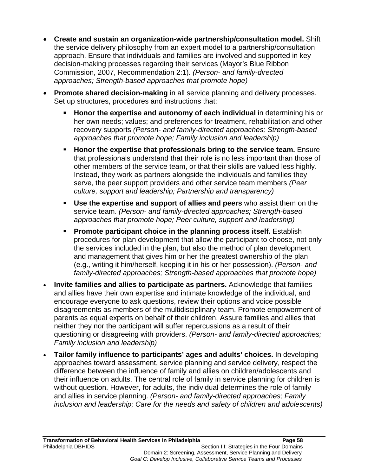- **Create and sustain an organization-wide partnership/consultation model.** Shift the service delivery philosophy from an expert model to a partnership/consultation approach. Ensure that individuals and families are involved and supported in key decision-making processes regarding their services (Mayor's Blue Ribbon Commission, 2007, Recommendation 2:1). *(Person- and family-directed approaches; Strength-based approaches that promote hope)*
- **Promote shared decision-making** in all service planning and delivery processes. Set up structures, procedures and instructions that:
	- **Honor the expertise and autonomy of each individual** in determining his or her own needs; values; and preferences for treatment, rehabilitation and other recovery supports *(Person- and family-directed approaches; Strength-based approaches that promote hope; Family inclusion and leadership)*
	- **Honor the expertise that professionals bring to the service team.** Ensure that professionals understand that their role is no less important than those of other members of the service team, or that their skills are valued less highly. Instead, they work as partners alongside the individuals and families they serve, the peer support providers and other service team members *(Peer culture, support and leadership; Partnership and transparency)*
	- **Use the expertise and support of allies and peers** who assist them on the service team. *(Person- and family-directed approaches; Strength-based approaches that promote hope; Peer culture, support and leadership)*
	- **Promote participant choice in the planning process itself.** Establish procedures for plan development that allow the participant to choose, not only the services included in the plan, but also the method of plan development and management that gives him or her the greatest ownership of the plan (e.g., writing it him/herself, keeping it in his or her possession). *(Person- and family-directed approaches; Strength-based approaches that promote hope)*
- **Invite families and allies to participate as partners.** Acknowledge that families and allies have their own expertise and intimate knowledge of the individual, and encourage everyone to ask questions, review their options and voice possible disagreements as members of the multidisciplinary team. Promote empowerment of parents as equal experts on behalf of their children. Assure families and allies that neither they nor the participant will suffer repercussions as a result of their questioning or disagreeing with providers. *(Person- and family-directed approaches; Family inclusion and leadership)*
- **Tailor family influence to participants' ages and adults' choices.** In developing approaches toward assessment, service planning and service delivery, respect the difference between the influence of family and allies on children/adolescents and their influence on adults. The central role of family in service planning for children is without question. However, for adults, the individual determines the role of family and allies in service planning. *(Person- and family-directed approaches; Family inclusion and leadership; Care for the needs and safety of children and adolescents)*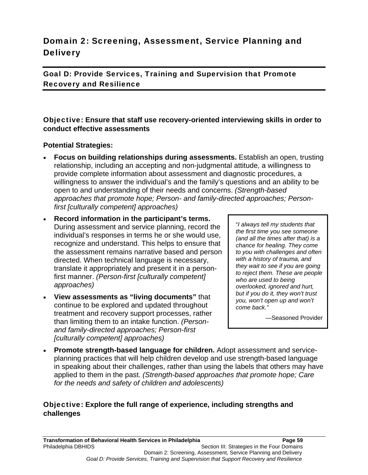# Domain 2: Screening, Assessment, Service Planning and **Delivery**

Goal D: Provide Services, Training and Supervision that Promote Recovery and Resilience

# Objective: **Ensure that staff use recovery-oriented interviewing skills in order to conduct effective assessments**

#### **Potential Strategies:**

- **Focus on building relationships during assessments.** Establish an open, trusting relationship, including an accepting and non-judgmental attitude, a willingness to provide complete information about assessment and diagnostic procedures, a willingness to answer the individual's and the family's questions and an ability to be open to and understanding of their needs and concerns. *(Strength-based approaches that promote hope; Person- and family-directed approaches; Personfirst [culturally competent] approaches)*
- **Record information in the participant's terms.**  During assessment and service planning, record the individual's responses in terms he or she would use, recognize and understand. This helps to ensure that the assessment remains narrative based and person directed. When technical language is necessary, translate it appropriately and present it in a personfirst manner. *(Person-first [culturally competent] approaches)*
- **View assessments as "living documents"** that continue to be explored and updated throughout treatment and recovery support processes, rather than limiting them to an intake function. *(Personand family-directed approaches; Person-first [culturally competent] approaches)*

"*I always tell my students that the first time you see someone (and all the times after that) is a chance for healing. They come to you with challenges and often with a history of trauma, and they wait to see if you are going to reject them. These are people who are used to being overlooked, ignored and hurt, but if you do it, they won't trust you, won't open up and won't come back."*

—Seasoned Provider

 **Promote strength-based language for children.** Adopt assessment and serviceplanning practices that will help children develop and use strength-based language in speaking about their challenges, rather than using the labels that others may have applied to them in the past. *(Strength-based approaches that promote hope; Care for the needs and safety of children and adolescents)*

# Objective: **Explore the full range of experience, including strengths and challenges**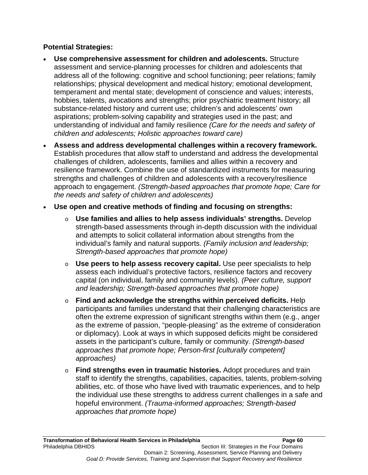- **Use comprehensive assessment for children and adolescents.** Structure assessment and service-planning processes for children and adolescents that address all of the following: cognitive and school functioning; peer relations; family relationships; physical development and medical history; emotional development, temperament and mental state; development of conscience and values; interests, hobbies, talents, avocations and strengths; prior psychiatric treatment history; all substance-related history and current use; children's and adolescents' own aspirations; problem-solving capability and strategies used in the past; and understanding of individual and family resilience *(Care for the needs and safety of children and adolescents; Holistic approaches toward care)*
- **Assess and address developmental challenges within a recovery framework.** Establish procedures that allow staff to understand and address the developmental challenges of children, adolescents, families and allies within a recovery and resilience framework. Combine the use of standardized instruments for measuring strengths and challenges of children and adolescents with a recovery/resilience approach to engagement. *(Strength-based approaches that promote hope; Care for the needs and safety of children and adolescents)*
- **Use open and creative methods of finding and focusing on strengths:**
	- o **Use families and allies to help assess individuals' strengths.** Develop strength-based assessments through in-depth discussion with the individual and attempts to solicit collateral information about strengths from the individual's family and natural supports. *(Family inclusion and leadership; Strength-based approaches that promote hope)*
	- o **Use peers to help assess recovery capital.** Use peer specialists to help assess each individual's protective factors, resilience factors and recovery capital (on individual, family and community levels). *(Peer culture, support and leadership; Strength-based approaches that promote hope)*
	- o **Find and acknowledge the strengths within perceived deficits.** Help participants and families understand that their challenging characteristics are often the extreme expression of significant strengths within them (e.g., anger as the extreme of passion, "people-pleasing" as the extreme of consideration or diplomacy). Look at ways in which supposed deficits might be considered assets in the participant's culture, family or community. *(Strength-based approaches that promote hope; Person-first [culturally competent] approaches)*
	- o **Find strengths even in traumatic histories.** Adopt procedures and train staff to identify the strengths, capabilities, capacities, talents, problem-solving abilities, etc. of those who have lived with traumatic experiences, and to help the individual use these strengths to address current challenges in a safe and hopeful environment. *(Trauma-informed approaches; Strength-based approaches that promote hope)*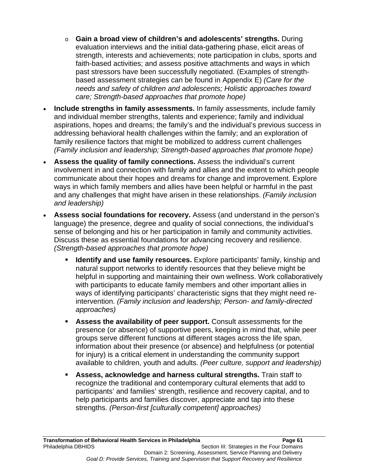- o **Gain a broad view of children's and adolescents' strengths.** During evaluation interviews and the initial data-gathering phase, elicit areas of strength, interests and achievements; note participation in clubs, sports and faith-based activities; and assess positive attachments and ways in which past stressors have been successfully negotiated. (Examples of strengthbased assessment strategies can be found in Appendix E) *(Care for the needs and safety of children and adolescents; Holistic approaches toward care; Strength-based approaches that promote hope)*
- **Include strengths in family assessments.** In family assessments, include family and individual member strengths, talents and experience; family and individual aspirations, hopes and dreams; the family's and the individual's previous success in addressing behavioral health challenges within the family; and an exploration of family resilience factors that might be mobilized to address current challenges *(Family inclusion and leadership; Strength-based approaches that promote hope)*
- **Assess the quality of family connections.** Assess the individual's current involvement in and connection with family and allies and the extent to which people communicate about their hopes and dreams for change and improvement. Explore ways in which family members and allies have been helpful or harmful in the past and any challenges that might have arisen in these relationships. *(Family inclusion and leadership)*
- **Assess social foundations for recovery.** Assess (and understand in the person's language) the presence, degree and quality of social connections, the individual's sense of belonging and his or her participation in family and community activities. Discuss these as essential foundations for advancing recovery and resilience. *(Strength-based approaches that promote hope)*
	- **Identify and use family resources.** Explore participants' family, kinship and natural support networks to identify resources that they believe might be helpful in supporting and maintaining their own wellness. Work collaboratively with participants to educate family members and other important allies in ways of identifying participants' characteristic signs that they might need reintervention. *(Family inclusion and leadership; Person- and family-directed approaches)*
	- **Assess the availability of peer support.** Consult assessments for the presence (or absence) of supportive peers, keeping in mind that, while peer groups serve different functions at different stages across the life span, information about their presence (or absence) and helpfulness (or potential for injury) is a critical element in understanding the community support available to children, youth and adults. *(Peer culture, support and leadership)*
	- **Assess, acknowledge and harness cultural strengths.** Train staff to recognize the traditional and contemporary cultural elements that add to participants' and families' strength, resilience and recovery capital, and to help participants and families discover, appreciate and tap into these strengths. *(Person-first [culturally competent] approaches)*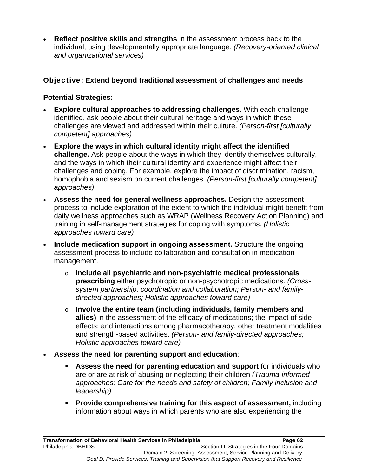**Reflect positive skills and strengths** in the assessment process back to the individual, using developmentally appropriate language. *(Recovery-oriented clinical and organizational services)*

# Objective: **Extend beyond traditional assessment of challenges and needs**

- **Explore cultural approaches to addressing challenges.** With each challenge identified, ask people about their cultural heritage and ways in which these challenges are viewed and addressed within their culture. *(Person-first [culturally competent] approaches)*
- **Explore the ways in which cultural identity might affect the identified challenge.** Ask people about the ways in which they identify themselves culturally, and the ways in which their cultural identity and experience might affect their challenges and coping. For example, explore the impact of discrimination, racism, homophobia and sexism on current challenges. *(Person-first [culturally competent] approaches)*
- **Assess the need for general wellness approaches.** Design the assessment process to include exploration of the extent to which the individual might benefit from daily wellness approaches such as WRAP (Wellness Recovery Action Planning) and training in self-management strategies for coping with symptoms. *(Holistic approaches toward care)*
- **Include medication support in ongoing assessment.** Structure the ongoing assessment process to include collaboration and consultation in medication management.
	- o **Include all psychiatric and non-psychiatric medical professionals prescribing** either psychotropic or non-psychotropic medications. *(Crosssystem partnership, coordination and collaboration; Person- and familydirected approaches; Holistic approaches toward care)*
	- o **Involve the entire team (including individuals, family members and allies)** in the assessment of the efficacy of medications; the impact of side effects; and interactions among pharmacotherapy, other treatment modalities and strength-based activities. *(Person- and family-directed approaches; Holistic approaches toward care)*
- **Assess the need for parenting support and education**:
	- **Assess the need for parenting education and support** for individuals who are or are at risk of abusing or neglecting their children *(Trauma-informed approaches; Care for the needs and safety of children; Family inclusion and leadership)*
	- **Provide comprehensive training for this aspect of assessment,** including information about ways in which parents who are also experiencing the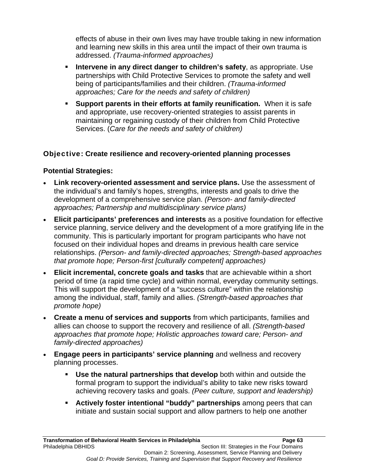effects of abuse in their own lives may have trouble taking in new information and learning new skills in this area until the impact of their own trauma is addressed. *(Trauma-informed approaches)*

- **Intervene in any direct danger to children's safety**, as appropriate. Use partnerships with Child Protective Services to promote the safety and well being of participants/families and their children. *(Trauma-informed approaches; Care for the needs and safety of children)*
- **Support parents in their efforts at family reunification.** When it is safe and appropriate, use recovery-oriented strategies to assist parents in maintaining or regaining custody of their children from Child Protective Services. (*Care for the needs and safety of children)*

# Objective: **Create resilience and recovery-oriented planning processes**

- **Link recovery-oriented assessment and service plans.** Use the assessment of the individual's and family's hopes, strengths, interests and goals to drive the development of a comprehensive service plan. *(Person- and family-directed approaches; Partnership and multidisciplinary service plans)*
- **Elicit participants' preferences and interests** as a positive foundation for effective service planning, service delivery and the development of a more gratifying life in the community. This is particularly important for program participants who have not focused on their individual hopes and dreams in previous health care service relationships. *(Person- and family-directed approaches; Strength-based approaches that promote hope; Person-first [culturally competent] approaches)*
- **Elicit incremental, concrete goals and tasks** that are achievable within a short period of time (a rapid time cycle) and within normal, everyday community settings. This will support the development of a "success culture" within the relationship among the individual, staff, family and allies. *(Strength-based approaches that promote hope)*
- **Create a menu of services and supports** from which participants, families and allies can choose to support the recovery and resilience of all. *(Strength-based approaches that promote hope; Holistic approaches toward care; Person- and family-directed approaches)*
- **Engage peers in participants' service planning** and wellness and recovery planning processes.
	- **Use the natural partnerships that develop** both within and outside the formal program to support the individual's ability to take new risks toward achieving recovery tasks and goals. *(Peer culture, support and leadership)*
	- **Actively foster intentional "buddy" partnerships** among peers that can initiate and sustain social support and allow partners to help one another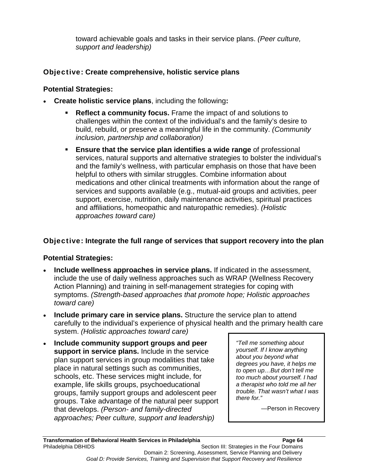toward achievable goals and tasks in their service plans. *(Peer culture, support and leadership)*

# Objective: **Create comprehensive, holistic service plans**

# **Potential Strategies:**

- **Create holistic service plans**, including the following**:**
	- **Reflect a community focus.** Frame the impact of and solutions to challenges within the context of the individual's and the family's desire to build, rebuild, or preserve a meaningful life in the community. *(Community inclusion, partnership and collaboration)*
	- **Ensure that the service plan identifies a wide range** of professional services, natural supports and alternative strategies to bolster the individual's and the family's wellness, with particular emphasis on those that have been helpful to others with similar struggles. Combine information about medications and other clinical treatments with information about the range of services and supports available (e.g., mutual-aid groups and activities, peer support, exercise, nutrition, daily maintenance activities, spiritual practices and affiliations, homeopathic and naturopathic remedies). *(Holistic approaches toward care)*

# Objective: **Integrate the full range of services that support recovery into the plan**

# **Potential Strategies:**

- **Include wellness approaches in service plans.** If indicated in the assessment, include the use of daily wellness approaches such as WRAP (Wellness Recovery Action Planning) and training in self-management strategies for coping with symptoms. *(Strength-based approaches that promote hope; Holistic approaches toward care)*
- **Include primary care in service plans.** Structure the service plan to attend carefully to the individual's experience of physical health and the primary health care system. *(Holistic approaches toward care)*
- **Include community support groups and peer support in service plans.** Include in the service plan support services in group modalities that take place in natural settings such as communities, schools, etc. These services might include, for example, life skills groups, psychoeducational groups, family support groups and adolescent peer groups. Take advantage of the natural peer support that develops. *(Person- and family-directed approaches; Peer culture, support and leadership)*

*"Tell me something about yourself. If I know anything about you beyond what degrees you have, it helps me to open up…But don't tell me too much about yourself. I had a therapist who told me all her trouble. That wasn't what I was there for."* 

—Person in Recovery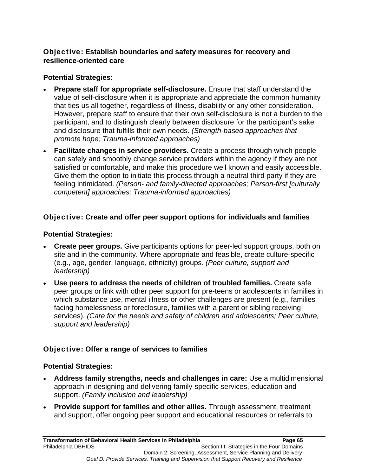# Objective: **Establish boundaries and safety measures for recovery and resilience-oriented care**

# **Potential Strategies:**

- **Prepare staff for appropriate self-disclosure.** Ensure that staff understand the value of self-disclosure when it is appropriate and appreciate the common humanity that ties us all together, regardless of illness, disability or any other consideration. However, prepare staff to ensure that their own self-disclosure is not a burden to the participant, and to distinguish clearly between disclosure for the participant's sake and disclosure that fulfills their own needs. *(Strength-based approaches that promote hope; Trauma-informed approaches)*
- **Facilitate changes in service providers.** Create a process through which people can safely and smoothly change service providers within the agency if they are not satisfied or comfortable, and make this procedure well known and easily accessible. Give them the option to initiate this process through a neutral third party if they are feeling intimidated. *(Person- and family-directed approaches; Person-first [culturally competent] approaches; Trauma-informed approaches)*

# Objective: **Create and offer peer support options for individuals and families**

# **Potential Strategies:**

- **Create peer groups.** Give participants options for peer-led support groups, both on site and in the community. Where appropriate and feasible, create culture-specific (e.g., age, gender, language, ethnicity) groups. *(Peer culture, support and leadership)*
- **Use peers to address the needs of children of troubled families.** Create safe peer groups or link with other peer support for pre-teens or adolescents in families in which substance use, mental illness or other challenges are present (e.g., families facing homelessness or foreclosure, families with a parent or sibling receiving services). *(Care for the needs and safety of children and adolescents; Peer culture, support and leadership)*

# Objective: **Offer a range of services to families**

- **Address family strengths, needs and challenges in care:** Use a multidimensional approach in designing and delivering family-specific services, education and support. *(Family inclusion and leadership)*
- **Provide support for families and other allies.** Through assessment, treatment and support, offer ongoing peer support and educational resources or referrals to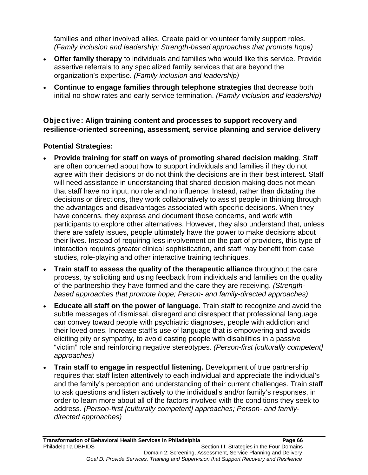families and other involved allies. Create paid or volunteer family support roles. *(Family inclusion and leadership; Strength-based approaches that promote hope)*

- **Offer family therapy** to individuals and families who would like this service. Provide assertive referrals to any specialized family services that are beyond the organization's expertise. *(Family inclusion and leadership)*
- **Continue to engage families through telephone strategies** that decrease both initial no-show rates and early service termination. *(Family inclusion and leadership)*

Objective: **Align training content and processes to support recovery and resilience-oriented screening, assessment, service planning and service delivery** 

- **Provide training for staff on ways of promoting shared decision making**. Staff are often concerned about how to support individuals and families if they do not agree with their decisions or do not think the decisions are in their best interest. Staff will need assistance in understanding that shared decision making does not mean that staff have no input, no role and no influence. Instead, rather than dictating the decisions or directions, they work collaboratively to assist people in thinking through the advantages and disadvantages associated with specific decisions. When they have concerns, they express and document those concerns, and work with participants to explore other alternatives. However, they also understand that, unless there are safety issues, people ultimately have the power to make decisions about their lives. Instead of requiring less involvement on the part of providers, this type of interaction requires *greater* clinical sophistication, and staff may benefit from case studies, role-playing and other interactive training techniques.
- **Train staff to assess the quality of the therapeutic alliance** throughout the care process, by soliciting and using feedback from individuals and families on the quality of the partnership they have formed and the care they are receiving. *(Strengthbased approaches that promote hope; Person- and family-directed approaches)*
- **Educate all staff on the power of language.** Train staff to recognize and avoid the subtle messages of dismissal, disregard and disrespect that professional language can convey toward people with psychiatric diagnoses, people with addiction and their loved ones. Increase staff's use of language that is empowering and avoids eliciting pity or sympathy, to avoid casting people with disabilities in a passive "victim" role and reinforcing negative stereotypes. *(Person-first [culturally competent] approaches)*
- **Train staff to engage in respectful listening.** Development of true partnership requires that staff listen attentively to each individual and appreciate the individual's and the family's perception and understanding of their current challenges. Train staff to ask questions and listen actively to the individual's and/or family's responses, in order to learn more about all of the factors involved with the conditions they seek to address. *(Person-first [culturally competent] approaches; Person- and familydirected approaches)*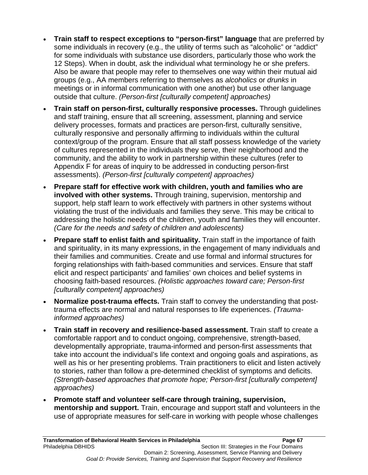- **Train staff to respect exceptions to "person-first" language** that are preferred by some individuals in recovery (e.g., the utility of terms such as "alcoholic" or "addict" for some individuals with substance use disorders, particularly those who work the 12 Steps). When in doubt, ask the individual what terminology he or she prefers. Also be aware that people may refer to themselves one way within their mutual aid groups (e.g., AA members referring to themselves as *alcoholics* or *drunks* in meetings or in informal communication with one another) but use other language outside that culture. *(Person-first [culturally competent] approaches)*
- **Train staff on person-first, culturally responsive processes.** Through guidelines and staff training, ensure that all screening, assessment, planning and service delivery processes, formats and practices are person-first, culturally sensitive, culturally responsive and personally affirming to individuals within the cultural context/group of the program. Ensure that all staff possess knowledge of the variety of cultures represented in the individuals they serve, their neighborhood and the community, and the ability to work in partnership within these cultures (refer to Appendix F for areas of inquiry to be addressed in conducting person-first assessments). *(Person-first [culturally competent] approaches)*
- **Prepare staff for effective work with children, youth and families who are involved with other systems.** Through training, supervision, mentorship and support, help staff learn to work effectively with partners in other systems without violating the trust of the individuals and families they serve. This may be critical to addressing the holistic needs of the children, youth and families they will encounter. *(Care for the needs and safety of children and adolescents)*
- **Prepare staff to enlist faith and spirituality.** Train staff in the importance of faith and spirituality, in its many expressions, in the engagement of many individuals and their families and communities. Create and use formal and informal structures for forging relationships with faith-based communities and services. Ensure that staff elicit and respect participants' and families' own choices and belief systems in choosing faith-based resources. *(Holistic approaches toward care; Person-first [culturally competent] approaches)*
- **Normalize post-trauma effects.** Train staff to convey the understanding that posttrauma effects are normal and natural responses to life experiences. *(Traumainformed approaches)*
- **Train staff in recovery and resilience-based assessment.** Train staff to create a comfortable rapport and to conduct ongoing, comprehensive, strength-based, developmentally appropriate, trauma-informed and person-first assessments that take into account the individual's life context and ongoing goals and aspirations, as well as his or her presenting problems. Train practitioners to elicit and listen actively to stories, rather than follow a pre-determined checklist of symptoms and deficits. *(Strength-based approaches that promote hope; Person-first [culturally competent] approaches)*
- **Promote staff and volunteer self-care through training, supervision, mentorship and support.** Train, encourage and support staff and volunteers in the use of appropriate measures for self-care in working with people whose challenges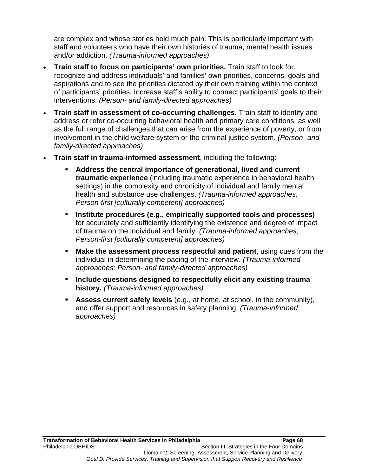are complex and whose stories hold much pain. This is particularly important with staff and volunteers who have their own histories of trauma, mental health issues and/or addiction. *(Trauma-informed approaches)*

- **Train staff to focus on participants' own priorities.** Train staff to look for, recognize and address individuals' and families' own priorities, concerns, goals and aspirations and to see the priorities dictated by their own training within the context of participants' priorities. Increase staff's ability to connect participants' goals to their interventions. *(Person- and family-directed approaches)*
- **Train staff in assessment of co-occurring challenges.** Train staff to identify and address or refer co-occurring behavioral health and primary care conditions, as well as the full range of challenges that can arise from the experience of poverty, or from involvement in the child welfare system or the criminal justice system. *(Person- and family-directed approaches)*
- **Train staff in trauma-informed assessment**, including the following**:**
	- **Address the central importance of generational, lived and current traumatic experience** (including traumatic experience in behavioral health settings) in the complexity and chronicity of individual and family mental health and substance use challenges. *(Trauma-informed approaches; Person-first [culturally competent] approaches)*
	- **Institute procedures (e.g., empirically supported tools and processes)** for accurately and sufficiently identifying the existence and degree of impact of trauma on the individual and family. *(Trauma-informed approaches; Person-first [culturally competent] approaches)*
	- **Make the assessment process respectful and patient**, using cues from the individual in determining the pacing of the interview. *(Trauma-informed approaches; Person- and family-directed approaches)*
	- **Include questions designed to respectfully elicit any existing trauma history.** *(Trauma-informed approaches)*
	- **Assess current safely levels** (e.g., at home, at school, in the community), and offer support and resources in safety planning. *(Trauma-informed approaches)*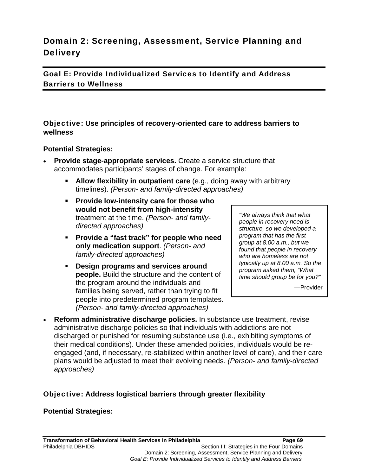# Domain 2: Screening, Assessment, Service Planning and **Delivery**

Goal E: Provide Individualized Services to Identify and Address Barriers to Wellness

#### Objective: **Use principles of recovery-oriented care to address barriers to wellness**

#### **Potential Strategies:**

- **Provide stage-appropriate services.** Create a service structure that accommodates participants' stages of change. For example:
	- **Allow flexibility in outpatient care** (e.g., doing away with arbitrary timelines). *(Person- and family-directed approaches)*
	- **Provide low-intensity care for those who would not benefit from high-intensity** treatment at the time. *(Person- and familydirected approaches)*
	- **Provide a "fast track" for people who need only medication support**. *(Person- and family-directed approaches)*
	- **Design programs and services around people.** Build the structure and the content of the program around the individuals and families being served, rather than trying to fit people into predetermined program templates. *(Person- and family-directed approaches)*

*"We always think that what people in recovery need is structure, so we developed a program that has the first group at 8.00 a.m., but we found that people in recovery who are homeless are not typically up at 8.00 a.m. So the program asked them, "What time should group be for you?"*

—Provider

 **Reform administrative discharge policies.** In substance use treatment, revise administrative discharge policies so that individuals with addictions are not discharged or punished for resuming substance use (i.e., exhibiting symptoms of their medical conditions). Under these amended policies, individuals would be reengaged (and, if necessary, re-stabilized within another level of care), and their care plans would be adjusted to meet their evolving needs. *(Person- and family-directed approaches)*

#### Objective: **Address logistical barriers through greater flexibility**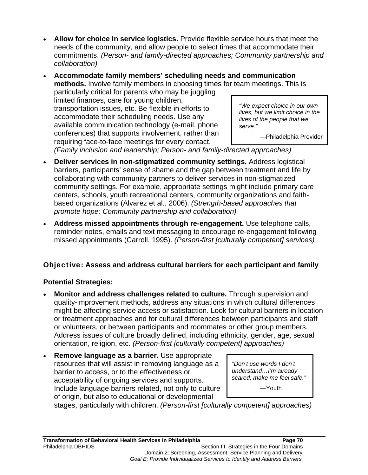- **Allow for choice in service logistics.** Provide flexible service hours that meet the needs of the community, and allow people to select times that accommodate their commitments. *(Person- and family-directed approaches; Community partnership and collaboration)*
- **Accommodate family members' scheduling needs and communication methods.** Involve family members in choosing times for team meetings. This is particularly critical for parents who may be juggling limited finances, care for young children, transportation issues, etc. Be flexible in efforts to accommodate their scheduling needs. Use any available communication technology (e-mail, phone conferences) that supports involvement, rather than requiring face-to-face meetings for every contact. *"We expect choice in our own lives, but we limit choice in the lives of the people that we serve."*  —Philadelphia Provider

*(Family inclusion and leadership; Person- and family-directed approaches)*

- **Deliver services in non-stigmatized community settings.** Address logistical barriers, participants' sense of shame and the gap between treatment and life by collaborating with community partners to deliver services in non-stigmatized community settings. For example, appropriate settings might include primary care centers, schools, youth recreational centers, community organizations and faithbased organizations (Alvarez et al., 2006). *(Strength-based approaches that promote hope; Community partnership and collaboration)*
- **Address missed appointments through re-engagement.** Use telephone calls, reminder notes, emails and text messaging to encourage re-engagement following missed appointments (Carroll, 1995). *(Person-first [culturally competent] services)*

# Objective: **Assess and address cultural barriers for each participant and family**

# **Potential Strategies:**

- **Monitor and address challenges related to culture.** Through supervision and quality-improvement methods, address any situations in which cultural differences might be affecting service access or satisfaction. Look for cultural barriers in location or treatment approaches and for cultural differences between participants and staff or volunteers, or between participants and roommates or other group members. Address issues of culture broadly defined, including ethnicity, gender, age, sexual orientation, religion, etc. *(Person-first [culturally competent] approaches)*
- **Remove language as a barrier.** Use appropriate resources that will assist in removing language as a barrier to access, or to the effectiveness or acceptability of ongoing services and supports. Include language barriers related, not only to culture of origin, but also to educational or developmental

"*Don't use words I don't understand…I'm already scared; make me feel safe."*

—Youth

stages, particularly with children. *(Person-first [culturally competent] approaches)*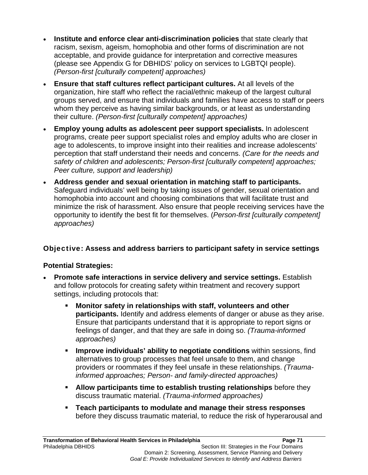- **Institute and enforce clear anti-discrimination policies** that state clearly that racism, sexism, ageism, homophobia and other forms of discrimination are not acceptable, and provide guidance for interpretation and corrective measures (please see Appendix G for DBHIDS' policy on services to LGBTQI people). *(Person-first [culturally competent] approaches)*
- **Ensure that staff cultures reflect participant cultures.** At all levels of the organization, hire staff who reflect the racial/ethnic makeup of the largest cultural groups served, and ensure that individuals and families have access to staff or peers whom they perceive as having similar backgrounds, or at least as understanding their culture. *(Person-first [culturally competent] approaches)*
- **Employ young adults as adolescent peer support specialists.** In adolescent programs, create peer support specialist roles and employ adults who are closer in age to adolescents, to improve insight into their realities and increase adolescents' perception that staff understand their needs and concerns. *(Care for the needs and safety of children and adolescents; Person-first [culturally competent] approaches; Peer culture, support and leadership)*
- **Address gender and sexual orientation in matching staff to participants.** Safeguard individuals' well being by taking issues of gender, sexual orientation and homophobia into account and choosing combinations that will facilitate trust and minimize the risk of harassment. Also ensure that people receiving services have the opportunity to identify the best fit for themselves. (*Person-first [culturally competent] approaches)*

# Objective: **Assess and address barriers to participant safety in service settings**

- **Promote safe interactions in service delivery and service settings.** Establish and follow protocols for creating safety within treatment and recovery support settings, including protocols that:
	- **Monitor safety in relationships with staff, volunteers and other participants.** Identify and address elements of danger or abuse as they arise. Ensure that participants understand that it is appropriate to report signs or feelings of danger, and that they are safe in doing so. *(Trauma-informed approaches)*
	- **Improve individuals' ability to negotiate conditions** within sessions, find alternatives to group processes that feel unsafe to them, and change providers or roommates if they feel unsafe in these relationships. *(Traumainformed approaches; Person- and family-directed approaches)*
	- **Allow participants time to establish trusting relationships** before they discuss traumatic material. *(Trauma-informed approaches)*
	- **Teach participants to modulate and manage their stress responses** before they discuss traumatic material, to reduce the risk of hyperarousal and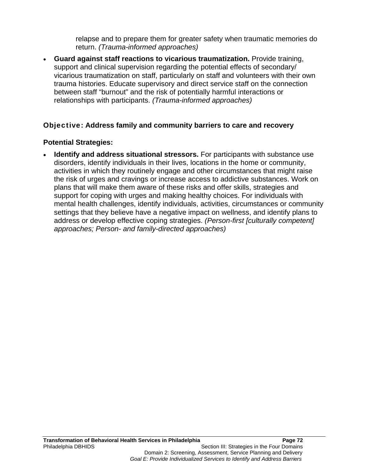relapse and to prepare them for greater safety when traumatic memories do return. *(Trauma-informed approaches)*

 **Guard against staff reactions to vicarious traumatization.** Provide training, support and clinical supervision regarding the potential effects of secondary/ vicarious traumatization on staff, particularly on staff and volunteers with their own trauma histories. Educate supervisory and direct service staff on the connection between staff "burnout" and the risk of potentially harmful interactions or relationships with participants. *(Trauma-informed approaches)*

## Objective: **Address family and community barriers to care and recovery**

#### **Potential Strategies:**

 **Identify and address situational stressors.** For participants with substance use disorders, identify individuals in their lives, locations in the home or community, activities in which they routinely engage and other circumstances that might raise the risk of urges and cravings or increase access to addictive substances. Work on plans that will make them aware of these risks and offer skills, strategies and support for coping with urges and making healthy choices. For individuals with mental health challenges, identify individuals, activities, circumstances or community settings that they believe have a negative impact on wellness, and identify plans to address or develop effective coping strategies. *(Person-first [culturally competent] approaches; Person- and family-directed approaches)*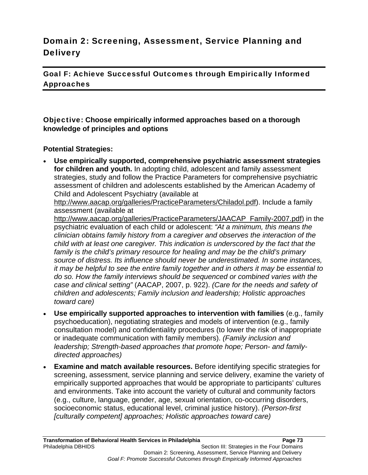# Domain 2: Screening, Assessment, Service Planning and **Delivery**

Goal F: Achieve Successful Outcomes through Empirically Informed Approaches

Objective: **Choose empirically informed approaches based on a thorough knowledge of principles and options**

#### **Potential Strategies:**

 **Use empirically supported, comprehensive psychiatric assessment strategies for children and youth.** In adopting child, adolescent and family assessment strategies, study and follow the Practice Parameters for comprehensive psychiatric assessment of children and adolescents established by the American Academy of Child and Adolescent Psychiatry (available at

http://www.aacap.org/galleries/PracticeParameters/Chiladol.pdf). Include a family assessment (available at

http://www.aacap.org/galleries/PracticeParameters/JAACAP\_Family-2007.pdf) in the psychiatric evaluation of each child or adolescent: *"At a minimum, this means the clinician obtains family history from a caregiver and observes the interaction of the child with at least one caregiver. This indication is underscored by the fact that the family is the child's primary resource for healing and may be the child's primary source of distress. Its influence should never be underestimated. In some instances, it may be helpful to see the entire family together and in others it may be essential to do so. How the family interviews should be sequenced or combined varies with the case and clinical setting"* (AACAP, 2007, p. 922). *(Care for the needs and safety of children and adolescents; Family inclusion and leadership; Holistic approaches toward care)*

- **Use empirically supported approaches to intervention with families** (e.g., family psychoeducation), negotiating strategies and models of intervention (e.g., family consultation model) and confidentiality procedures (to lower the risk of inappropriate or inadequate communication with family members). *(Family inclusion and leadership; Strength-based approaches that promote hope; Person- and familydirected approaches)*
- **Examine and match available resources.** Before identifying specific strategies for screening, assessment, service planning and service delivery, examine the variety of empirically supported approaches that would be appropriate to participants' cultures and environments. Take into account the variety of cultural and community factors (e.g., culture, language, gender, age, sexual orientation, co-occurring disorders, socioeconomic status, educational level, criminal justice history). *(Person-first [culturally competent] approaches; Holistic approaches toward care)*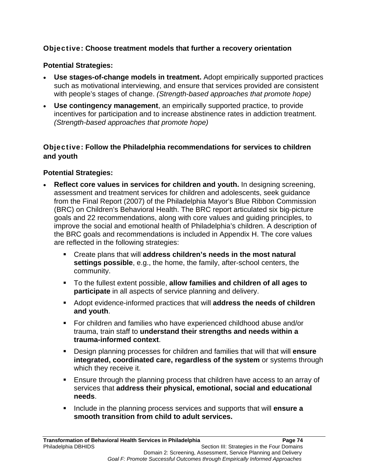# Objective: **Choose treatment models that further a recovery orientation**

#### **Potential Strategies:**

- **Use stages-of-change models in treatment.** Adopt empirically supported practices such as motivational interviewing, and ensure that services provided are consistent with people's stages of change. *(Strength-based approaches that promote hope)*
- **Use contingency management**, an empirically supported practice, to provide incentives for participation and to increase abstinence rates in addiction treatment. *(Strength-based approaches that promote hope)*

#### Objective: **Follow the Philadelphia recommendations for services to children and youth**

- **Reflect core values in services for children and youth.** In designing screening, assessment and treatment services for children and adolescents, seek guidance from the Final Report (2007) of the Philadelphia Mayor's Blue Ribbon Commission (BRC) on Children's Behavioral Health. The BRC report articulated six big-picture goals and 22 recommendations, along with core values and guiding principles, to improve the social and emotional health of Philadelphia's children. A description of the BRC goals and recommendations is included in Appendix H. The core values are reflected in the following strategies:
	- Create plans that will **address children's needs in the most natural settings possible**, e.g., the home, the family, after-school centers, the community.
	- To the fullest extent possible, **allow families and children of all ages to participate** in all aspects of service planning and delivery.
	- Adopt evidence-informed practices that will **address the needs of children and youth**.
	- For children and families who have experienced childhood abuse and/or trauma, train staff to **understand their strengths and needs within a trauma-informed context**.
	- Design planning processes for children and families that will that will **ensure integrated, coordinated care, regardless of the system** or systems through which they receive it.
	- Ensure through the planning process that children have access to an array of services that **address their physical, emotional, social and educational needs**.
	- **Include in the planning process services and supports that will ensure a smooth transition from child to adult services.**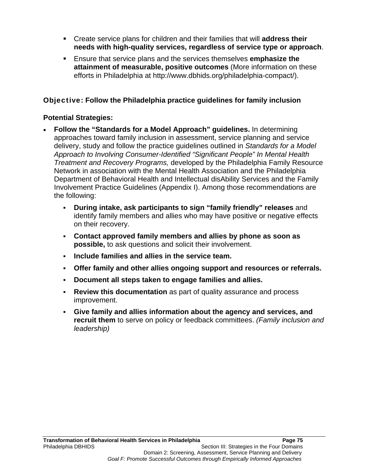- Create service plans for children and their families that will **address their needs with high-quality services, regardless of service type or approach**.
- Ensure that service plans and the services themselves **emphasize the attainment of measurable, positive outcomes** (More information on these efforts in Philadelphia at http://www.dbhids.org/philadelphia-compact/).

## Objective: **Follow the Philadelphia practice guidelines for family inclusion**

- **Follow the "Standards for a Model Approach" guidelines.** In determining approaches toward family inclusion in assessment, service planning and service delivery, study and follow the practice guidelines outlined in *Standards for a Model Approach to Involving Consumer-Identified "Significant People" In Mental Health Treatment and Recovery Programs,* developed by the Philadelphia Family Resource Network in association with the Mental Health Association and the Philadelphia Department of Behavioral Health and Intellectual disAbility Services and the Family Involvement Practice Guidelines (Appendix I). Among those recommendations are the following:
	- **During intake, ask participants to sign "family friendly" releases** and identify family members and allies who may have positive or negative effects on their recovery.
	- **Contact approved family members and allies by phone as soon as possible,** to ask questions and solicit their involvement.
	- **Include families and allies in the service team.**
	- **Offer family and other allies ongoing support and resources or referrals.**
	- **Document all steps taken to engage families and allies.**
	- **Review this documentation** as part of quality assurance and process improvement.
	- **Give family and allies information about the agency and services, and recruit them** to serve on policy or feedback committees. *(Family inclusion and leadership)*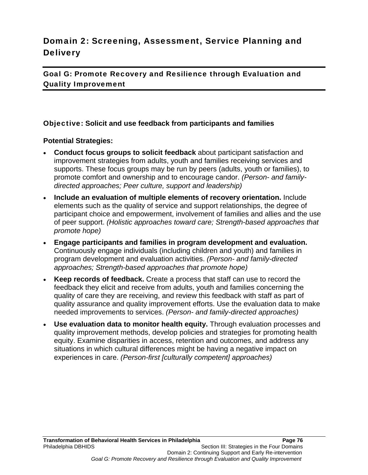# Domain 2: Screening, Assessment, Service Planning and **Delivery**

Goal G: Promote Recovery and Resilience through Evaluation and Quality Improvement

#### Objective: **Solicit and use feedback from participants and families**

- **Conduct focus groups to solicit feedback** about participant satisfaction and improvement strategies from adults, youth and families receiving services and supports. These focus groups may be run by peers (adults, youth or families), to promote comfort and ownership and to encourage candor. *(Person- and familydirected approaches; Peer culture, support and leadership)*
- **Include an evaluation of multiple elements of recovery orientation.** Include elements such as the quality of service and support relationships, the degree of participant choice and empowerment, involvement of families and allies and the use of peer support. *(Holistic approaches toward care; Strength-based approaches that promote hope)*
- **Engage participants and families in program development and evaluation.** Continuously engage individuals (including children and youth) and families in program development and evaluation activities. *(Person- and family-directed approaches; Strength-based approaches that promote hope)*
- **Keep records of feedback.** Create a process that staff can use to record the feedback they elicit and receive from adults, youth and families concerning the quality of care they are receiving, and review this feedback with staff as part of quality assurance and quality improvement efforts. Use the evaluation data to make needed improvements to services. *(Person- and family-directed approaches)*
- **Use evaluation data to monitor health equity.** Through evaluation processes and quality improvement methods, develop policies and strategies for promoting health equity. Examine disparities in access, retention and outcomes, and address any situations in which cultural differences might be having a negative impact on experiences in care. *(Person-first [culturally competent] approaches)*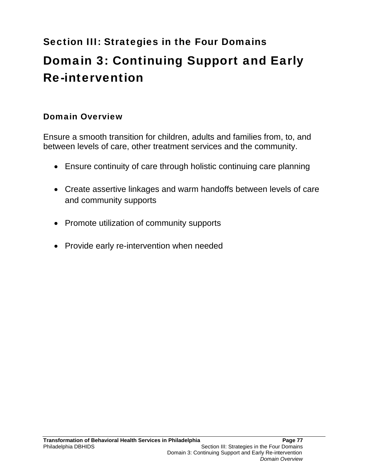# Section III: Strategies in the Four Domains Domain 3: Continuing Support and Early Re-intervention

# Domain Overview

Ensure a smooth transition for children, adults and families from, to, and between levels of care, other treatment services and the community.

- Ensure continuity of care through holistic continuing care planning
- Create assertive linkages and warm handoffs between levels of care and community supports
- Promote utilization of community supports
- Provide early re-intervention when needed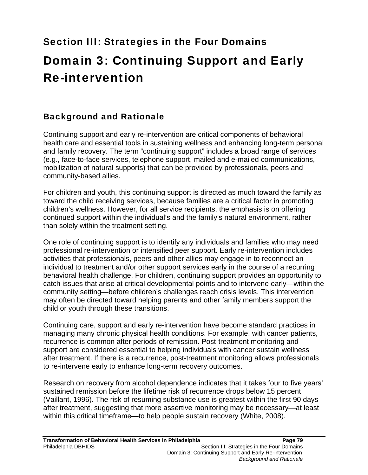# Section III: Strategies in the Four Domains Domain 3: Continuing Support and Early Re-intervention

# Background and Rationale

Continuing support and early re-intervention are critical components of behavioral health care and essential tools in sustaining wellness and enhancing long-term personal and family recovery. The term "continuing support" includes a broad range of services (e.g., face-to-face services, telephone support, mailed and e-mailed communications, mobilization of natural supports) that can be provided by professionals, peers and community-based allies.

For children and youth, this continuing support is directed as much toward the family as toward the child receiving services, because families are a critical factor in promoting children's wellness. However, for all service recipients, the emphasis is on offering continued support within the individual's and the family's natural environment, rather than solely within the treatment setting.

One role of continuing support is to identify any individuals and families who may need professional re-intervention or intensified peer support. Early re-intervention includes activities that professionals, peers and other allies may engage in to reconnect an individual to treatment and/or other support services early in the course of a recurring behavioral health challenge. For children, continuing support provides an opportunity to catch issues that arise at critical developmental points and to intervene early—within the community setting—before children's challenges reach crisis levels. This intervention may often be directed toward helping parents and other family members support the child or youth through these transitions.

Continuing care, support and early re-intervention have become standard practices in managing many chronic physical health conditions. For example, with cancer patients, recurrence is common after periods of remission. Post-treatment monitoring and support are considered essential to helping individuals with cancer sustain wellness after treatment. If there is a recurrence, post-treatment monitoring allows professionals to re-intervene early to enhance long-term recovery outcomes.

Research on recovery from alcohol dependence indicates that it takes four to five years' sustained remission before the lifetime risk of recurrence drops below 15 percent (Vaillant, 1996). The risk of resuming substance use is greatest within the first 90 days after treatment, suggesting that more assertive monitoring may be necessary—at least within this critical timeframe—to help people sustain recovery (White, 2008).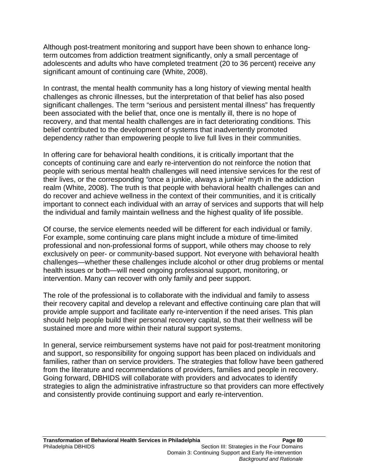Although post-treatment monitoring and support have been shown to enhance longterm outcomes from addiction treatment significantly, only a small percentage of adolescents and adults who have completed treatment (20 to 36 percent) receive any significant amount of continuing care (White, 2008).

In contrast, the mental health community has a long history of viewing mental health challenges as chronic illnesses, but the interpretation of that belief has also posed significant challenges. The term "serious and persistent mental illness" has frequently been associated with the belief that, once one is mentally ill, there is no hope of recovery, and that mental health challenges are in fact deteriorating conditions. This belief contributed to the development of systems that inadvertently promoted dependency rather than empowering people to live full lives in their communities.

In offering care for behavioral health conditions, it is critically important that the concepts of continuing care and early re-intervention do not reinforce the notion that people with serious mental health challenges will need intensive services for the rest of their lives, or the corresponding *"*once a junkie, always a junkie" myth in the addiction realm (White, 2008). The truth is that people with behavioral health challenges can and do recover and achieve wellness in the context of their communities, and it is critically important to connect each individual with an array of services and supports that will help the individual and family maintain wellness and the highest quality of life possible.

Of course, the service elements needed will be different for each individual or family. For example, some continuing care plans might include a mixture of time-limited professional and non-professional forms of support, while others may choose to rely exclusively on peer- or community-based support. Not everyone with behavioral health challenges—whether these challenges include alcohol or other drug problems or mental health issues or both—will need ongoing professional support, monitoring, or intervention. Many can recover with only family and peer support.

The role of the professional is to collaborate with the individual and family to assess their recovery capital and develop a relevant and effective continuing care plan that will provide ample support and facilitate early re-intervention if the need arises. This plan should help people build their personal recovery capital, so that their wellness will be sustained more and more within their natural support systems.

In general, service reimbursement systems have not paid for post-treatment monitoring and support, so responsibility for ongoing support has been placed on individuals and families, rather than on service providers. The strategies that follow have been gathered from the literature and recommendations of providers, families and people in recovery. Going forward, DBHIDS will collaborate with providers and advocates to identify strategies to align the administrative infrastructure so that providers can more effectively and consistently provide continuing support and early re-intervention.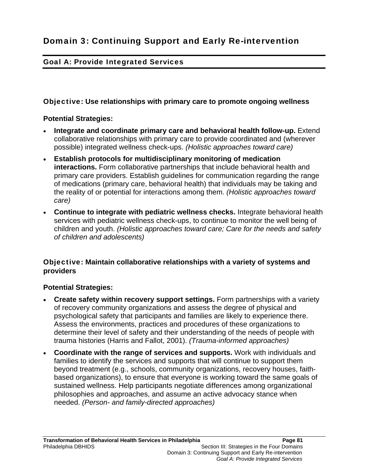# Goal A: Provide Integrated Services

#### Objective: **Use relationships with primary care to promote ongoing wellness**

#### **Potential Strategies:**

- **Integrate and coordinate primary care and behavioral health follow-up.** Extend collaborative relationships with primary care to provide coordinated and (wherever possible) integrated wellness check-ups. *(Holistic approaches toward care)*
- **Establish protocols for multidisciplinary monitoring of medication interactions.** Form collaborative partnerships that include behavioral health and primary care providers. Establish guidelines for communication regarding the range of medications (primary care, behavioral health) that individuals may be taking and the reality of or potential for interactions among them. *(Holistic approaches toward care)*
- **Continue to integrate with pediatric wellness checks.** Integrate behavioral health services with pediatric wellness check-ups, to continue to monitor the well being of children and youth. *(Holistic approaches toward care; Care for the needs and safety of children and adolescents)*

## Objective: **Maintain collaborative relationships with a variety of systems and providers**

#### **Potential Strategies:**

- **Create safety within recovery support settings.** Form partnerships with a variety of recovery community organizations and assess the degree of physical and psychological safety that participants and families are likely to experience there. Assess the environments, practices and procedures of these organizations to determine their level of safety and their understanding of the needs of people with trauma histories (Harris and Fallot, 2001). *(Trauma-informed approaches)*
- **Coordinate with the range of services and supports.** Work with individuals and families to identify the services and supports that will continue to support them beyond treatment (e.g., schools, community organizations, recovery houses, faithbased organizations), to ensure that everyone is working toward the same goals of sustained wellness. Help participants negotiate differences among organizational philosophies and approaches, and assume an active advocacy stance when needed. *(Person- and family-directed approaches)*

*Goal A: Provide Integrated Services*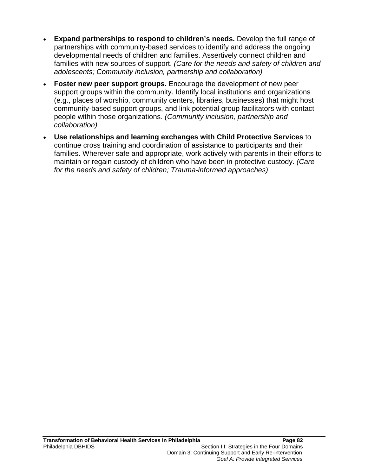- **Expand partnerships to respond to children's needs.** Develop the full range of partnerships with community-based services to identify and address the ongoing developmental needs of children and families. Assertively connect children and families with new sources of support. *(Care for the needs and safety of children and adolescents; Community inclusion, partnership and collaboration)*
- **Foster new peer support groups.** Encourage the development of new peer support groups within the community. Identify local institutions and organizations (e.g., places of worship, community centers, libraries, businesses) that might host community-based support groups, and link potential group facilitators with contact people within those organizations. *(Community inclusion, partnership and collaboration)*
- **Use relationships and learning exchanges with Child Protective Services** to continue cross training and coordination of assistance to participants and their families. Wherever safe and appropriate, work actively with parents in their efforts to maintain or regain custody of children who have been in protective custody. *(Care for the needs and safety of children; Trauma-informed approaches)*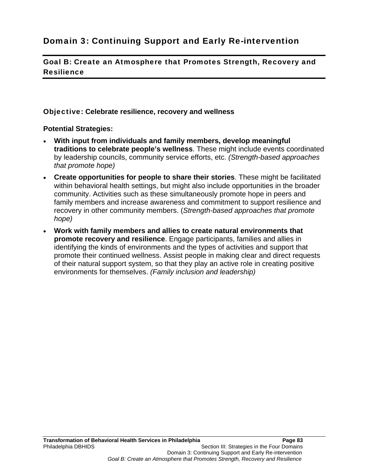# Domain 3: Continuing Support and Early Re-intervention

Goal B: Create an Atmosphere that Promotes Strength, Recovery and Resilience

#### Objective: **Celebrate resilience, recovery and wellness**

- **With input from individuals and family members, develop meaningful traditions to celebrate people's wellness**. These might include events coordinated by leadership councils, community service efforts, etc. *(Strength-based approaches that promote hope)*
- **Create opportunities for people to share their stories**. These might be facilitated within behavioral health settings, but might also include opportunities in the broader community. Activities such as these simultaneously promote hope in peers and family members and increase awareness and commitment to support resilience and recovery in other community members. (*Strength-based approaches that promote hope)*
- **Work with family members and allies to create natural environments that promote recovery and resilience**. Engage participants, families and allies in identifying the kinds of environments and the types of activities and support that promote their continued wellness. Assist people in making clear and direct requests of their natural support system, so that they play an active role in creating positive environments for themselves. *(Family inclusion and leadership)*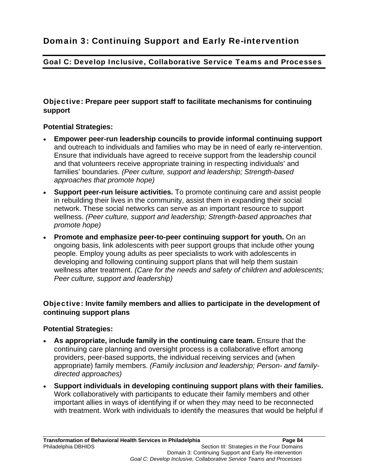# Goal C: Develop Inclusive, Collaborative Service Teams and Processes

## Objective: **Prepare peer support staff to facilitate mechanisms for continuing support**

#### **Potential Strategies:**

- **Empower peer-run leadership councils to provide informal continuing support** and outreach to individuals and families who may be in need of early re-intervention. Ensure that individuals have agreed to receive support from the leadership council and that volunteers receive appropriate training in respecting individuals' and families' boundaries. *(Peer culture, support and leadership; Strength-based approaches that promote hope)*
- **Support peer-run leisure activities.** To promote continuing care and assist people in rebuilding their lives in the community, assist them in expanding their social network. These social networks can serve as an important resource to support wellness. *(Peer culture, support and leadership; Strength-based approaches that promote hope)*
- **Promote and emphasize peer-to-peer continuing support for youth.** On an ongoing basis, link adolescents with peer support groups that include other young people. Employ young adults as peer specialists to work with adolescents in developing and following continuing support plans that will help them sustain wellness after treatment. *(Care for the needs and safety of children and adolescents; Peer culture, support and leadership)*

## Objective: **Invite family members and allies to participate in the development of continuing support plans**

- **As appropriate, include family in the continuing care team.** Ensure that the continuing care planning and oversight process is a collaborative effort among providers, peer-based supports, the individual receiving services and (when appropriate) family members. *(Family inclusion and leadership; Person- and familydirected approaches)*
- **Support individuals in developing continuing support plans with their families.** Work collaboratively with participants to educate their family members and other important allies in ways of identifying if or when they may need to be reconnected with treatment. Work with individuals to identify the measures that would be helpful if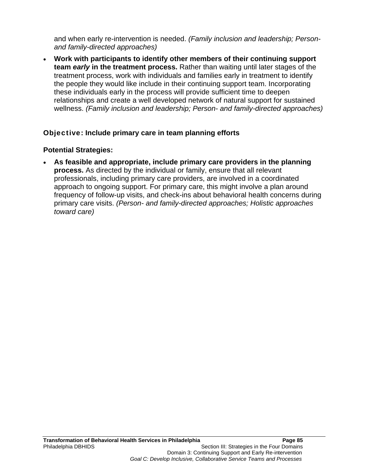and when early re-intervention is needed. *(Family inclusion and leadership; Personand family-directed approaches)*

 **Work with participants to identify other members of their continuing support team** *early* **in the treatment process.** Rather than waiting until later stages of the treatment process, work with individuals and families early in treatment to identify the people they would like include in their continuing support team. Incorporating these individuals early in the process will provide sufficient time to deepen relationships and create a well developed network of natural support for sustained wellness. *(Family inclusion and leadership; Person- and family-directed approaches)*

#### Objective: **Include primary care in team planning efforts**

#### **Potential Strategies:**

 **As feasible and appropriate, include primary care providers in the planning process.** As directed by the individual or family, ensure that all relevant professionals, including primary care providers, are involved in a coordinated approach to ongoing support. For primary care, this might involve a plan around frequency of follow-up visits, and check-ins about behavioral health concerns during primary care visits. *(Person- and family-directed approaches; Holistic approaches toward care)*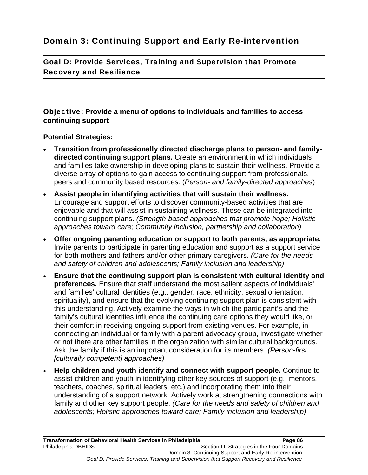# Domain 3: Continuing Support and Early Re-intervention

Goal D: Provide Services, Training and Supervision that Promote Recovery and Resilience

Objective: **Provide a menu of options to individuals and families to access continuing support** 

- **Transition from professionally directed discharge plans to person- and familydirected continuing support plans.** Create an environment in which individuals and families take ownership in developing plans to sustain their wellness. Provide a diverse array of options to gain access to continuing support from professionals, peers and community based resources. (*Person- and family-directed approaches*)
- **Assist people in identifying activities that will sustain their wellness.**  Encourage and support efforts to discover community-based activities that are enjoyable and that will assist in sustaining wellness. These can be integrated into continuing support plans. *(Strength-based approaches that promote hope; Holistic approaches toward care; Community inclusion, partnership and collaboration)*
- **Offer ongoing parenting education or support to both parents, as appropriate.** Invite parents to participate in parenting education and support as a support service for both mothers and fathers and/or other primary caregivers. *(Care for the needs and safety of children and adolescents; Family inclusion and leadership)*
- **Ensure that the continuing support plan is consistent with cultural identity and preferences.** Ensure that staff understand the most salient aspects of individuals' and families' cultural identities (e.g., gender, race, ethnicity, sexual orientation, spirituality), and ensure that the evolving continuing support plan is consistent with this understanding. Actively examine the ways in which the participant's and the family's cultural identities influence the continuing care options they would like, or their comfort in receiving ongoing support from existing venues. For example, in connecting an individual or family with a parent advocacy group, investigate whether or not there are other families in the organization with similar cultural backgrounds. Ask the family if this is an important consideration for its members. *(Person-first [culturally competent] approaches)*
- **Help children and youth identify and connect with support people.** Continue to assist children and youth in identifying other key sources of support (e.g., mentors, teachers, coaches, spiritual leaders, etc.) and incorporating them into their understanding of a support network. Actively work at strengthening connections with family and other key support people. *(Care for the needs and safety of children and adolescents; Holistic approaches toward care; Family inclusion and leadership)*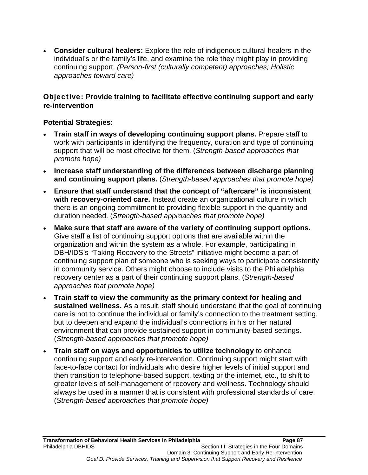**Consider cultural healers:** Explore the role of indigenous cultural healers in the individual's or the family's life, and examine the role they might play in providing continuing support. *(Person-first (culturally competent) approaches; Holistic approaches toward care)* 

## Objective: **Provide training to facilitate effective continuing support and early re-intervention**

- **Train staff in ways of developing continuing support plans.** Prepare staff to work with participants in identifying the frequency, duration and type of continuing support that will be most effective for them. (*Strength-based approaches that promote hope)*
- **Increase staff understanding of the differences between discharge planning and continuing support plans.** (*Strength-based approaches that promote hope)*
- **Ensure that staff understand that the concept of "aftercare" is inconsistent with recovery-oriented care.** Instead create an organizational culture in which there is an ongoing commitment to providing flexible support in the quantity and duration needed. (*Strength-based approaches that promote hope)*
- **Make sure that staff are aware of the variety of continuing support options.**  Give staff a list of continuing support options that are available within the organization and within the system as a whole. For example, participating in DBH/IDS's "Taking Recovery to the Streets" initiative might become a part of continuing support plan of someone who is seeking ways to participate consistently in community service. Others might choose to include visits to the Philadelphia recovery center as a part of their continuing support plans. (*Strength-based approaches that promote hope)*
- **Train staff to view the community as the primary context for healing and sustained wellness.** As a result, staff should understand that the goal of continuing care is not to continue the individual or family's connection to the treatment setting, but to deepen and expand the individual's connections in his or her natural environment that can provide sustained support in community-based settings. (*Strength-based approaches that promote hope)*
- **Train staff on ways and opportunities to utilize technology** to enhance continuing support and early re-intervention. Continuing support might start with face-to-face contact for individuals who desire higher levels of initial support and then transition to telephone-based support, texting or the internet, etc., to shift to greater levels of self-management of recovery and wellness. Technology should always be used in a manner that is consistent with professional standards of care. (*Strength-based approaches that promote hope)*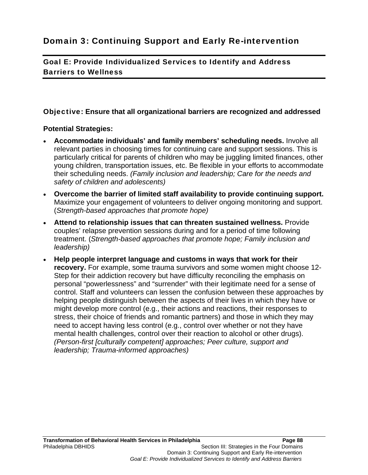Goal E: Provide Individualized Services to Identify and Address Barriers to Wellness

## Objective: **Ensure that all organizational barriers are recognized and addressed**

- **Accommodate individuals' and family members' scheduling needs.** Involve all relevant parties in choosing times for continuing care and support sessions. This is particularly critical for parents of children who may be juggling limited finances, other young children, transportation issues, etc. Be flexible in your efforts to accommodate their scheduling needs. *(Family inclusion and leadership; Care for the needs and safety of children and adolescents)*
- **Overcome the barrier of limited staff availability to provide continuing support.** Maximize your engagement of volunteers to deliver ongoing monitoring and support. (*Strength-based approaches that promote hope)*
- **Attend to relationship issues that can threaten sustained wellness.** Provide couples' relapse prevention sessions during and for a period of time following treatment. (*Strength-based approaches that promote hope; Family inclusion and leadership)*
- **Help people interpret language and customs in ways that work for their recovery.** For example, some trauma survivors and some women might choose 12- Step for their addiction recovery but have difficulty reconciling the emphasis on personal "powerlessness" and "surrender" with their legitimate need for a sense of control. Staff and volunteers can lessen the confusion between these approaches by helping people distinguish between the aspects of their lives in which they have or might develop more control (e.g., their actions and reactions, their responses to stress, their choice of friends and romantic partners) and those in which they may need to accept having less control (e.g., control over whether or not they have mental health challenges, control over their reaction to alcohol or other drugs). *(Person-first [culturally competent] approaches; Peer culture, support and leadership; Trauma-informed approaches)*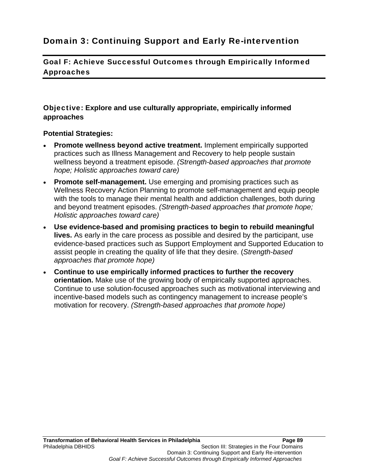# Domain 3: Continuing Support and Early Re-intervention

Goal F: Achieve Successful Outcomes through Empirically Informed Approaches

#### Objective: **Explore and use culturally appropriate, empirically informed approaches**

- **Promote wellness beyond active treatment.** Implement empirically supported practices such as Illness Management and Recovery to help people sustain wellness beyond a treatment episode. *(Strength-based approaches that promote hope; Holistic approaches toward care)*
- **Promote self-management.** Use emerging and promising practices such as Wellness Recovery Action Planning to promote self-management and equip people with the tools to manage their mental health and addiction challenges, both during and beyond treatment episodes. *(Strength-based approaches that promote hope; Holistic approaches toward care)*
- **Use evidence-based and promising practices to begin to rebuild meaningful lives.** As early in the care process as possible and desired by the participant, use evidence-based practices such as Support Employment and Supported Education to assist people in creating the quality of life that they desire. (*Strength-based approaches that promote hope)*
- **Continue to use empirically informed practices to further the recovery orientation.** Make use of the growing body of empirically supported approaches. Continue to use solution-focused approaches such as motivational interviewing and incentive-based models such as contingency management to increase people's motivation for recovery. *(Strength-based approaches that promote hope)*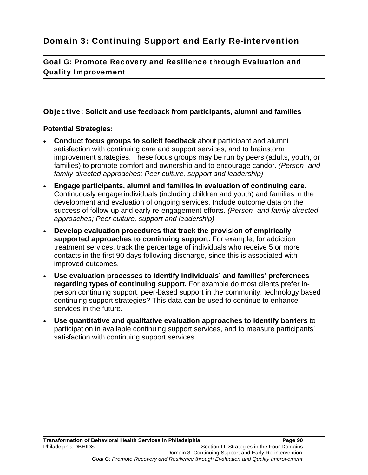Goal G: Promote Recovery and Resilience through Evaluation and Quality Improvement

## Objective: **Solicit and use feedback from participants, alumni and families**

- **Conduct focus groups to solicit feedback** about participant and alumni satisfaction with continuing care and support services, and to brainstorm improvement strategies. These focus groups may be run by peers (adults, youth, or families) to promote comfort and ownership and to encourage candor. *(Person- and family-directed approaches; Peer culture, support and leadership)*
- **Engage participants, alumni and families in evaluation of continuing care.**  Continuously engage individuals (including children and youth) and families in the development and evaluation of ongoing services. Include outcome data on the success of follow-up and early re-engagement efforts. *(Person- and family-directed approaches; Peer culture, support and leadership)*
- **Develop evaluation procedures that track the provision of empirically supported approaches to continuing support.** For example, for addiction treatment services, track the percentage of individuals who receive 5 or more contacts in the first 90 days following discharge, since this is associated with improved outcomes.
- **Use evaluation processes to identify individuals' and families' preferences regarding types of continuing support.** For example do most clients prefer inperson continuing support, peer-based support in the community, technology based continuing support strategies? This data can be used to continue to enhance services in the future.
- **Use quantitative and qualitative evaluation approaches to identify barriers** to participation in available continuing support services, and to measure participants' satisfaction with continuing support services.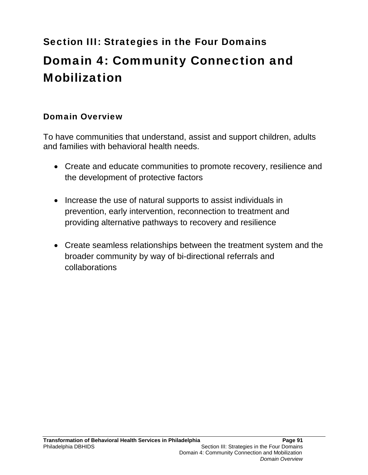# Section III: Strategies in the Four Domains Domain 4: Community Connection and Mobilization

# Domain Overview

To have communities that understand, assist and support children, adults and families with behavioral health needs.

- Create and educate communities to promote recovery, resilience and the development of protective factors
- Increase the use of natural supports to assist individuals in prevention, early intervention, reconnection to treatment and providing alternative pathways to recovery and resilience
- Create seamless relationships between the treatment system and the broader community by way of bi-directional referrals and collaborations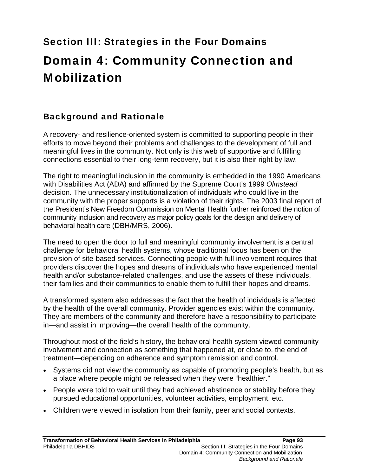# Section III: Strategies in the Four Domains

# Domain 4: Community Connection and Mobilization

# Background and Rationale

A recovery- and resilience-oriented system is committed to supporting people in their efforts to move beyond their problems and challenges to the development of full and meaningful lives in the community. Not only is this web of supportive and fulfilling connections essential to their long-term recovery, but it is also their right by law.

The right to meaningful inclusion in the community is embedded in the 1990 Americans with Disabilities Act (ADA) and affirmed by the Supreme Court's 1999 *Olmstead*  decision. The unnecessary institutionalization of individuals who could live in the community with the proper supports is a violation of their rights. The 2003 final report of the President's New Freedom Commission on Mental Health further reinforced the notion of community inclusion and recovery as major policy goals for the design and delivery of behavioral health care (DBH/MRS, 2006).

The need to open the door to full and meaningful community involvement is a central challenge for behavioral health systems, whose traditional focus has been on the provision of site-based services. Connecting people with full involvement requires that providers discover the hopes and dreams of individuals who have experienced mental health and/or substance-related challenges, and use the assets of these individuals, their families and their communities to enable them to fulfill their hopes and dreams.

A transformed system also addresses the fact that the health of individuals is affected by the health of the overall community. Provider agencies exist within the community. They are members of the community and therefore have a responsibility to participate in—and assist in improving—the overall health of the community.

Throughout most of the field's history, the behavioral health system viewed community involvement and connection as something that happened at, or close to, the end of treatment—depending on adherence and symptom remission and control.

- Systems did not view the community as capable of promoting people's health, but as a place where people might be released when they were "healthier."
- People were told to wait until they had achieved abstinence or stability before they pursued educational opportunities, volunteer activities, employment, etc.
- Children were viewed in isolation from their family, peer and social contexts.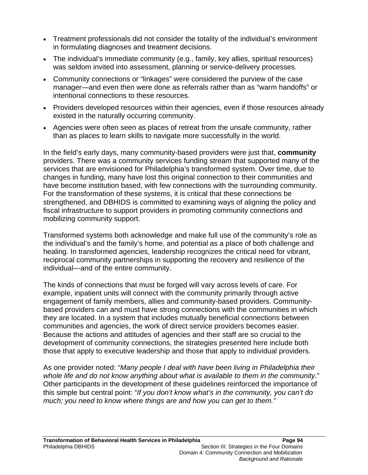- Treatment professionals did not consider the totality of the individual's environment in formulating diagnoses and treatment decisions.
- The individual's immediate community (e.g., family, key allies, spiritual resources) was seldom invited into assessment, planning or service-delivery processes.
- Community connections or "linkages" were considered the purview of the case manager—and even then were done as referrals rather than as "warm handoffs" or intentional connections to these resources.
- Providers developed resources within their agencies, even if those resources already existed in the naturally occurring community.
- Agencies were often seen as places of retreat from the unsafe community, rather than as places to learn skills to navigate more successfully in the world.

In the field's early days, many community-based providers were just that, **community** providers. There was a community services funding stream that supported many of the services that are envisioned for Philadelphia's transformed system. Over time, due to changes in funding, many have lost this original connection to their communities and have become institution based, with few connections with the surrounding community. For the transformation of these systems, it is critical that these connections be strengthened, and DBHIDS is committed to examining ways of aligning the policy and fiscal infrastructure to support providers in promoting community connections and mobilizing community support.

Transformed systems both acknowledge and make full use of the community's role as the individual's and the family's home, and potential as a place of both challenge and healing. In transformed agencies, leadership recognizes the critical need for vibrant, reciprocal community partnerships in supporting the recovery and resilience of the individual—and of the entire community.

The kinds of connections that must be forged will vary across levels of care. For example, inpatient units will connect with the community primarily through active engagement of family members, allies and community-based providers. Communitybased providers can and must have strong connections with the communities in which they are located. In a system that includes mutually beneficial connections between communities and agencies, the work of direct service providers becomes easier. Because the actions and attitudes of agencies and their staff are so crucial to the development of community connections, the strategies presented here include both those that apply to executive leadership and those that apply to individual providers.

As one provider noted: "*Many people I deal with have been living in Philadelphia their whole life and do not know anything about what is available to them in the community*." Other participants in the development of these guidelines reinforced the importance of this simple but central point: "*If you don't know what's in the community, you can't do much; you need to know where things are and how you can get to them."*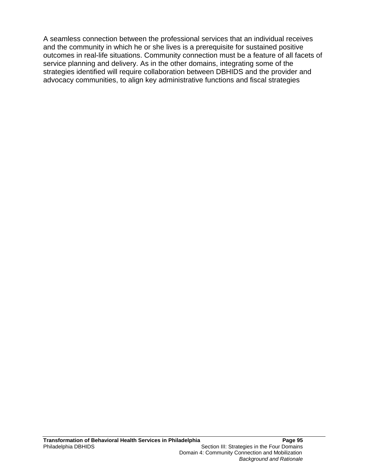A seamless connection between the professional services that an individual receives and the community in which he or she lives is a prerequisite for sustained positive outcomes in real-life situations. Community connection must be a feature of all facets of service planning and delivery. As in the other domains, integrating some of the strategies identified will require collaboration between DBHIDS and the provider and advocacy communities, to align key administrative functions and fiscal strategies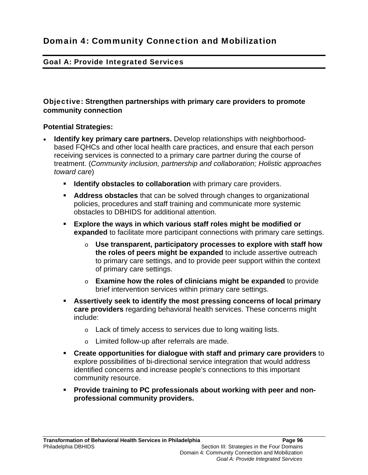## Goal A: Provide Integrated Services

#### Objective: **Strengthen partnerships with primary care providers to promote community connection**

- **Identify key primary care partners.** Develop relationships with neighborhoodbased FQHCs and other local health care practices, and ensure that each person receiving services is connected to a primary care partner during the course of treatment. (*Community inclusion, partnership and collaboration; Holistic approaches toward care*)
	- **IDENTIFY STATES IS COLLATED METABORY CATE PROVIDERS. I**
	- **Address obstacles** that can be solved through changes to organizational policies, procedures and staff training and communicate more systemic obstacles to DBHIDS for additional attention.
	- **Explore the ways in which various staff roles might be modified or expanded** to facilitate more participant connections with primary care settings.
		- o **Use transparent, participatory processes to explore with staff how the roles of peers might be expanded** to include assertive outreach to primary care settings, and to provide peer support within the context of primary care settings.
		- o **Examine how the roles of clinicians might be expanded** to provide brief intervention services within primary care settings.
	- **Assertively seek to identify the most pressing concerns of local primary care providers** regarding behavioral health services. These concerns might include:
		- o Lack of timely access to services due to long waiting lists.
		- o Limited follow-up after referrals are made.
	- **Create opportunities for dialogue with staff and primary care providers** to explore possibilities of bi-directional service integration that would address identified concerns and increase people's connections to this important community resource.
	- **Provide training to PC professionals about working with peer and nonprofessional community providers.**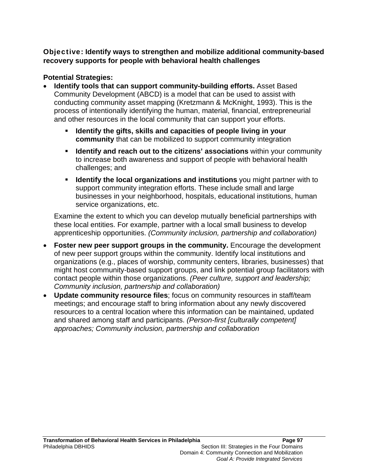# Objective: **Identify ways to strengthen and mobilize additional community-based recovery supports for people with behavioral health challenges**

# **Potential Strategies:**

- **Identify tools that can support community-building efforts.** Asset Based Community Development (ABCD) is a model that can be used to assist with conducting community asset mapping (Kretzmann & McKnight, 1993). This is the process of intentionally identifying the human, material, financial, entrepreneurial and other resources in the local community that can support your efforts.
	- **Identify the gifts, skills and capacities of people living in your community** that can be mobilized to support community integration
	- **Identify and reach out to the citizens' associations** within your community to increase both awareness and support of people with behavioral health challenges; and
	- **Identify the local organizations and institutions** you might partner with to support community integration efforts. These include small and large businesses in your neighborhood, hospitals, educational institutions, human service organizations, etc.

Examine the extent to which you can develop mutually beneficial partnerships with these local entities. For example, partner with a local small business to develop apprenticeship opportunities. *(Community inclusion, partnership and collaboration)*

- **Foster new peer support groups in the community.** Encourage the development of new peer support groups within the community. Identify local institutions and organizations (e.g., places of worship, community centers, libraries, businesses) that might host community-based support groups, and link potential group facilitators with contact people within those organizations. *(Peer culture, support and leadership; Community inclusion, partnership and collaboration)*
- **Update community resource files**; focus on community resources in staff/team meetings; and encourage staff to bring information about any newly discovered resources to a central location where this information can be maintained, updated and shared among staff and participants. *(Person-first [culturally competent] approaches; Community inclusion, partnership and collaboration*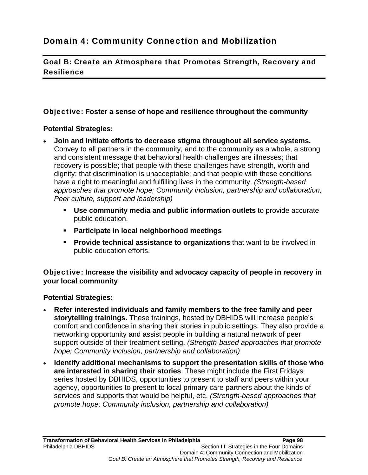Goal B: Create an Atmosphere that Promotes Strength, Recovery and Resilience

# Objective: **Foster a sense of hope and resilience throughout the community**

## **Potential Strategies:**

- **Join and initiate efforts to decrease stigma throughout all service systems.** Convey to all partners in the community, and to the community as a whole, a strong and consistent message that behavioral health challenges are illnesses; that recovery is possible; that people with these challenges have strength, worth and dignity; that discrimination is unacceptable; and that people with these conditions have a right to meaningful and fulfilling lives in the community. *(Strength-based approaches that promote hope; Community inclusion, partnership and collaboration; Peer culture, support and leadership)*
	- **Use community media and public information outlets** to provide accurate public education.
	- **Participate in local neighborhood meetings**
	- **Provide technical assistance to organizations** that want to be involved in public education efforts.

Objective: **Increase the visibility and advocacy capacity of people in recovery in your local community** 

- **Refer interested individuals and family members to the free family and peer storytelling trainings.** These trainings, hosted by DBHIDS will increase people's comfort and confidence in sharing their stories in public settings. They also provide a networking opportunity and assist people in building a natural network of peer support outside of their treatment setting. *(Strength-based approaches that promote hope; Community inclusion, partnership and collaboration)*
- **Identify additional mechanisms to support the presentation skills of those who are interested in sharing their stories**. These might include the First Fridays series hosted by DBHIDS, opportunities to present to staff and peers within your agency, opportunities to present to local primary care partners about the kinds of services and supports that would be helpful, etc. *(Strength-based approaches that promote hope; Community inclusion, partnership and collaboration)*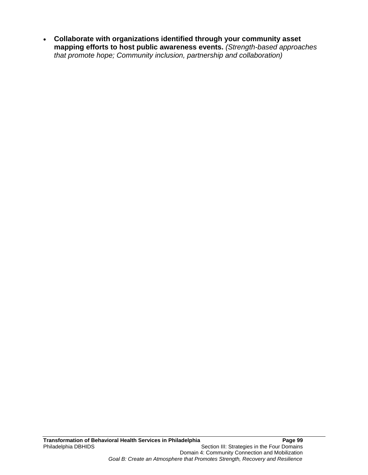**Collaborate with organizations identified through your community asset mapping efforts to host public awareness events.** *(Strength-based approaches that promote hope; Community inclusion, partnership and collaboration)*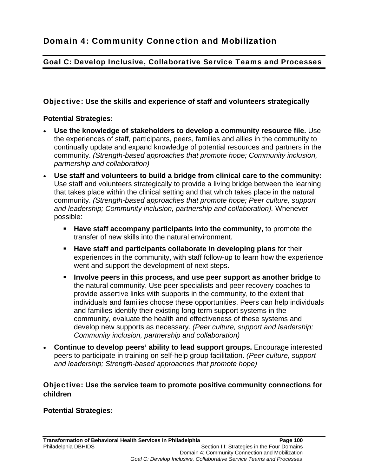## Goal C: Develop Inclusive, Collaborative Service Teams and Processes

#### Objective: **Use the skills and experience of staff and volunteers strategically**

#### **Potential Strategies:**

- **Use the knowledge of stakeholders to develop a community resource file.** Use the experiences of staff, participants, peers, families and allies in the community to continually update and expand knowledge of potential resources and partners in the community. *(Strength-based approaches that promote hope; Community inclusion, partnership and collaboration)*
- **Use staff and volunteers to build a bridge from clinical care to the community:**  Use staff and volunteers strategically to provide a living bridge between the learning that takes place within the clinical setting and that which takes place in the natural community. *(Strength-based approaches that promote hope; Peer culture, support and leadership; Community inclusion, partnership and collaboration).* Whenever possible:
	- **Have staff accompany participants into the community,** to promote the transfer of new skills into the natural environment.
	- **Have staff and participants collaborate in developing plans** for their experiences in the community, with staff follow-up to learn how the experience went and support the development of next steps.
	- **Involve peers in this process, and use peer support as another bridge** to the natural community. Use peer specialists and peer recovery coaches to provide assertive links with supports in the community, to the extent that individuals and families choose these opportunities. Peers can help individuals and families identify their existing long-term support systems in the community, evaluate the health and effectiveness of these systems and develop new supports as necessary. *(Peer culture, support and leadership; Community inclusion, partnership and collaboration)*
- **Continue to develop peers' ability to lead support groups.** Encourage interested peers to participate in training on self-help group facilitation. *(Peer culture, support and leadership; Strength-based approaches that promote hope)*

#### Objective: **Use the service team to promote positive community connections for children**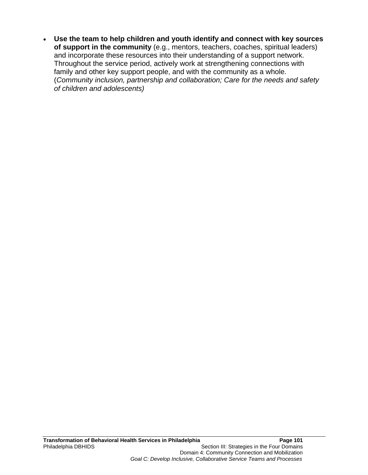**Use the team to help children and youth identify and connect with key sources of support in the community** (e.g., mentors, teachers, coaches, spiritual leaders) and incorporate these resources into their understanding of a support network. Throughout the service period, actively work at strengthening connections with family and other key support people, and with the community as a whole. (*Community inclusion, partnership and collaboration; Care for the needs and safety of children and adolescents)*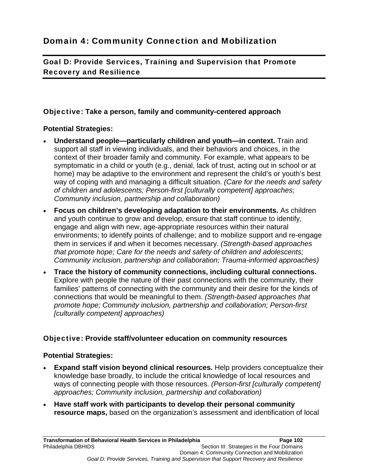Goal D: Provide Services, Training and Supervision that Promote Recovery and Resilience

#### Objective: **Take a person, family and community-centered approach**

#### **Potential Strategies:**

- **Understand people—particularly children and youth—in context.** Train and support all staff in viewing individuals, and their behaviors and choices, in the context of their broader family and community. For example, what appears to be symptomatic in a child or youth (e.g., denial, lack of trust, acting out in school or at home) may be adaptive to the environment and represent the child's or youth's best way of coping with and managing a difficult situation. *(Care for the needs and safety of children and adolescents; Person-first [culturally competent] approaches; Community inclusion, partnership and collaboration)*
- **Focus on children's developing adaptation to their environments.** As children and youth continue to grow and develop, ensure that staff continue to identify, engage and align with new, age-appropriate resources within their natural environments; to identify points of challenge; and to mobilize support and re-engage them in services if and when it becomes necessary. *(Strength-based approaches that promote hope; Care for the needs and safety of children and adolescents; Community inclusion, partnership and collaboration; Trauma-informed approaches)*
- **Trace the history of community connections, including cultural connections.** Explore with people the nature of their past connections with the community, their families' patterns of connecting with the community and their desire for the kinds of connections that would be meaningful to them. *(Strength-based approaches that promote hope; Community inclusion, partnership and collaboration; Person-first [culturally competent] approaches)*

#### Objective: **Provide staff/volunteer education on community resources**

- **Expand staff vision beyond clinical resources.** Help providers conceptualize their knowledge base broadly, to include the critical knowledge of local resources and ways of connecting people with those resources. *(Person-first [culturally competent] approaches; Community inclusion, partnership and collaboration)*
- **Have staff work with participants to develop their personal community resource maps,** based on the organization's assessment and identification of local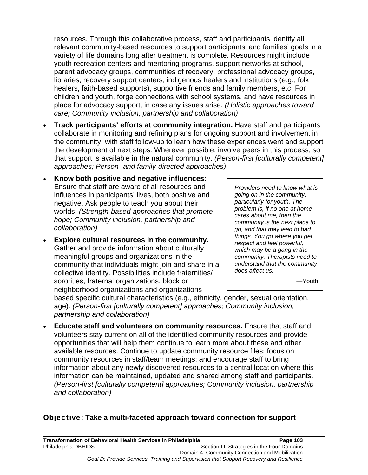resources. Through this collaborative process, staff and participants identify all relevant community-based resources to support participants' and families' goals in a variety of life domains long after treatment is complete. Resources might include youth recreation centers and mentoring programs, support networks at school, parent advocacy groups, communities of recovery, professional advocacy groups, libraries, recovery support centers, indigenous healers and institutions (e.g., folk healers, faith-based supports), supportive friends and family members, etc. For children and youth, forge connections with school systems, and have resources in place for advocacy support, in case any issues arise. *(Holistic approaches toward care; Community inclusion, partnership and collaboration)*

- **Track participants' efforts at community integration.** Have staff and participants collaborate in monitoring and refining plans for ongoing support and involvement in the community, with staff follow-up to learn how these experiences went and support the development of next steps. Wherever possible, involve peers in this process, so that support is available in the natural community. *(Person-first [culturally competent] approaches; Person- and family-directed approaches)*
- **Know both positive and negative influences:** Ensure that staff are aware of all resources and influences in participants' lives, both positive and negative. Ask people to teach you about their worlds. *(Strength-based approaches that promote hope; Community inclusion, partnership and collaboration)*
- **Explore cultural resources in the community.** Gather and provide information about culturally meaningful groups and organizations in the community that individuals might join and share in a collective identity. Possibilities include fraternities/ sororities, fraternal organizations, block or neighborhood organizations and organizations

*Providers need to know what is going on in the community, particularly for youth. The problem is, if no one at home cares about me, then the community is the next place to go, and that may lead to bad things. You go where you get respect and feel powerful, which may be a gang in the community. Therapists need to understand that the community does affect us.* 

—Youth

based specific cultural characteristics (e.g., ethnicity, gender, sexual orientation, age). *(Person-first [culturally competent] approaches; Community inclusion, partnership and collaboration)*

 **Educate staff and volunteers on community resources.** Ensure that staff and volunteers stay current on all of the identified community resources and provide opportunities that will help them continue to learn more about these and other available resources. Continue to update community resource files; focus on community resources in staff/team meetings; and encourage staff to bring information about any newly discovered resources to a central location where this information can be maintained, updated and shared among staff and participants. *(Person-first [culturally competent] approaches; Community inclusion, partnership and collaboration)*

#### Objective: **Take a multi-faceted approach toward connection for support**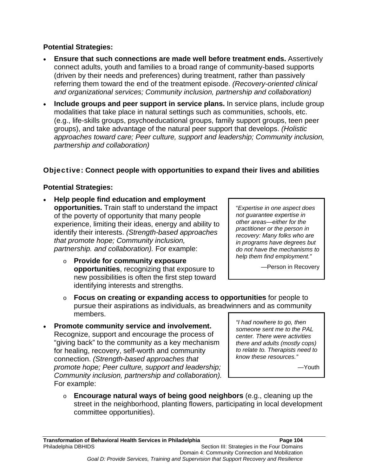#### **Potential Strategies:**

- **Ensure that such connections are made well before treatment ends.** Assertively connect adults, youth and families to a broad range of community-based supports (driven by their needs and preferences) during treatment, rather than passively referring them toward the end of the treatment episode. *(Recovery-oriented clinical and organizational services; Community inclusion, partnership and collaboration)*
- **Include groups and peer support in service plans.** In service plans, include group modalities that take place in natural settings such as communities, schools, etc. (e.g., life-skills groups, psychoeducational groups, family support groups, teen peer groups), and take advantage of the natural peer support that develops. *(Holistic approaches toward care; Peer culture, support and leadership; Community inclusion, partnership and collaboration)*

#### Objective: **Connect people with opportunities to expand their lives and abilities**

#### **Potential Strategies:**

- **Help people find education and employment opportunities.** Train staff to understand the impact of the poverty of opportunity that many people experience, limiting their ideas, energy and ability to identify their interests. *(Strength-based approaches that promote hope; Community inclusion, partnership. and collaboration).* For example:
	- o **Provide for community exposure opportunities**, recognizing that exposure to new possibilities is often the first step toward identifying interests and strengths.

"*Expertise in one aspect does not guarantee expertise in other areas—either for the practitioner or the person in recovery: Many folks who are in programs have degrees but do not have the mechanisms to help them find employment."* 

—Person in Recovery

- o **Focus on creating or expanding access to opportunities** for people to pursue their aspirations as individuals, as breadwinners and as community members.
- **Promote community service and involvement.**  Recognize, support and encourage the process of "giving back" to the community as a key mechanism for healing, recovery, self-worth and community connection. *(Strength-based approaches that promote hope; Peer culture, support and leadership; Community inclusion, partnership and collaboration).* For example:

*"I had nowhere to go, then someone sent me to the PAL center. There were activities there and adults (mostly cops) to relate to. Therapists need to know these resources."* 

—Youth

o **Encourage natural ways of being good neighbors** (e.g., cleaning up the street in the neighborhood, planting flowers, participating in local development committee opportunities).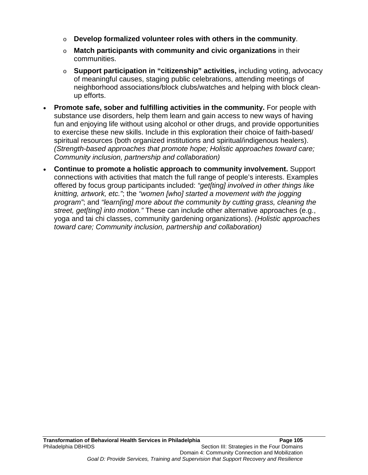- o **Develop formalized volunteer roles with others in the community**.
- o **Match participants with community and civic organizations** in their communities.
- o **Support participation in "citizenship" activities,** including voting, advocacy of meaningful causes, staging public celebrations, attending meetings of neighborhood associations/block clubs/watches and helping with block cleanup efforts.
- **Promote safe, sober and fulfilling activities in the community.** For people with substance use disorders, help them learn and gain access to new ways of having fun and enjoying life without using alcohol or other drugs, and provide opportunities to exercise these new skills. Include in this exploration their choice of faith-based/ spiritual resources (both organized institutions and spiritual/indigenous healers). *(Strength-based approaches that promote hope; Holistic approaches toward care; Community inclusion, partnership and collaboration)*
- **Continue to promote a holistic approach to community involvement.** Support connections with activities that match the full range of people's interests. Examples offered by focus group participants included: *"get[ting] involved in other things like knitting, artwork, etc."*; the *"women [who] started a movement with the jogging program"*; and *"learn[ing] more about the community by cutting grass, cleaning the street, get[ting] into motion."* These can include other alternative approaches (e.g., yoga and tai chi classes, community gardening organizations). *(Holistic approaches toward care; Community inclusion, partnership and collaboration)*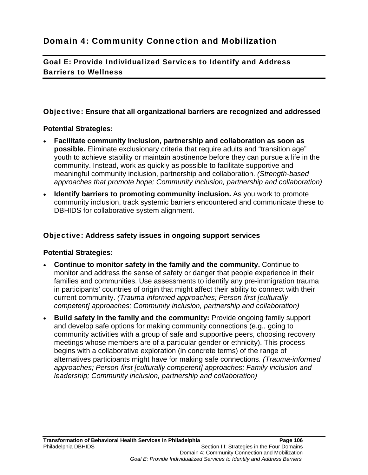Goal E: Provide Individualized Services to Identify and Address Barriers to Wellness

#### Objective: **Ensure that all organizational barriers are recognized and addressed**

#### **Potential Strategies:**

- **Facilitate community inclusion, partnership and collaboration as soon as possible.** Eliminate exclusionary criteria that require adults and "transition age" youth to achieve stability or maintain abstinence before they can pursue a life in the community. Instead, work as quickly as possible to facilitate supportive and meaningful community inclusion, partnership and collaboration. *(Strength-based approaches that promote hope; Community inclusion, partnership and collaboration)*
- **Identify barriers to promoting community inclusion.** As you work to promote community inclusion, track systemic barriers encountered and communicate these to DBHIDS for collaborative system alignment.

#### Objective: **Address safety issues in ongoing support services**

- **Continue to monitor safety in the family and the community.** Continue to monitor and address the sense of safety or danger that people experience in their families and communities. Use assessments to identify any pre-immigration trauma in participants' countries of origin that might affect their ability to connect with their current community. *(Trauma-informed approaches; Person-first [culturally competent] approaches; Community inclusion, partnership and collaboration)*
- **Build safety in the family and the community:** Provide ongoing family support and develop safe options for making community connections (e.g., going to community activities with a group of safe and supportive peers, choosing recovery meetings whose members are of a particular gender or ethnicity). This process begins with a collaborative exploration (in concrete terms) of the range of alternatives participants might have for making safe connections. *(Trauma-informed approaches; Person-first [culturally competent] approaches; Family inclusion and leadership; Community inclusion, partnership and collaboration)*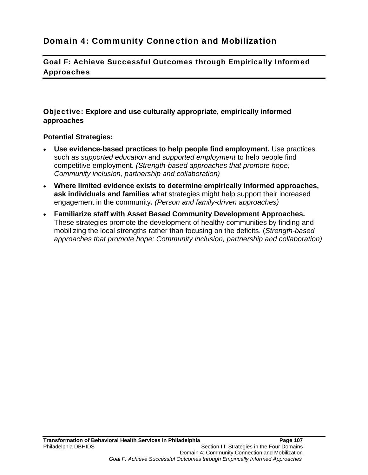### Domain 4: Community Connection and Mobilization

Goal F: Achieve Successful Outcomes through Empirically Informed Approaches

Objective: **Explore and use culturally appropriate, empirically informed approaches**

- **Use evidence-based practices to help people find employment.** Use practices such as *supported education* and *supported employment* to help people find competitive employment. *(Strength-based approaches that promote hope; Community inclusion, partnership and collaboration)*
- **Where limited evidence exists to determine empirically informed approaches, ask individuals and families** what strategies might help support their increased engagement in the community**.** *(Person and family-driven approaches)*
- **Familiarize staff with Asset Based Community Development Approaches.**  These strategies promote the development of healthy communities by finding and mobilizing the local strengths rather than focusing on the deficits. (*Strength-based approaches that promote hope; Community inclusion, partnership and collaboration)*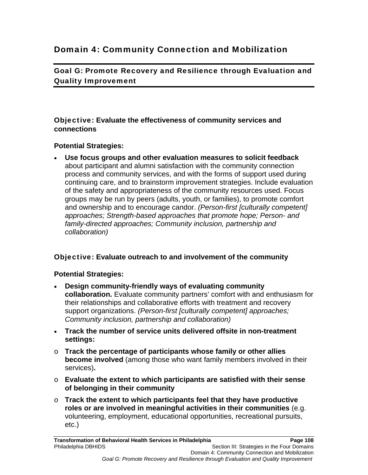### Domain 4: Community Connection and Mobilization

Goal G: Promote Recovery and Resilience through Evaluation and Quality Improvement

#### Objective: **Evaluate the effectiveness of community services and connections**

#### **Potential Strategies:**

 **Use focus groups and other evaluation measures to solicit feedback** about participant and alumni satisfaction with the community connection process and community services, and with the forms of support used during continuing care, and to brainstorm improvement strategies. Include evaluation of the safety and appropriateness of the community resources used. Focus groups may be run by peers (adults, youth, or families), to promote comfort and ownership and to encourage candor. *(Person-first [culturally competent] approaches; Strength-based approaches that promote hope; Person- and family-directed approaches; Community inclusion, partnership and collaboration)*

#### Objective: **Evaluate outreach to and involvement of the community**

- **Design community-friendly ways of evaluating community collaboration.** Evaluate community partners' comfort with and enthusiasm for their relationships and collaborative efforts with treatment and recovery support organizations. *(Person-first [culturally competent] approaches; Community inclusion, partnership and collaboration)*
- **Track the number of service units delivered offsite in non-treatment settings:**
- o **Track the percentage of participants whose family or other allies become involved** (among those who want family members involved in their services)**.**
- o **Evaluate the extent to which participants are satisfied with their sense of belonging in their community**
- o **Track the extent to which participants feel that they have productive roles or are involved in meaningful activities in their communities** (e.g. volunteering, employment, educational opportunities, recreational pursuits, etc.)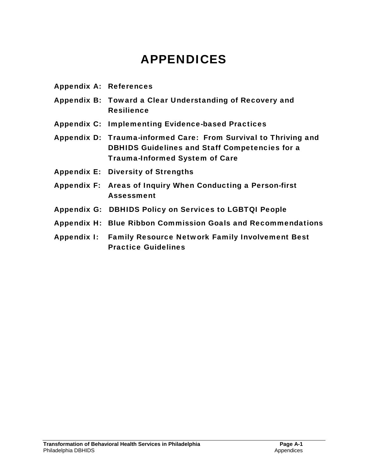# APPENDICES

| <b>Appendix A: References</b> |                                                                                                                                                                   |
|-------------------------------|-------------------------------------------------------------------------------------------------------------------------------------------------------------------|
|                               | Appendix B: Toward a Clear Understanding of Recovery and<br><b>Resilience</b>                                                                                     |
|                               | Appendix C: Implementing Evidence-based Practices                                                                                                                 |
|                               | Appendix D: Trauma-informed Care: From Survival to Thriving and<br><b>DBHIDS Guidelines and Staff Competencies for a</b><br><b>Trauma-Informed System of Care</b> |
|                               | <b>Appendix E: Diversity of Strengths</b>                                                                                                                         |
|                               | Appendix F: Areas of Inquiry When Conducting a Person-first<br><b>Assessment</b>                                                                                  |
|                               | <b>Appendix G: DBHIDS Policy on Services to LGBTQI People</b>                                                                                                     |
|                               | Appendix H: Blue Ribbon Commission Goals and Recommendations                                                                                                      |
|                               | Appendix I: Family Resource Network Family Involvement Best<br><b>Practice Guidelines</b>                                                                         |
|                               |                                                                                                                                                                   |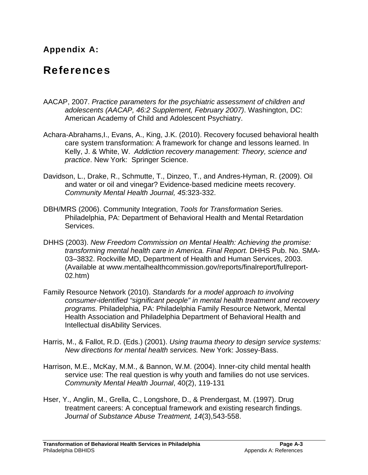### Appendix A:

## References

- AACAP, 2007. *Practice parameters for the psychiatric assessment of children and adolescents (AACAP, 46:2 Supplement, February 2007)*. Washington, DC: American Academy of Child and Adolescent Psychiatry.
- Achara-Abrahams,I., Evans, A., King, J.K. (2010). Recovery focused behavioral health care system transformation: A framework for change and lessons learned. In Kelly, J. & White, W. *Addiction recovery management: Theory, science and practice*. New York: Springer Science.
- Davidson, L., Drake, R., Schmutte, T., Dinzeo, T., and Andres-Hyman, R. (2009). Oil and water or oil and vinegar? Evidence-based medicine meets recovery. *Community Mental Health Journal, 45:*323-332.
- DBH/MRS (2006). Community Integration, *Tools for Transformation* Series. Philadelphia, PA: Department of Behavioral Health and Mental Retardation Services.
- DHHS (2003). *New Freedom Commission on Mental Health: Achieving the promise: transforming mental health care in America. Final Report.* DHHS Pub. No. SMA-03–3832. Rockville MD, Department of Health and Human Services, 2003. (Available at www.mentalhealthcommission.gov/reports/finalreport/fullreport-02.htm)
- Family Resource Network (2010). *Standards for a model approach to involving consumer-identified "significant people" in mental health treatment and recovery programs.* Philadelphia, PA: Philadelphia Family Resource Network, Mental Health Association and Philadelphia Department of Behavioral Health and Intellectual disAbility Services.
- Harris, M., & Fallot, R.D. (Eds.) (2001). *Using trauma theory to design service systems: New directions for mental health services.* New York: Jossey-Bass.
- Harrison, M.E., McKay, M.M., & Bannon, W.M. (2004). Inner-city child mental health service use: The real question is why youth and families do not use services. *Community Mental Health Journal*, 40(2), 119-131
- Hser, Y., Anglin, M., Grella, C., Longshore, D., & Prendergast, M. (1997). Drug treatment careers: A conceptual framework and existing research findings. *Journal of Substance Abuse Treatment, 14*(3),543-558.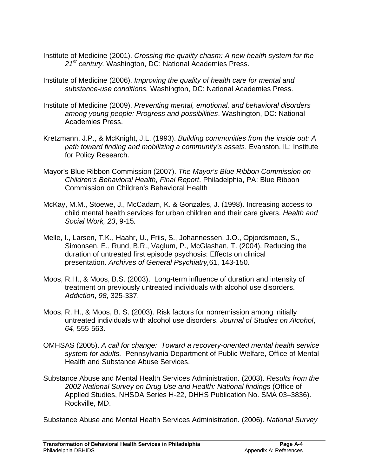- Institute of Medicine (2001). *Crossing the quality chasm: A new health system for the 21st century.* Washington, DC: National Academies Press.
- Institute of Medicine (2006). *Improving the quality of health care for mental and substance-use conditions.* Washington, DC: National Academies Press.
- Institute of Medicine (2009). *Preventing mental, emotional, and behavioral disorders among young people: Progress and possibilities*. Washington, DC: National Academies Press.
- Kretzmann, J.P., & McKnight, J.L. (1993). *Building communities from the inside out: A path toward finding and mobilizing a community's assets*. Evanston, IL: Institute for Policy Research.
- Mayor's Blue Ribbon Commission (2007). *The Mayor's Blue Ribbon Commission on Children's Behavioral Health, Final Report*. Philadelphia, PA: Blue Ribbon Commission on Children's Behavioral Health
- McKay, M.M., Stoewe, J., McCadam, K. & Gonzales, J. (1998). Increasing access to child mental health services for urban children and their care givers. *Health and Social Work, 23*, 9-15*.*
- Melle, I., Larsen, T.K., Haahr, U., Friis, S., Johannessen, J.O., Opjordsmoen, S., Simonsen, E., Rund, B.R., Vaglum, P., McGlashan, T. (2004). Reducing the duration of untreated first episode psychosis: Effects on clinical presentation. *Archives of General Psychiatry,*61, 143-150.
- Moos, R.H., & Moos, B.S. (2003). Long-term influence of duration and intensity of treatment on previously untreated individuals with alcohol use disorders. *Addiction*, *98*, 325-337.
- Moos, R. H., & Moos, B. S. (2003). Risk factors for nonremission among initially untreated individuals with alcohol use disorders. *Journal of Studies on Alcohol*, *64*, 555-563.
- OMHSAS (2005). *A call for change: Toward a recovery-oriented mental health service system for adults.* Pennsylvania Department of Public Welfare, Office of Mental Health and Substance Abuse Services.
- Substance Abuse and Mental Health Services Administration. (2003). *Results from the 2002 National Survey on Drug Use and Health: National findings* (Office of Applied Studies, NHSDA Series H-22, DHHS Publication No. SMA 03–3836). Rockville, MD.

Substance Abuse and Mental Health Services Administration. (2006). *National Survey*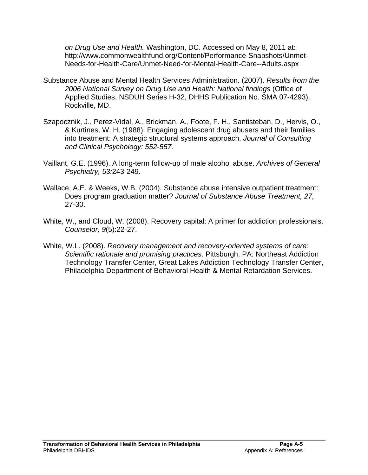*on Drug Use and Health.* Washington, DC. Accessed on May 8, 2011 at: http://www.commonwealthfund.org/Content/Performance-Snapshots/Unmet-Needs-for-Health-Care/Unmet-Need-for-Mental-Health-Care--Adults.aspx

- Substance Abuse and Mental Health Services Administration. (2007). *Results from the 2006 National Survey on Drug Use and Health: National findings* (Office of Applied Studies, NSDUH Series H-32, DHHS Publication No. SMA 07-4293). Rockville, MD.
- Szapocznik, J., Perez-Vidal, A., Brickman, A., Foote, F. H., Santisteban, D., Hervis, O., & Kurtines, W. H. (1988). Engaging adolescent drug abusers and their families into treatment: A strategic structural systems approach. *Journal of Consulting and Clinical Psychology: 552-557.*
- Vaillant, G.E. (1996). A long-term follow-up of male alcohol abuse. *Archives of General Psychiatry, 53:*243-249.
- Wallace, A.E. & Weeks, W.B. (2004). Substance abuse intensive outpatient treatment: Does program graduation matter? *Journal of Substance Abuse Treatment, 27,*  27-30.
- White, W., and Cloud, W. (2008). Recovery capital: A primer for addiction professionals. *Counselor, 9*(5):22-27.
- White, W.L. (2008). *Recovery management and recovery-oriented systems of care: Scientific rationale and promising practices*. Pittsburgh, PA: Northeast Addiction Technology Transfer Center, Great Lakes Addiction Technology Transfer Center, Philadelphia Department of Behavioral Health & Mental Retardation Services.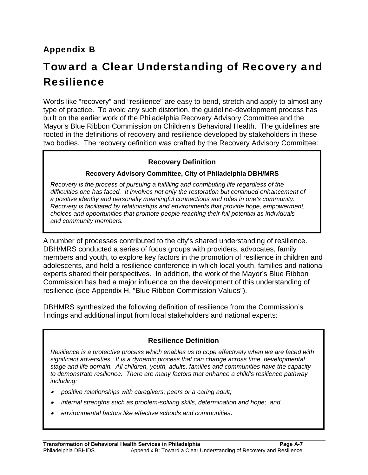### Appendix B

# Toward a Clear Understanding of Recovery and Resilience

Words like "recovery" and "resilience" are easy to bend, stretch and apply to almost any type of practice. To avoid any such distortion, the guideline-development process has built on the earlier work of the Philadelphia Recovery Advisory Committee and the Mayor's Blue Ribbon Commission on Children's Behavioral Health. The guidelines are rooted in the definitions of recovery and resilience developed by stakeholders in these two bodies. The recovery definition was crafted by the Recovery Advisory Committee:

#### **Recovery Definition**

#### **Recovery Advisory Committee, City of Philadelphia DBH/MRS**

*Recovery is the process of pursuing a fulfilling and contributing life regardless of the difficulties one has faced. It involves not only the restoration but continued enhancement of a positive identity and personally meaningful connections and roles in one's community. Recovery is facilitated by relationships and environments that provide hope, empowerment, choices and opportunities that promote people reaching their full potential as individuals and community members.* 

A number of processes contributed to the city's shared understanding of resilience. DBH/MRS conducted a series of focus groups with providers, advocates, family members and youth, to explore key factors in the promotion of resilience in children and adolescents, and held a resilience conference in which local youth, families and national experts shared their perspectives. In addition, the work of the Mayor's Blue Ribbon Commission has had a major influence on the development of this understanding of resilience (see Appendix H, "Blue Ribbon Commission Values").

DBHMRS synthesized the following definition of resilience from the Commission's findings and additional input from local stakeholders and national experts:

#### **Resilience Definition**

*Resilience is a protective process which enables us to cope effectively when we are faced with significant adversities. It is a dynamic process that can change across time, developmental stage and life domain. All children, youth, adults, families and communities have the capacity to demonstrate resilience. There are many factors that enhance a child's resilience pathway including:* 

- *positive relationships with caregivers, peers or a caring adult;*
- *internal strengths such as problem-solving skills, determination and hope; and*
- *environmental factors like effective schools and communities.*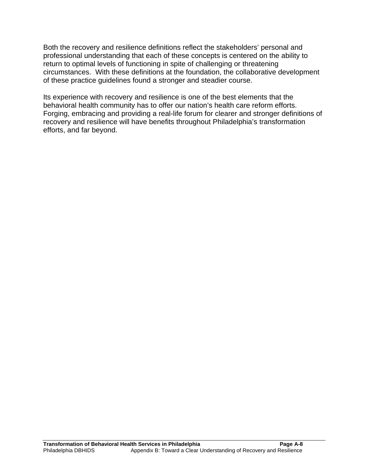Both the recovery and resilience definitions reflect the stakeholders' personal and professional understanding that each of these concepts is centered on the ability to return to optimal levels of functioning in spite of challenging or threatening circumstances. With these definitions at the foundation, the collaborative development of these practice guidelines found a stronger and steadier course.

Its experience with recovery and resilience is one of the best elements that the behavioral health community has to offer our nation's health care reform efforts. Forging, embracing and providing a real-life forum for clearer and stronger definitions of recovery and resilience will have benefits throughout Philadelphia's transformation efforts, and far beyond.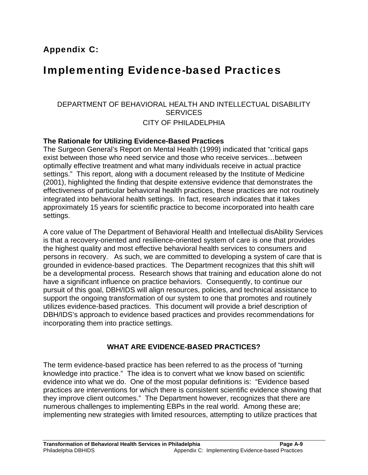## Implementing Evidence-based Practices

#### DEPARTMENT OF BEHAVIORAL HEALTH AND INTELLECTUAL DISABILITY **SERVICES** CITY OF PHILADELPHIA

#### **The Rationale for Utilizing Evidence-Based Practices**

The Surgeon General's Report on Mental Health (1999) indicated that "critical gaps exist between those who need service and those who receive services…between optimally effective treatment and what many individuals receive in actual practice settings." This report, along with a document released by the Institute of Medicine (2001), highlighted the finding that despite extensive evidence that demonstrates the effectiveness of particular behavioral health practices, these practices are not routinely integrated into behavioral health settings. In fact, research indicates that it takes approximately 15 years for scientific practice to become incorporated into health care settings.

A core value of The Department of Behavioral Health and Intellectual disAbility Services is that a recovery-oriented and resilience-oriented system of care is one that provides the highest quality and most effective behavioral health services to consumers and persons in recovery. As such, we are committed to developing a system of care that is grounded in evidence-based practices. The Department recognizes that this shift will be a developmental process. Research shows that training and education alone do not have a significant influence on practice behaviors. Consequently, to continue our pursuit of this goal, DBH/IDS will align resources, policies, and technical assistance to support the ongoing transformation of our system to one that promotes and routinely utilizes evidence-based practices. This document will provide a brief description of DBH/IDS's approach to evidence based practices and provides recommendations for incorporating them into practice settings.

#### **WHAT ARE EVIDENCE-BASED PRACTICES?**

The term evidence-based practice has been referred to as the process of "turning knowledge into practice." The idea is to convert what we know based on scientific evidence into what we do. One of the most popular definitions is: "Evidence based practices are interventions for which there is consistent scientific evidence showing that they improve client outcomes." The Department however, recognizes that there are numerous challenges to implementing EBPs in the real world. Among these are; implementing new strategies with limited resources, attempting to utilize practices that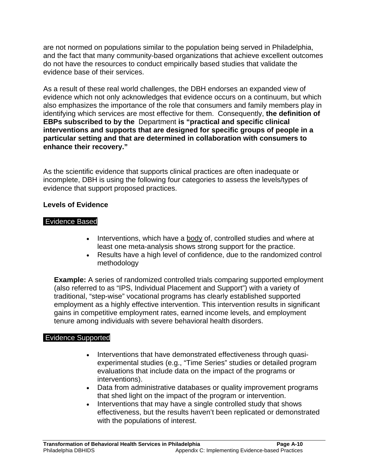are not normed on populations similar to the population being served in Philadelphia, and the fact that many community-based organizations that achieve excellent outcomes do not have the resources to conduct empirically based studies that validate the evidence base of their services.

As a result of these real world challenges, the DBH endorses an expanded view of evidence which not only acknowledges that evidence occurs on a continuum, but which also emphasizes the importance of the role that consumers and family members play in identifying which services are most effective for them. Consequently, **the definition of EBPs subscribed to by the** Department **is "practical and specific clinical interventions and supports that are designed for specific groups of people in a particular setting and that are determined in collaboration with consumers to enhance their recovery."**

As the scientific evidence that supports clinical practices are often inadequate or incomplete, DBH is using the following four categories to assess the levels/types of evidence that support proposed practices.

#### **Levels of Evidence**

#### Evidence Based

- Interventions, which have a body of, controlled studies and where at least one meta-analysis shows strong support for the practice.
- Results have a high level of confidence, due to the randomized control methodology

**Example:** A series of randomized controlled trials comparing supported employment (also referred to as "IPS, Individual Placement and Support") with a variety of traditional, "step-wise" vocational programs has clearly established supported employment as a highly effective intervention. This intervention results in significant gains in competitive employment rates, earned income levels, and employment tenure among individuals with severe behavioral health disorders.

#### Evidence Supported

- Interventions that have demonstrated effectiveness through quasiexperimental studies (e.g., "Time Series" studies or detailed program evaluations that include data on the impact of the programs or interventions).
- Data from administrative databases or quality improvement programs that shed light on the impact of the program or intervention.
- Interventions that may have a single controlled study that shows effectiveness, but the results haven't been replicated or demonstrated with the populations of interest.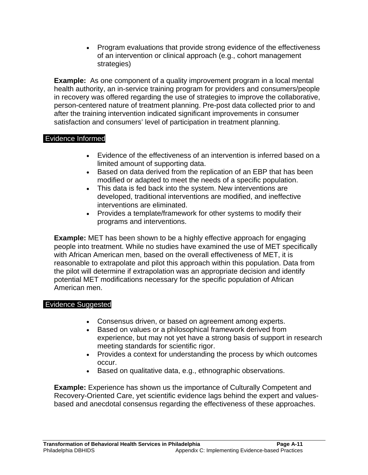• Program evaluations that provide strong evidence of the effectiveness of an intervention or clinical approach (e.g., cohort management strategies)

**Example:** As one component of a quality improvement program in a local mental health authority, an in-service training program for providers and consumers/people in recovery was offered regarding the use of strategies to improve the collaborative, person-centered nature of treatment planning. Pre-post data collected prior to and after the training intervention indicated significant improvements in consumer satisfaction and consumers' level of participation in treatment planning.

#### Evidence Informed

- Evidence of the effectiveness of an intervention is inferred based on a limited amount of supporting data.
- Based on data derived from the replication of an EBP that has been modified or adapted to meet the needs of a specific population.
- This data is fed back into the system. New interventions are developed, traditional interventions are modified, and ineffective interventions are eliminated.
- Provides a template/framework for other systems to modify their programs and interventions.

**Example:** MET has been shown to be a highly effective approach for engaging people into treatment. While no studies have examined the use of MET specifically with African American men, based on the overall effectiveness of MET, it is reasonable to extrapolate and pilot this approach within this population. Data from the pilot will determine if extrapolation was an appropriate decision and identify potential MET modifications necessary for the specific population of African American men.

#### Evidence Suggested

- Consensus driven, or based on agreement among experts.
- Based on values or a philosophical framework derived from experience, but may not yet have a strong basis of support in research meeting standards for scientific rigor.
- Provides a context for understanding the process by which outcomes occur.
- Based on qualitative data, e.g., ethnographic observations.

**Example:** Experience has shown us the importance of Culturally Competent and Recovery-Oriented Care, yet scientific evidence lags behind the expert and valuesbased and anecdotal consensus regarding the effectiveness of these approaches.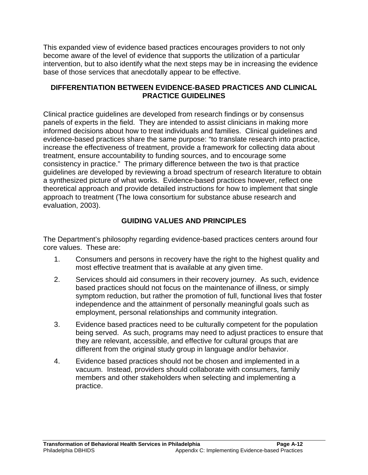This expanded view of evidence based practices encourages providers to not only become aware of the level of evidence that supports the utilization of a particular intervention, but to also identify what the next steps may be in increasing the evidence base of those services that anecdotally appear to be effective.

#### **DIFFERENTIATION BETWEEN EVIDENCE-BASED PRACTICES AND CLINICAL PRACTICE GUIDELINES**

Clinical practice guidelines are developed from research findings or by consensus panels of experts in the field. They are intended to assist clinicians in making more informed decisions about how to treat individuals and families. Clinical guidelines and evidence-based practices share the same purpose: "to translate research into practice, increase the effectiveness of treatment, provide a framework for collecting data about treatment, ensure accountability to funding sources, and to encourage some consistency in practice." The primary difference between the two is that practice guidelines are developed by reviewing a broad spectrum of research literature to obtain a synthesized picture of what works. Evidence-based practices however, reflect one theoretical approach and provide detailed instructions for how to implement that single approach to treatment (The Iowa consortium for substance abuse research and evaluation, 2003).

#### **GUIDING VALUES AND PRINCIPLES**

The Department's philosophy regarding evidence-based practices centers around four core values. These are:

- 1. Consumers and persons in recovery have the right to the highest quality and most effective treatment that is available at any given time.
- 2. Services should aid consumers in their recovery journey. As such, evidence based practices should not focus on the maintenance of illness, or simply symptom reduction, but rather the promotion of full, functional lives that foster independence and the attainment of personally meaningful goals such as employment, personal relationships and community integration.
- 3. Evidence based practices need to be culturally competent for the population being served. As such, programs may need to adjust practices to ensure that they are relevant, accessible, and effective for cultural groups that are different from the original study group in language and/or behavior.
- 4. Evidence based practices should not be chosen and implemented in a vacuum. Instead, providers should collaborate with consumers, family members and other stakeholders when selecting and implementing a practice.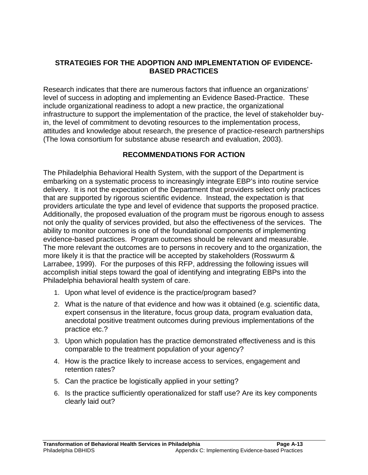#### **STRATEGIES FOR THE ADOPTION AND IMPLEMENTATION OF EVIDENCE-BASED PRACTICES**

Research indicates that there are numerous factors that influence an organizations' level of success in adopting and implementing an Evidence Based-Practice. These include organizational readiness to adopt a new practice, the organizational infrastructure to support the implementation of the practice, the level of stakeholder buyin, the level of commitment to devoting resources to the implementation process, attitudes and knowledge about research, the presence of practice-research partnerships (The Iowa consortium for substance abuse research and evaluation, 2003).

#### **RECOMMENDATIONS FOR ACTION**

The Philadelphia Behavioral Health System, with the support of the Department is embarking on a systematic process to increasingly integrate EBP's into routine service delivery. It is not the expectation of the Department that providers select only practices that are supported by rigorous scientific evidence. Instead, the expectation is that providers articulate the type and level of evidence that supports the proposed practice. Additionally, the proposed evaluation of the program must be rigorous enough to assess not only the quality of services provided, but also the effectiveness of the services. The ability to monitor outcomes is one of the foundational components of implementing evidence-based practices. Program outcomes should be relevant and measurable. The more relevant the outcomes are to persons in recovery and to the organization, the more likely it is that the practice will be accepted by stakeholders (Rosswurm & Larrabee, 1999). For the purposes of this RFP, addressing the following issues will accomplish initial steps toward the goal of identifying and integrating EBPs into the Philadelphia behavioral health system of care.

- 1. Upon what level of evidence is the practice/program based?
- 2. What is the nature of that evidence and how was it obtained (e.g. scientific data, expert consensus in the literature, focus group data, program evaluation data, anecdotal positive treatment outcomes during previous implementations of the practice etc.?
- 3. Upon which population has the practice demonstrated effectiveness and is this comparable to the treatment population of your agency?
- 4. How is the practice likely to increase access to services, engagement and retention rates?
- 5. Can the practice be logistically applied in your setting?
- 6. Is the practice sufficiently operationalized for staff use? Are its key components clearly laid out?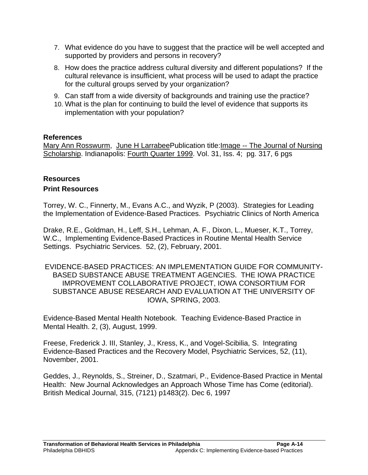- 7. What evidence do you have to suggest that the practice will be well accepted and supported by providers and persons in recovery?
- 8. How does the practice address cultural diversity and different populations? If the cultural relevance is insufficient, what process will be used to adapt the practice for the cultural groups served by your organization?
- 9. Can staff from a wide diversity of backgrounds and training use the practice?
- 10. What is the plan for continuing to build the level of evidence that supports its implementation with your population?

#### **References**

Mary Ann Rosswurm, June H LarrabeePublication title:Image -- The Journal of Nursing Scholarship. Indianapolis: Fourth Quarter 1999. Vol. 31, Iss. 4; pg. 317, 6 pgs

#### **Resources Print Resources**

Torrey, W. C., Finnerty, M., Evans A.C., and Wyzik, P (2003). Strategies for Leading the Implementation of Evidence-Based Practices. Psychiatric Clinics of North America

Drake, R.E., Goldman, H., Leff, S.H., Lehman, A. F., Dixon, L., Mueser, K.T., Torrey, W.C., Implementing Evidence-Based Practices in Routine Mental Health Service Settings. Psychiatric Services. 52, (2), February, 2001.

EVIDENCE-BASED PRACTICES: AN IMPLEMENTATION GUIDE FOR COMMUNITY-BASED SUBSTANCE ABUSE TREATMENT AGENCIES. THE IOWA PRACTICE IMPROVEMENT COLLABORATIVE PROJECT, IOWA CONSORTIUM FOR SUBSTANCE ABUSE RESEARCH AND EVALUATION AT THE UNIVERSITY OF IOWA, SPRING, 2003.

Evidence-Based Mental Health Notebook. Teaching Evidence-Based Practice in Mental Health. 2, (3), August, 1999.

Freese, Frederick J. III, Stanley, J., Kress, K., and Vogel-Scibilia, S. Integrating Evidence-Based Practices and the Recovery Model, Psychiatric Services, 52, (11), November, 2001.

Geddes, J., Reynolds, S., Streiner, D., Szatmari, P., Evidence-Based Practice in Mental Health: New Journal Acknowledges an Approach Whose Time has Come (editorial). British Medical Journal, 315, (7121) p1483(2). Dec 6, 1997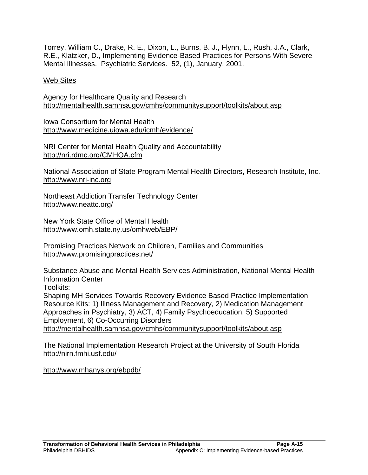Torrey, William C., Drake, R. E., Dixon, L., Burns, B. J., Flynn, L., Rush, J.A., Clark, R.E., Klatzker, D., Implementing Evidence-Based Practices for Persons With Severe Mental Illnesses. Psychiatric Services. 52, (1), January, 2001.

#### Web Sites

Agency for Healthcare Quality and Research http://mentalhealth.samhsa.gov/cmhs/communitysupport/toolkits/about.asp

Iowa Consortium for Mental Health http://www.medicine.uiowa.edu/icmh/evidence/

NRI Center for Mental Health Quality and Accountability http://nri.rdmc.org/CMHQA.cfm

National Association of State Program Mental Health Directors, Research Institute, Inc. http://www.nri-inc.org

Northeast Addiction Transfer Technology Center http://www.neattc.org/

New York State Office of Mental Health http://www.omh.state.ny.us/omhweb/EBP/

Promising Practices Network on Children, Families and Communities http://www.promisingpractices.net/

Substance Abuse and Mental Health Services Administration, National Mental Health Information Center

Toolkits:

Shaping MH Services Towards Recovery Evidence Based Practice Implementation Resource Kits: 1) Illness Management and Recovery, 2) Medication Management Approaches in Psychiatry, 3) ACT, 4) Family Psychoeducation, 5) Supported Employment, 6) Co-Occurring Disorders http://mentalhealth.samhsa.gov/cmhs/communitysupport/toolkits/about.asp

The National Implementation Research Project at the University of South Florida http://nirn.fmhi.usf.edu/

http://www.mhanys.org/ebpdb/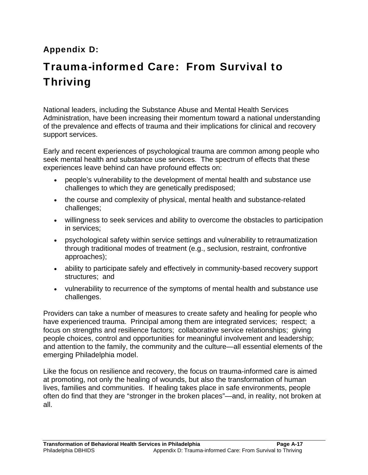## Appendix D:

# Trauma-informed Care: From Survival to Thriving

National leaders, including the Substance Abuse and Mental Health Services Administration, have been increasing their momentum toward a national understanding of the prevalence and effects of trauma and their implications for clinical and recovery support services.

Early and recent experiences of psychological trauma are common among people who seek mental health and substance use services. The spectrum of effects that these experiences leave behind can have profound effects on:

- people's vulnerability to the development of mental health and substance use challenges to which they are genetically predisposed;
- the course and complexity of physical, mental health and substance-related challenges;
- willingness to seek services and ability to overcome the obstacles to participation in services;
- psychological safety within service settings and vulnerability to retraumatization through traditional modes of treatment (e.g., seclusion, restraint, confrontive approaches);
- ability to participate safely and effectively in community-based recovery support structures; and
- vulnerability to recurrence of the symptoms of mental health and substance use challenges.

Providers can take a number of measures to create safety and healing for people who have experienced trauma. Principal among them are integrated services; respect; a focus on strengths and resilience factors; collaborative service relationships; giving people choices, control and opportunities for meaningful involvement and leadership; and attention to the family, the community and the culture—all essential elements of the emerging Philadelphia model.

Like the focus on resilience and recovery, the focus on trauma-informed care is aimed at promoting, not only the healing of wounds, but also the transformation of human lives, families and communities. If healing takes place in safe environments, people often do find that they are "stronger in the broken places"—and, in reality, not broken at all.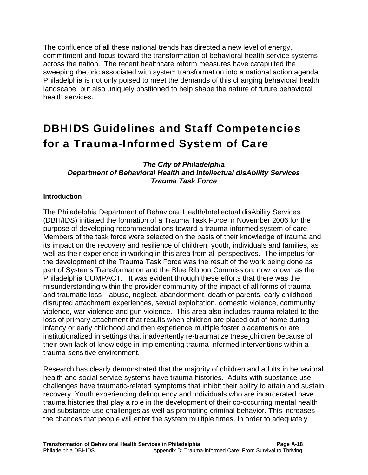The confluence of all these national trends has directed a new level of energy, commitment and focus toward the transformation of behavioral health service systems across the nation. The recent healthcare reform measures have catapulted the sweeping rhetoric associated with system transformation into a national action agenda. Philadelphia is not only poised to meet the demands of this changing behavioral health landscape, but also uniquely positioned to help shape the nature of future behavioral health services.

# DBHIDS Guidelines and Staff Competencies for a Trauma-Informed System of Care

#### *The City of Philadelphia Department of Behavioral Health and Intellectual disAbility Services Trauma Task Force*

#### **Introduction**

The Philadelphia Department of Behavioral Health/Intellectual disAbility Services (DBH/IDS) initiated the formation of a Trauma Task Force in November 2006 for the purpose of developing recommendations toward a trauma-informed system of care. Members of the task force were selected on the basis of their knowledge of trauma and its impact on the recovery and resilience of children, youth, individuals and families, as well as their experience in working in this area from all perspectives. The impetus for the development of the Trauma Task Force was the result of the work being done as part of Systems Transformation and the Blue Ribbon Commission, now known as the Philadelphia COMPACT. It was evident through these efforts that there was the misunderstanding within the provider community of the impact of all forms of trauma and traumatic loss—abuse, neglect, abandonment, death of parents, early childhood disrupted attachment experiences, sexual exploitation, domestic violence, community violence, war violence and gun violence. This area also includes trauma related to the loss of primary attachment that results when children are placed out of home during infancy or early childhood and then experience multiple foster placements or are institutionalized in settings that inadvertently re-traumatize these children because of their own lack of knowledge in implementing trauma-informed interventions within a trauma-sensitive environment.

Research has clearly demonstrated that the majority of children and adults in behavioral health and social service systems have trauma histories. Adults with substance use challenges have traumatic-related symptoms that inhibit their ability to attain and sustain recovery. Youth experiencing delinquency and individuals who are incarcerated have trauma histories that play a role in the development of their co-occurring mental health and substance use challenges as well as promoting criminal behavior. This increases the chances that people will enter the system multiple times. In order to adequately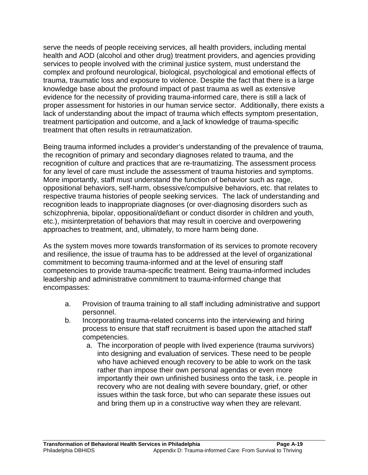serve the needs of people receiving services, all health providers, including mental health and AOD (alcohol and other drug) treatment providers, and agencies providing services to people involved with the criminal justice system, must understand the complex and profound neurological, biological, psychological and emotional effects of trauma, traumatic loss and exposure to violence. Despite the fact that there is a large knowledge base about the profound impact of past trauma as well as extensive evidence for the necessity of providing trauma-informed care, there is still a lack of proper assessment for histories in our human service sector. Additionally, there exists a lack of understanding about the impact of trauma which effects symptom presentation, treatment participation and outcome, and a lack of knowledge of trauma-specific treatment that often results in retraumatization.

Being trauma informed includes a provider's understanding of the prevalence of trauma, the recognition of primary and secondary diagnoses related to trauma, and the recognition of culture and practices that are re-traumatizing. The assessment process for any level of care must include the assessment of trauma histories and symptoms. More importantly, staff must understand the function of behavior such as rage, oppositional behaviors, self-harm, obsessive/compulsive behaviors, etc. that relates to respective trauma histories of people seeking services. The lack of understanding and recognition leads to inappropriate diagnoses (or over-diagnosing disorders such as schizophrenia, bipolar, oppositional/defiant or conduct disorder in children and youth, etc.), misinterpretation of behaviors that may result in coercive and overpowering approaches to treatment, and, ultimately, to more harm being done.

As the system moves more towards transformation of its services to promote recovery and resilience, the issue of trauma has to be addressed at the level of organizational commitment to becoming trauma-informed and at the level of ensuring staff competencies to provide trauma-specific treatment. Being trauma-informed includes leadership and administrative commitment to trauma-informed change that encompasses:

- a. Provision of trauma training to all staff including administrative and support personnel.
- b. Incorporating trauma-related concerns into the interviewing and hiring process to ensure that staff recruitment is based upon the attached staff competencies.
	- a. The incorporation of people with lived experience (trauma survivors) into designing and evaluation of services. These need to be people who have achieved enough recovery to be able to work on the task rather than impose their own personal agendas or even more importantly their own unfinished business onto the task, i.e. people in recovery who are not dealing with severe boundary, grief, or other issues within the task force, but who can separate these issues out and bring them up in a constructive way when they are relevant.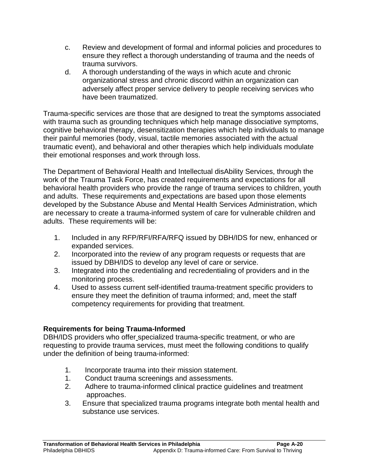- c. Review and development of formal and informal policies and procedures to ensure they reflect a thorough understanding of trauma and the needs of trauma survivors.
- d. A thorough understanding of the ways in which acute and chronic organizational stress and chronic discord within an organization can adversely affect proper service delivery to people receiving services who have been traumatized.

Trauma-specific services are those that are designed to treat the symptoms associated with trauma such as grounding techniques which help manage dissociative symptoms, cognitive behavioral therapy, desensitization therapies which help individuals to manage their painful memories (body, visual, tactile memories associated with the actual traumatic event), and behavioral and other therapies which help individuals modulate their emotional responses and work through loss.

The Department of Behavioral Health and Intellectual disAbility Services, through the work of the Trauma Task Force, has created requirements and expectations for all behavioral health providers who provide the range of trauma services to children, youth and adults. These requirements and expectations are based upon those elements developed by the Substance Abuse and Mental Health Services Administration, which are necessary to create a trauma-informed system of care for vulnerable children and adults. These requirements will be:

- 1. Included in any RFP/RFI/RFA/RFQ issued by DBH/IDS for new, enhanced or expanded services.
- 2. Incorporated into the review of any program requests or requests that are issued by DBH/IDS to develop any level of care or service.
- 3. Integrated into the credentialing and recredentialing of providers and in the monitoring process.
- 4. Used to assess current self-identified trauma-treatment specific providers to ensure they meet the definition of trauma informed; and, meet the staff competency requirements for providing that treatment.

#### **Requirements for being Trauma-Informed**

DBH/IDS providers who offer specialized trauma-specific treatment, or who are requesting to provide trauma services, must meet the following conditions to qualify under the definition of being trauma-informed:

- 1. Incorporate trauma into their mission statement.
- 1. Conduct trauma screenings and assessments.
- 2. Adhere to trauma-informed clinical practice guidelines and treatment approaches.
- 3. Ensure that specialized trauma programs integrate both mental health and substance use services.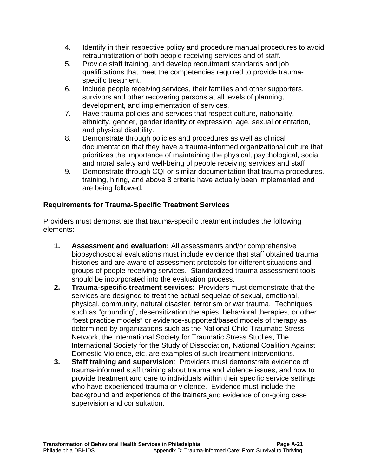- 4. Identify in their respective policy and procedure manual procedures to avoid retraumatization of both people receiving services and of staff.
- 5. Provide staff training, and develop recruitment standards and job qualifications that meet the competencies required to provide traumaspecific treatment.
- 6. Include people receiving services, their families and other supporters, survivors and other recovering persons at all levels of planning, development, and implementation of services.
- 7. Have trauma policies and services that respect culture, nationality, ethnicity, gender, gender identity or expression, age, sexual orientation, and physical disability.
- 8. Demonstrate through policies and procedures as well as clinical documentation that they have a trauma-informed organizational culture that prioritizes the importance of maintaining the physical, psychological, social and moral safety and well-being of people receiving services and staff.
- 9. Demonstrate through CQI or similar documentation that trauma procedures, training, hiring, and above 8 criteria have actually been implemented and are being followed.

#### **Requirements for Trauma-Specific Treatment Services**

Providers must demonstrate that trauma-specific treatment includes the following elements:

- **1. Assessment and evaluation:** All assessments and/or comprehensive biopsychosocial evaluations must include evidence that staff obtained trauma histories and are aware of assessment protocols for different situations and groups of people receiving services. Standardized trauma assessment tools should be incorporated into the evaluation process.
- **2. Trauma-specific treatment services**: Providers must demonstrate that the services are designed to treat the actual sequelae of sexual, emotional, physical, community, natural disaster, terrorism or war trauma. Techniques such as "grounding", desensitization therapies, behavioral therapies, or other "best practice models" or evidence-supported/based models of therapy as determined by organizations such as the National Child Traumatic Stress Network, the International Society for Traumatic Stress Studies, The International Society for the Study of Dissociation, National Coalition Against Domestic Violence, etc. are examples of such treatment interventions.
- **3. Staff training and supervision**: Providers must demonstrate evidence of trauma-informed staff training about trauma and violence issues, and how to provide treatment and care to individuals within their specific service settings who have experienced trauma or violence. Evidence must include the background and experience of the trainers and evidence of on-going case supervision and consultation.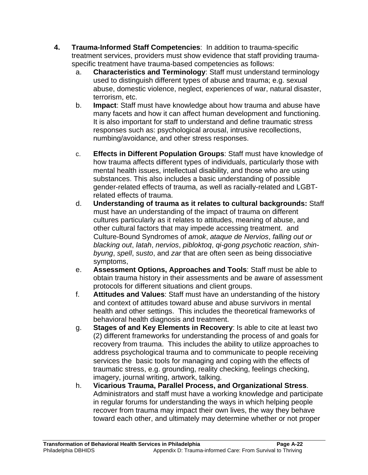- **4. Trauma-Informed Staff Competencies**: In addition to trauma-specific treatment services, providers must show evidence that staff providing traumaspecific treatment have trauma-based competencies as follows:
	- a. **Characteristics and Terminology**: Staff must understand terminology used to distinguish different types of abuse and trauma; e.g. sexual abuse, domestic violence, neglect, experiences of war, natural disaster, terrorism, etc.
	- b. **Impact**: Staff must have knowledge about how trauma and abuse have many facets and how it can affect human development and functioning. It is also important for staff to understand and define traumatic stress responses such as: psychological arousal, intrusive recollections, numbing/avoidance, and other stress responses.
	- c. **Effects in Different Population Groups**: Staff must have knowledge of how trauma affects different types of individuals, particularly those with mental health issues, intellectual disability, and those who are using substances. This also includes a basic understanding of possible gender-related effects of trauma, as well as racially-related and LGBTrelated effects of trauma.
	- d. **Understanding of trauma as it relates to cultural backgrounds:** Staff must have an understanding of the impact of trauma on different cultures particularly as it relates to attitudes, meaning of abuse, and other cultural factors that may impede accessing treatment. and Culture-Bound Syndromes of *amok*, *ataque de Nervios*, *falling out or blacking out*, *latah*, *nervios*, *pibloktoq*, *qi-gong psychotic reaction*, *shinbyung*, *spell*, *susto*, and *zar* that are often seen as being dissociative symptoms,
	- e. **Assessment Options, Approaches and Tools**: Staff must be able to obtain trauma history in their assessments and be aware of assessment protocols for different situations and client groups.
	- f. **Attitudes and Values**: Staff must have an understanding of the history and context of attitudes toward abuse and abuse survivors in mental health and other settings. This includes the theoretical frameworks of behavioral health diagnosis and treatment.
	- g. **Stages of and Key Elements in Recovery**: Is able to cite at least two (2) different frameworks for understanding the process of and goals for recovery from trauma. This includes the ability to utilize approaches to address psychological trauma and to communicate to people receiving services the basic tools for managing and coping with the effects of traumatic stress, e.g. grounding, reality checking, feelings checking, imagery, journal writing, artwork, talking.
	- h. **Vicarious Trauma, Parallel Process, and Organizational Stress**. Administrators and staff must have a working knowledge and participate in regular forums for understanding the ways in which helping people recover from trauma may impact their own lives, the way they behave toward each other, and ultimately may determine whether or not proper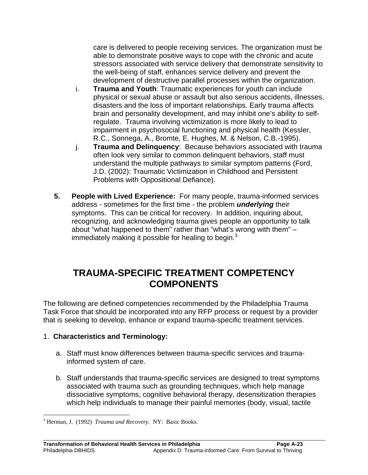care is delivered to people receiving services. The organization must be able to demonstrate positive ways to cope with the chronic and acute stressors associated with service delivery that demonstrate sensitivity to the well-being of staff, enhances service delivery and prevent the development of destructive parallel processes within the organization.

- i. **Trauma and Youth**: Traumatic experiences for youth can include physical or sexual abuse or assault but also serious accidents, illnesses, disasters and the loss of important relationships. Early trauma affects brain and personality development, and may inhibit one's ability to selfregulate. Trauma involving victimization is more likely to lead to impairment in psychosocial functioning and physical health (Kessler, R.C., Sonnega, A., Bromte, E. Hughes, M. & Nelson, C.B.-1995).
- j. **Trauma and Delinquency**: Because behaviors associated with trauma often look very similar to common delinquent behaviors, staff must understand the multiple pathways to similar symptom patterns (Ford, J.D. (2002): Traumatic Victimization in Childhood and Persistent Problems with Oppositional Defiance).
- **5. People with Lived Experience:** For many people, trauma-informed services address - sometimes for the first time - the problem *underlying* their symptoms. This can be critical for recovery. In addition, inquiring about, recognizing, and acknowledging trauma gives people an opportunity to talk about "what happened to them" rather than "what's wrong with them" – immediately making it possible for healing to begin. $3$

## **TRAUMA-SPECIFIC TREATMENT COMPETENCY COMPONENTS**

The following are defined competencies recommended by the Philadelphia Trauma Task Force that should be incorporated into any RFP process or request by a provider that is seeking to develop, enhance or expand trauma-specific treatment services.

#### 1. **Characteristics and Terminology:**

- a. Staff must know differences between trauma-specific services and traumainformed system of care.
- b. Staff understands that trauma-specific services are designed to treat symptoms associated with trauma such as grounding techniques, which help manage dissociative symptoms, cognitive behavioral therapy, desensitization therapies which help individuals to manage their painful memories (body, visual, tactile

 3 Herman, J. (1992) *Trauma and Recovery.* NY: Basic Books.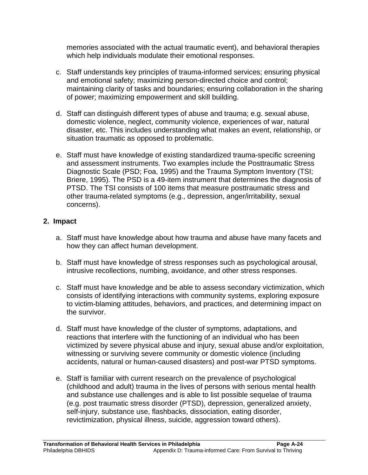memories associated with the actual traumatic event), and behavioral therapies which help individuals modulate their emotional responses.

- c. Staff understands key principles of trauma-informed services; ensuring physical and emotional safety; maximizing person-directed choice and control; maintaining clarity of tasks and boundaries; ensuring collaboration in the sharing of power; maximizing empowerment and skill building.
- d. Staff can distinguish different types of abuse and trauma; e.g. sexual abuse, domestic violence, neglect, community violence, experiences of war, natural disaster, etc. This includes understanding what makes an event, relationship, or situation traumatic as opposed to problematic.
- e. Staff must have knowledge of existing standardized trauma-specific screening and assessment instruments. Two examples include the Posttraumatic Stress Diagnostic Scale (PSD; Foa, 1995) and the Trauma Symptom Inventory (TSI; Briere, 1995). The PSD is a 49-item instrument that determines the diagnosis of PTSD. The TSI consists of 100 items that measure posttraumatic stress and other trauma-related symptoms (e.g., depression, anger/irritability, sexual concerns).

#### **2. Impact**

- a. Staff must have knowledge about how trauma and abuse have many facets and how they can affect human development.
- b. Staff must have knowledge of stress responses such as psychological arousal, intrusive recollections, numbing, avoidance, and other stress responses.
- c. Staff must have knowledge and be able to assess secondary victimization, which consists of identifying interactions with community systems, exploring exposure to victim-blaming attitudes, behaviors, and practices, and determining impact on the survivor.
- d. Staff must have knowledge of the cluster of symptoms, adaptations, and reactions that interfere with the functioning of an individual who has been victimized by severe physical abuse and injury, sexual abuse and/or exploitation, witnessing or surviving severe community or domestic violence (including accidents, natural or human-caused disasters) and post-war PTSD symptoms.
- e. Staff is familiar with current research on the prevalence of psychological (childhood and adult) trauma in the lives of persons with serious mental health and substance use challenges and is able to list possible sequelae of trauma (e.g. post traumatic stress disorder (PTSD), depression, generalized anxiety, self-injury, substance use, flashbacks, dissociation, eating disorder, revictimization, physical illness, suicide, aggression toward others).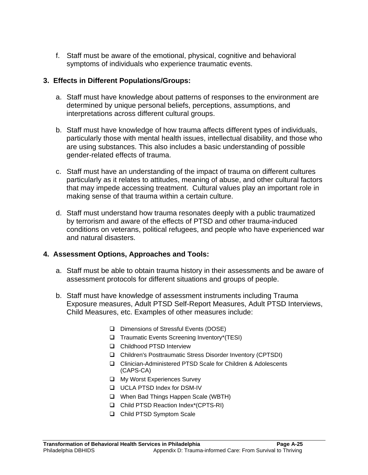f. Staff must be aware of the emotional, physical, cognitive and behavioral symptoms of individuals who experience traumatic events.

#### **3. Effects in Different Populations/Groups:**

- a. Staff must have knowledge about patterns of responses to the environment are determined by unique personal beliefs, perceptions, assumptions, and interpretations across different cultural groups.
- b. Staff must have knowledge of how trauma affects different types of individuals, particularly those with mental health issues, intellectual disability, and those who are using substances. This also includes a basic understanding of possible gender-related effects of trauma.
- c. Staff must have an understanding of the impact of trauma on different cultures particularly as it relates to attitudes, meaning of abuse, and other cultural factors that may impede accessing treatment. Cultural values play an important role in making sense of that trauma within a certain culture.
- d. Staff must understand how trauma resonates deeply with a public traumatized by terrorism and aware of the effects of PTSD and other trauma-induced conditions on veterans, political refugees, and people who have experienced war and natural disasters.

#### **4. Assessment Options, Approaches and Tools:**

- a. Staff must be able to obtain trauma history in their assessments and be aware of assessment protocols for different situations and groups of people.
- b. Staff must have knowledge of assessment instruments including Trauma Exposure measures, Adult PTSD Self-Report Measures, Adult PTSD Interviews, Child Measures, etc. Examples of other measures include:
	- Dimensions of Stressful Events (DOSE)
	- □ Traumatic Events Screening Inventory\*(TESI)
	- **Q** Childhood PTSD Interview
	- Children's Posttraumatic Stress Disorder Inventory (CPTSDI)
	- Clinician-Administered PTSD Scale for Children & Adolescents (CAPS-CA)
	- **Q** My Worst Experiences Survey
	- **UCLA PTSD Index for DSM-IV**
	- □ When Bad Things Happen Scale (WBTH)
	- □ Child PTSD Reaction Index\*(CPTS-RI)
	- □ Child PTSD Symptom Scale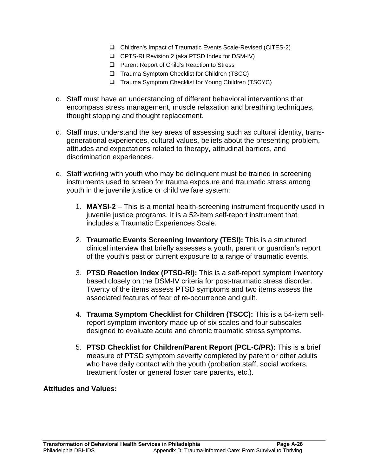- Children's Impact of Traumatic Events Scale-Revised (CITES-2)
- CPTS-RI Revision 2 (aka PTSD Index for DSM-IV)
- □ Parent Report of Child's Reaction to Stress
- □ Trauma Symptom Checklist for Children (TSCC)
- Trauma Symptom Checklist for Young Children (TSCYC)
- c. Staff must have an understanding of different behavioral interventions that encompass stress management, muscle relaxation and breathing techniques, thought stopping and thought replacement.
- d. Staff must understand the key areas of assessing such as cultural identity, transgenerational experiences, cultural values, beliefs about the presenting problem, attitudes and expectations related to therapy, attitudinal barriers, and discrimination experiences.
- e. Staff working with youth who may be delinquent must be trained in screening instruments used to screen for trauma exposure and traumatic stress among youth in the juvenile justice or child welfare system:
	- 1. **MAYSI-2** This is a mental health-screening instrument frequently used in juvenile justice programs. It is a 52-item self-report instrument that includes a Traumatic Experiences Scale.
	- 2. **Traumatic Events Screening Inventory (TESI):** This is a structured clinical interview that briefly assesses a youth, parent or guardian's report of the youth's past or current exposure to a range of traumatic events.
	- 3. **PTSD Reaction Index (PTSD-RI):** This is a self-report symptom inventory based closely on the DSM-IV criteria for post-traumatic stress disorder. Twenty of the items assess PTSD symptoms and two items assess the associated features of fear of re-occurrence and guilt.
	- 4. **Trauma Symptom Checklist for Children (TSCC):** This is a 54-item selfreport symptom inventory made up of six scales and four subscales designed to evaluate acute and chronic traumatic stress symptoms.
	- 5. **PTSD Checklist for Children/Parent Report (PCL-C/PR):** This is a brief measure of PTSD symptom severity completed by parent or other adults who have daily contact with the youth (probation staff, social workers, treatment foster or general foster care parents, etc.).

#### **Attitudes and Values:**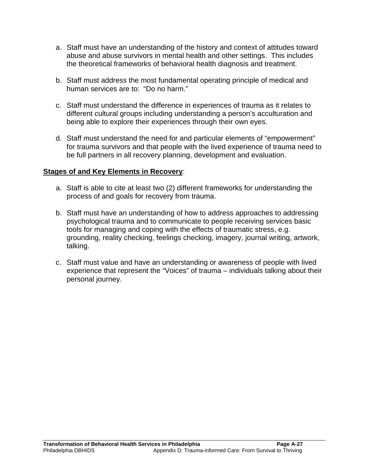- a. Staff must have an understanding of the history and context of attitudes toward abuse and abuse survivors in mental health and other settings. This includes the theoretical frameworks of behavioral health diagnosis and treatment.
- b. Staff must address the most fundamental operating principle of medical and human services are to: "Do no harm."
- c. Staff must understand the difference in experiences of trauma as it relates to different cultural groups including understanding a person's acculturation and being able to explore their experiences through their own eyes.
- d. Staff must understand the need for and particular elements of "empowerment" for trauma survivors and that people with the lived experience of trauma need to be full partners in all recovery planning, development and evaluation.

#### **Stages of and Key Elements in Recovery**:

- a. Staff is able to cite at least two (2) different frameworks for understanding the process of and goals for recovery from trauma.
- b. Staff must have an understanding of how to address approaches to addressing psychological trauma and to communicate to people receiving services basic tools for managing and coping with the effects of traumatic stress, e.g. grounding, reality checking, feelings checking, imagery, journal writing, artwork, talking.
- c. Staff must value and have an understanding or awareness of people with lived experience that represent the "Voices" of trauma – individuals talking about their personal journey.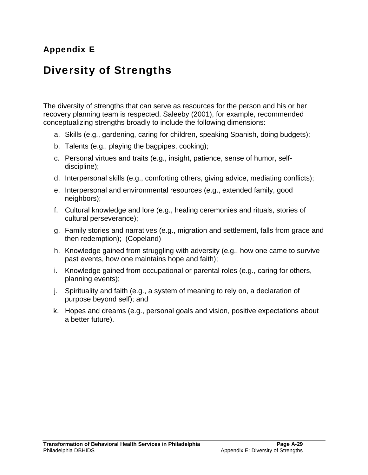## Appendix E

## Diversity of Strengths

The diversity of strengths that can serve as resources for the person and his or her recovery planning team is respected. Saleeby (2001), for example, recommended conceptualizing strengths broadly to include the following dimensions:

- a. Skills (e.g., gardening, caring for children, speaking Spanish, doing budgets);
- b. Talents (e.g., playing the bagpipes, cooking);
- c. Personal virtues and traits (e.g., insight, patience, sense of humor, selfdiscipline);
- d. Interpersonal skills (e.g., comforting others, giving advice, mediating conflicts);
- e. Interpersonal and environmental resources (e.g., extended family, good neighbors);
- f. Cultural knowledge and lore (e.g., healing ceremonies and rituals, stories of cultural perseverance);
- g. Family stories and narratives (e.g., migration and settlement, falls from grace and then redemption); (Copeland)
- h. Knowledge gained from struggling with adversity (e.g., how one came to survive past events, how one maintains hope and faith);
- i. Knowledge gained from occupational or parental roles (e.g., caring for others, planning events);
- j. Spirituality and faith (e.g., a system of meaning to rely on, a declaration of purpose beyond self); and
- k. Hopes and dreams (e.g., personal goals and vision, positive expectations about a better future).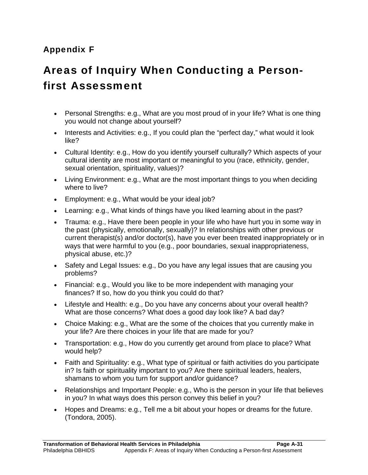# Appendix F

# Areas of Inquiry When Conducting a Personfirst Assessment

- Personal Strengths: e.g., What are you most proud of in your life? What is one thing you would not change about yourself?
- Interests and Activities: e.g., If you could plan the "perfect day," what would it look like?
- Cultural Identity: e.g., How do you identify yourself culturally? Which aspects of your cultural identity are most important or meaningful to you (race, ethnicity, gender, sexual orientation, spirituality, values)?
- Living Environment: e.g., What are the most important things to you when deciding where to live?
- Employment: e.g., What would be your ideal job?
- Learning: e.g., What kinds of things have you liked learning about in the past?
- Trauma: e.g., Have there been people in your life who have hurt you in some way in the past (physically, emotionally, sexually)? In relationships with other previous or current therapist(s) and/or doctor(s), have you ever been treated inappropriately or in ways that were harmful to you (e.g., poor boundaries, sexual inappropriateness, physical abuse, etc.)?
- Safety and Legal Issues: e.g., Do you have any legal issues that are causing you problems?
- Financial: e.g., Would you like to be more independent with managing your finances? If so, how do you think you could do that?
- Lifestyle and Health: e.g., Do you have any concerns about your overall health? What are those concerns? What does a good day look like? A bad day?
- Choice Making: e.g., What are the some of the choices that you currently make in your life? Are there choices in your life that are made for you?
- Transportation: e.g., How do you currently get around from place to place? What would help?
- Faith and Spirituality: e.g., What type of spiritual or faith activities do you participate in? Is faith or spirituality important to you? Are there spiritual leaders, healers, shamans to whom you turn for support and/or guidance?
- Relationships and Important People: e.g., Who is the person in your life that believes in you? In what ways does this person convey this belief in you?
- Hopes and Dreams: e.g., Tell me a bit about your hopes or dreams for the future. (Tondora, 2005).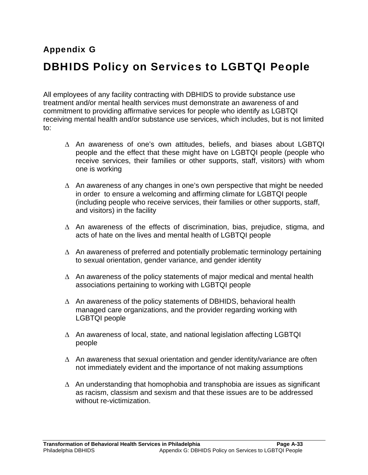# Appendix G DBHIDS Policy on Services to LGBTQI People

All employees of any facility contracting with DBHIDS to provide substance use treatment and/or mental health services must demonstrate an awareness of and commitment to providing affirmative services for people who identify as LGBTQI receiving mental health and/or substance use services, which includes, but is not limited to:

- ∆ An awareness of one's own attitudes, beliefs, and biases about LGBTQI people and the effect that these might have on LGBTQI people (people who receive services, their families or other supports, staff, visitors) with whom one is working
- ∆ An awareness of any changes in one's own perspective that might be needed in order to ensure a welcoming and affirming climate for LGBTQI people (including people who receive services, their families or other supports, staff, and visitors) in the facility
- ∆ An awareness of the effects of discrimination, bias, prejudice, stigma, and acts of hate on the lives and mental health of LGBTQI people
- ∆ An awareness of preferred and potentially problematic terminology pertaining to sexual orientation, gender variance, and gender identity
- ∆ An awareness of the policy statements of major medical and mental health associations pertaining to working with LGBTQI people
- ∆ An awareness of the policy statements of DBHIDS, behavioral health managed care organizations, and the provider regarding working with LGBTQI people
- ∆ An awareness of local, state, and national legislation affecting LGBTQI people
- ∆ An awareness that sexual orientation and gender identity/variance are often not immediately evident and the importance of not making assumptions
- $\Delta$  An understanding that homophobia and transphobia are issues as significant as racism, classism and sexism and that these issues are to be addressed without re-victimization.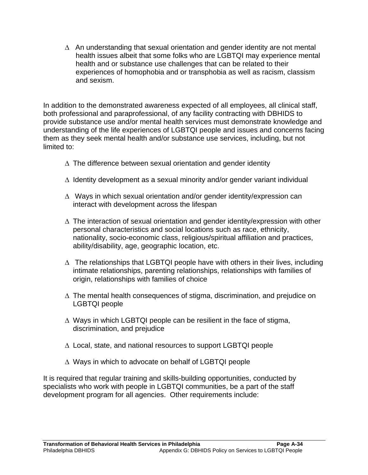∆ An understanding that sexual orientation and gender identity are not mental health issues albeit that some folks who are LGBTQI may experience mental health and or substance use challenges that can be related to their experiences of homophobia and or transphobia as well as racism, classism and sexism.

In addition to the demonstrated awareness expected of all employees, all clinical staff, both professional and paraprofessional, of any facility contracting with DBHIDS to provide substance use and/or mental health services must demonstrate knowledge and understanding of the life experiences of LGBTQI people and issues and concerns facing them as they seek mental health and/or substance use services, including, but not limited to:

- ∆ The difference between sexual orientation and gender identity
- ∆ Identity development as a sexual minority and/or gender variant individual
- ∆ Ways in which sexual orientation and/or gender identity/expression can interact with development across the lifespan
- ∆ The interaction of sexual orientation and gender identity/expression with other personal characteristics and social locations such as race, ethnicity, nationality, socio-economic class, religious/spiritual affiliation and practices, ability/disability, age, geographic location, etc.
- $\Delta$  The relationships that LGBTQI people have with others in their lives, including intimate relationships, parenting relationships, relationships with families of origin, relationships with families of choice
- ∆ The mental health consequences of stigma, discrimination, and prejudice on LGBTQI people
- ∆ Ways in which LGBTQI people can be resilient in the face of stigma, discrimination, and prejudice
- ∆ Local, state, and national resources to support LGBTQI people
- ∆ Ways in which to advocate on behalf of LGBTQI people

It is required that regular training and skills-building opportunities, conducted by specialists who work with people in LGBTQI communities, be a part of the staff development program for all agencies. Other requirements include: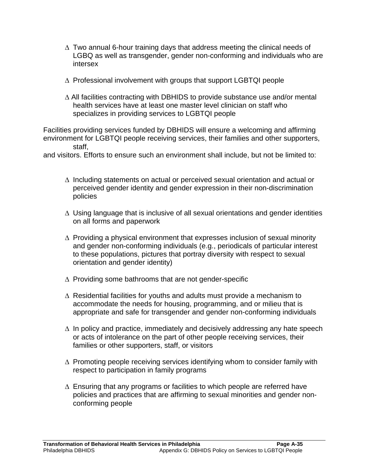- ∆ Two annual 6-hour training days that address meeting the clinical needs of LGBQ as well as transgender, gender non-conforming and individuals who are intersex
- ∆ Professional involvement with groups that support LGBTQI people
- ∆ All facilities contracting with DBHIDS to provide substance use and/or mental health services have at least one master level clinician on staff who specializes in providing services to LGBTQI people

Facilities providing services funded by DBHIDS will ensure a welcoming and affirming environment for LGBTQI people receiving services, their families and other supporters, staff,

and visitors. Efforts to ensure such an environment shall include, but not be limited to:

- ∆ Including statements on actual or perceived sexual orientation and actual or perceived gender identity and gender expression in their non-discrimination policies
- ∆ Using language that is inclusive of all sexual orientations and gender identities on all forms and paperwork
- ∆ Providing a physical environment that expresses inclusion of sexual minority and gender non-conforming individuals (e.g., periodicals of particular interest to these populations, pictures that portray diversity with respect to sexual orientation and gender identity)
- ∆ Providing some bathrooms that are not gender-specific
- ∆ Residential facilities for youths and adults must provide a mechanism to accommodate the needs for housing, programming, and or milieu that is appropriate and safe for transgender and gender non-conforming individuals
- ∆ In policy and practice, immediately and decisively addressing any hate speech or acts of intolerance on the part of other people receiving services, their families or other supporters, staff, or visitors
- ∆ Promoting people receiving services identifying whom to consider family with respect to participation in family programs
- ∆ Ensuring that any programs or facilities to which people are referred have policies and practices that are affirming to sexual minorities and gender nonconforming people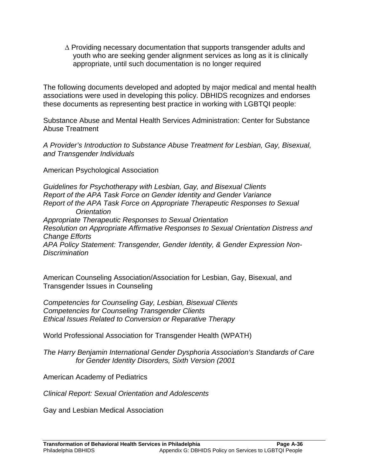∆ Providing necessary documentation that supports transgender adults and youth who are seeking gender alignment services as long as it is clinically appropriate, until such documentation is no longer required

The following documents developed and adopted by major medical and mental health associations were used in developing this policy. DBHIDS recognizes and endorses these documents as representing best practice in working with LGBTQI people:

Substance Abuse and Mental Health Services Administration: Center for Substance Abuse Treatment

*A Provider's Introduction to Substance Abuse Treatment for Lesbian, Gay, Bisexual, and Transgender Individuals*

American Psychological Association

*Guidelines for Psychotherapy with Lesbian, Gay, and Bisexual Clients Report of the APA Task Force on Gender Identity and Gender Variance Report of the APA Task Force on Appropriate Therapeutic Responses to Sexual Orientation Appropriate Therapeutic Responses to Sexual Orientation Resolution on Appropriate Affirmative Responses to Sexual Orientation Distress and Change Efforts APA Policy Statement: Transgender, Gender Identity, & Gender Expression Non-Discrimination* 

American Counseling Association/Association for Lesbian, Gay, Bisexual, and Transgender Issues in Counseling

*Competencies for Counseling Gay, Lesbian, Bisexual Clients Competencies for Counseling Transgender Clients Ethical Issues Related to Conversion or Reparative Therapy* 

World Professional Association for Transgender Health (WPATH)

*The Harry Benjamin International Gender Dysphoria Association's Standards of Care for Gender Identity Disorders, Sixth Version (2001* 

American Academy of Pediatrics

*Clinical Report: Sexual Orientation and Adolescents*

Gay and Lesbian Medical Association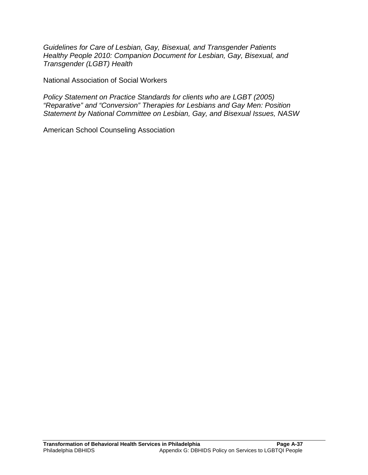*Guidelines for Care of Lesbian, Gay, Bisexual, and Transgender Patients Healthy People 2010: Companion Document for Lesbian, Gay, Bisexual, and Transgender (LGBT) Health* 

National Association of Social Workers

*Policy Statement on Practice Standards for clients who are LGBT (2005) "Reparative" and "Conversion" Therapies for Lesbians and Gay Men: Position Statement by National Committee on Lesbian, Gay, and Bisexual Issues, NASW* 

American School Counseling Association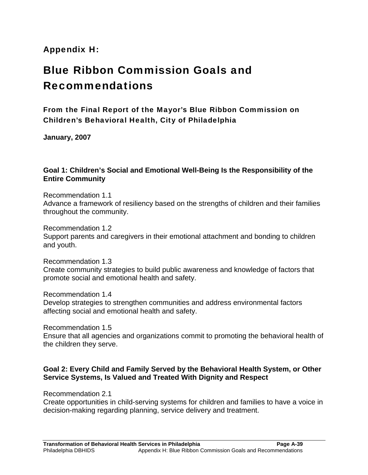# Appendix H:

# Blue Ribbon Commission Goals and Recommendations

From the Final Report of the Mayor's Blue Ribbon Commission on Children's Behavioral Health, City of Philadelphia

**January, 2007** 

# **Goal 1: Children's Social and Emotional Well-Being Is the Responsibility of the Entire Community**

Recommendation 1.1 Advance a framework of resiliency based on the strengths of children and their families throughout the community.

Recommendation 1.2 Support parents and caregivers in their emotional attachment and bonding to children and youth.

Recommendation 1.3 Create community strategies to build public awareness and knowledge of factors that promote social and emotional health and safety.

Recommendation 1.4

Develop strategies to strengthen communities and address environmental factors affecting social and emotional health and safety.

Recommendation 1.5

Ensure that all agencies and organizations commit to promoting the behavioral health of the children they serve.

## **Goal 2: Every Child and Family Served by the Behavioral Health System, or Other Service Systems, Is Valued and Treated With Dignity and Respect**

Recommendation 2.1

Create opportunities in child-serving systems for children and families to have a voice in decision-making regarding planning, service delivery and treatment.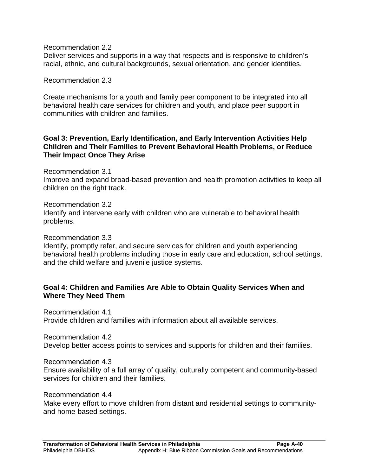Recommendation 2.2

Deliver services and supports in a way that respects and is responsive to children's racial, ethnic, and cultural backgrounds, sexual orientation, and gender identities.

Recommendation 2.3

Create mechanisms for a youth and family peer component to be integrated into all behavioral health care services for children and youth, and place peer support in communities with children and families.

## **Goal 3: Prevention, Early Identification, and Early Intervention Activities Help Children and Their Families to Prevent Behavioral Health Problems, or Reduce Their Impact Once They Arise**

Recommendation 3.1

Improve and expand broad-based prevention and health promotion activities to keep all children on the right track.

Recommendation 3.2

Identify and intervene early with children who are vulnerable to behavioral health problems.

Recommendation 3.3

Identify, promptly refer, and secure services for children and youth experiencing behavioral health problems including those in early care and education, school settings, and the child welfare and juvenile justice systems.

# **Goal 4: Children and Families Are Able to Obtain Quality Services When and Where They Need Them**

Recommendation 4.1 Provide children and families with information about all available services.

Recommendation 4.2 Develop better access points to services and supports for children and their families.

Recommendation 4.3 Ensure availability of a full array of quality, culturally competent and community-based services for children and their families.

Recommendation 4.4

Make every effort to move children from distant and residential settings to communityand home-based settings.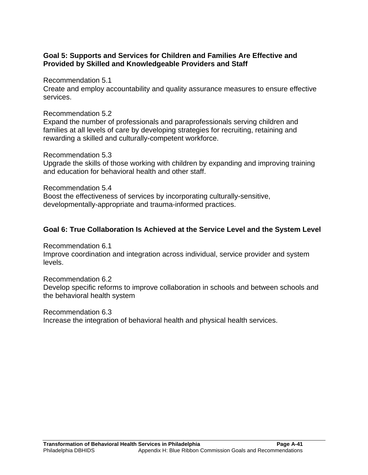# **Goal 5: Supports and Services for Children and Families Are Effective and Provided by Skilled and Knowledgeable Providers and Staff**

Recommendation 5.1

Create and employ accountability and quality assurance measures to ensure effective services.

Recommendation 5.2

Expand the number of professionals and paraprofessionals serving children and families at all levels of care by developing strategies for recruiting, retaining and rewarding a skilled and culturally-competent workforce.

Recommendation 5.3

Upgrade the skills of those working with children by expanding and improving training and education for behavioral health and other staff.

Recommendation 5.4 Boost the effectiveness of services by incorporating culturally-sensitive, developmentally-appropriate and trauma-informed practices.

# **Goal 6: True Collaboration Is Achieved at the Service Level and the System Level**

Recommendation 6.1 Improve coordination and integration across individual, service provider and system levels.

Recommendation 6.2 Develop specific reforms to improve collaboration in schools and between schools and the behavioral health system

Recommendation 6.3 Increase the integration of behavioral health and physical health services.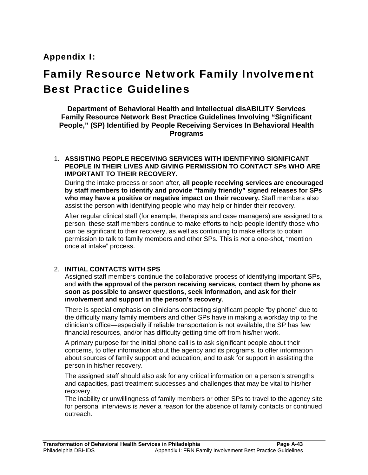# Appendix I:

# Family Resource Network Family Involvement Best Practice Guidelines

**Department of Behavioral Health and Intellectual disABILITY Services Family Resource Network Best Practice Guidelines Involving "Significant People," (SP) Identified by People Receiving Services In Behavioral Health Programs** 

#### 1. **ASSISTING PEOPLE RECEIVING SERVICES WITH IDENTIFYING SIGNIFICANT PEOPLE IN THEIR LIVES AND GIVING PERMISSION TO CONTACT SPs WHO ARE IMPORTANT TO THEIR RECOVERY.**

During the intake process or soon after, **all people receiving services are encouraged by staff members to identify and provide "family friendly" signed releases for SPs who may have a positive or negative impact on their recovery.** Staff members also assist the person with identifying people who may help or hinder their recovery.

After regular clinical staff (for example, therapists and case managers) are assigned to a person, these staff members continue to make efforts to help people identify those who can be significant to their recovery, as well as continuing to make efforts to obtain permission to talk to family members and other SPs. This is *not* a one-shot, "mention once at intake" process.

## 2. **INITIAL CONTACTS WITH SPS**

Assigned staff members continue the collaborative process of identifying important SPs, and **with the approval of the person receiving services, contact them by phone as soon as possible to answer questions, seek information, and ask for their involvement and support in the person's recovery**.

There is special emphasis on clinicians contacting significant people "by phone" due to the difficulty many family members and other SPs have in making a workday trip to the clinician's office—especially if reliable transportation is not available, the SP has few financial resources, and/or has difficulty getting time off from his/her work.

A primary purpose for the initial phone call is to ask significant people about their concerns, to offer information about the agency and its programs, to offer information about sources of family support and education, and to ask for support in assisting the person in his/her recovery.

The assigned staff should also ask for any critical information on a person's strengths and capacities, past treatment successes and challenges that may be vital to his/her recovery.

The inability or unwillingness of family members or other SPs to travel to the agency site for personal interviews is *never* a reason for the absence of family contacts or continued outreach.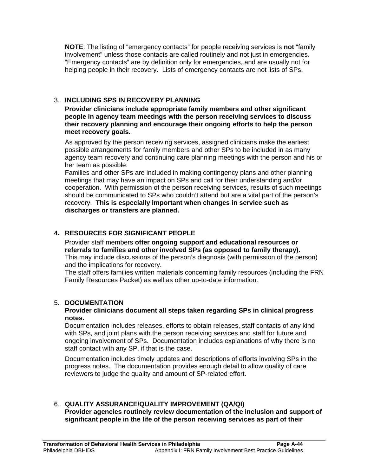**NOTE**: The listing of "emergency contacts" for people receiving services is **not** "family involvement" unless those contacts are called routinely and not just in emergencies. "Emergency contacts" are by definition only for emergencies, and are usually not for helping people in their recovery. Lists of emergency contacts are not lists of SPs.

## 3. **INCLUDING SPS IN RECOVERY PLANNING**

**Provider clinicians include appropriate family members and other significant people in agency team meetings with the person receiving services to discuss their recovery planning and encourage their ongoing efforts to help the person meet recovery goals.** 

As approved by the person receiving services, assigned clinicians make the earliest possible arrangements for family members and other SPs to be included in as many agency team recovery and continuing care planning meetings with the person and his or her team as possible.

Families and other SPs are included in making contingency plans and other planning meetings that may have an impact on SPs and call for their understanding and/or cooperation. With permission of the person receiving services, results of such meetings should be communicated to SPs who couldn't attend but are a vital part of the person's recovery. **This is especially important when changes in service such as discharges or transfers are planned.**

## **4. RESOURCES FOR SIGNIFICANT PEOPLE**

Provider staff members **offer ongoing support and educational resources or referrals to families and other involved SPs (as opposed to family therapy).**  This may include discussions of the person's diagnosis (with permission of the person) and the implications for recovery.

The staff offers families written materials concerning family resources (including the FRN Family Resources Packet) as well as other up-to-date information.

## 5. **DOCUMENTATION**

#### **Provider clinicians document all steps taken regarding SPs in clinical progress notes.**

Documentation includes releases, efforts to obtain releases, staff contacts of any kind with SPs, and joint plans with the person receiving services and staff for future and ongoing involvement of SPs. Documentation includes explanations of why there is no staff contact with any SP, if that is the case.

Documentation includes timely updates and descriptions of efforts involving SPs in the progress notes. The documentation provides enough detail to allow quality of care reviewers to judge the quality and amount of SP-related effort.

#### 6. **QUALITY ASSURANCE/QUALITY IMPROVEMENT (QA/QI) Provider agencies routinely review documentation of the inclusion and support of significant people in the life of the person receiving services as part of their**